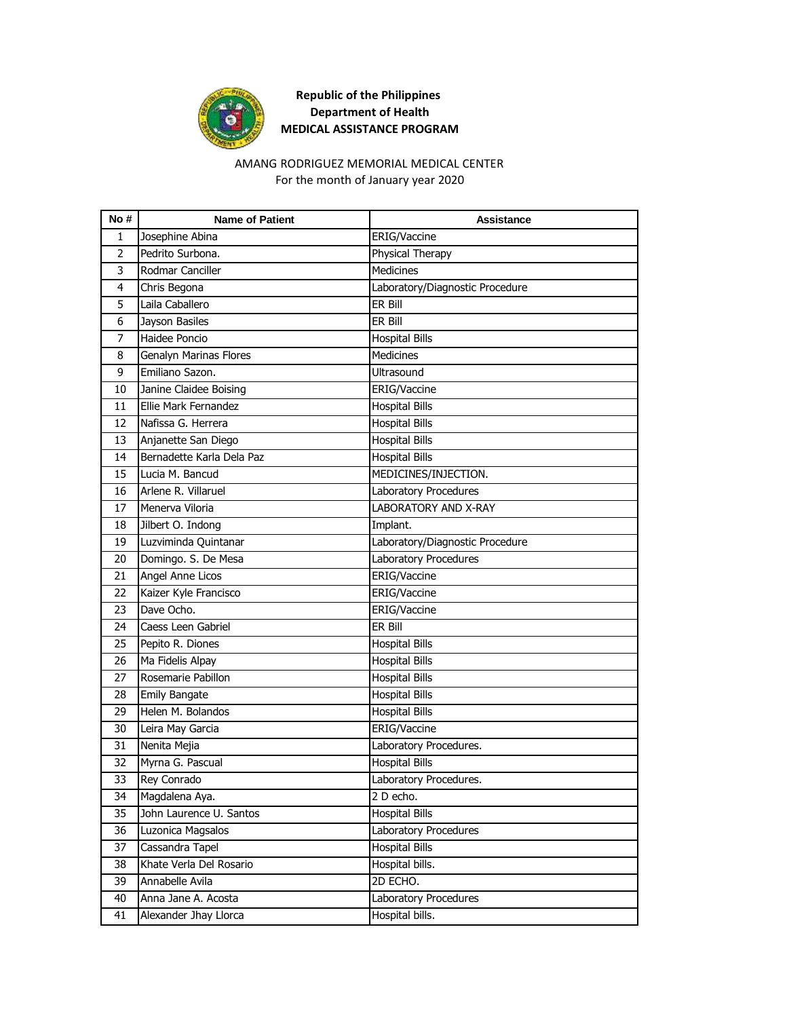

#### For the month of January year 2020 AMANG RODRIGUEZ MEMORIAL MEDICAL CENTER

| No #           | <b>Name of Patient</b>        | <b>Assistance</b>               |
|----------------|-------------------------------|---------------------------------|
| 1              | Josephine Abina               | ERIG/Vaccine                    |
| $\overline{2}$ | Pedrito Surbona.              | <b>Physical Therapy</b>         |
| 3              | Rodmar Canciller              | <b>Medicines</b>                |
| $\overline{4}$ | Chris Begona                  | Laboratory/Diagnostic Procedure |
| 5              | Laila Caballero               | ER Bill                         |
| 6              | Jayson Basiles                | ER Bill                         |
| 7              | Haidee Poncio                 | <b>Hospital Bills</b>           |
| 8              | <b>Genalyn Marinas Flores</b> | Medicines                       |
| 9              | Emiliano Sazon.               | Ultrasound                      |
| 10             | Janine Claidee Boising        | <b>ERIG/Vaccine</b>             |
| 11             | Ellie Mark Fernandez          | <b>Hospital Bills</b>           |
| 12             | Nafissa G. Herrera            | <b>Hospital Bills</b>           |
| 13             | Anjanette San Diego           | <b>Hospital Bills</b>           |
| 14             | Bernadette Karla Dela Paz     | <b>Hospital Bills</b>           |
| 15             | Lucia M. Bancud               | MEDICINES/INJECTION.            |
| 16             | Arlene R. Villaruel           | Laboratory Procedures           |
| 17             | Menerva Viloria               | LABORATORY AND X-RAY            |
| 18             | Jilbert O. Indong             | Implant.                        |
| 19             | Luzviminda Quintanar          | Laboratory/Diagnostic Procedure |
| 20             | Domingo. S. De Mesa           | Laboratory Procedures           |
| 21             | Angel Anne Licos              | ERIG/Vaccine                    |
| 22             | Kaizer Kyle Francisco         | ERIG/Vaccine                    |
| 23             | Dave Ocho.                    | ERIG/Vaccine                    |
| 24             | Caess Leen Gabriel            | ER Bill                         |
| 25             | Pepito R. Diones              | <b>Hospital Bills</b>           |
| 26             | Ma Fidelis Alpay              | <b>Hospital Bills</b>           |
| 27             | Rosemarie Pabillon            | <b>Hospital Bills</b>           |
| 28             | <b>Emily Bangate</b>          | <b>Hospital Bills</b>           |
| 29             | Helen M. Bolandos             | <b>Hospital Bills</b>           |
| 30             | Leira May Garcia              | ERIG/Vaccine                    |
| 31             | Nenita Mejia                  | Laboratory Procedures.          |
| 32             | Myrna G. Pascual              | <b>Hospital Bills</b>           |
| 33             | Rey Conrado                   | Laboratory Procedures.          |
| 34             | Magdalena Aya.                | 2 D echo.                       |
| 35             | John Laurence U. Santos       | <b>Hospital Bills</b>           |
| 36             | Luzonica Magsalos             | Laboratory Procedures           |
| 37             | Cassandra Tapel               | <b>Hospital Bills</b>           |
| 38             | Khate Verla Del Rosario       | Hospital bills.                 |
| 39             | Annabelle Avila               | 2D ECHO.                        |
| 40             | Anna Jane A. Acosta           | Laboratory Procedures           |
| 41             | Alexander Jhay Llorca         | Hospital bills.                 |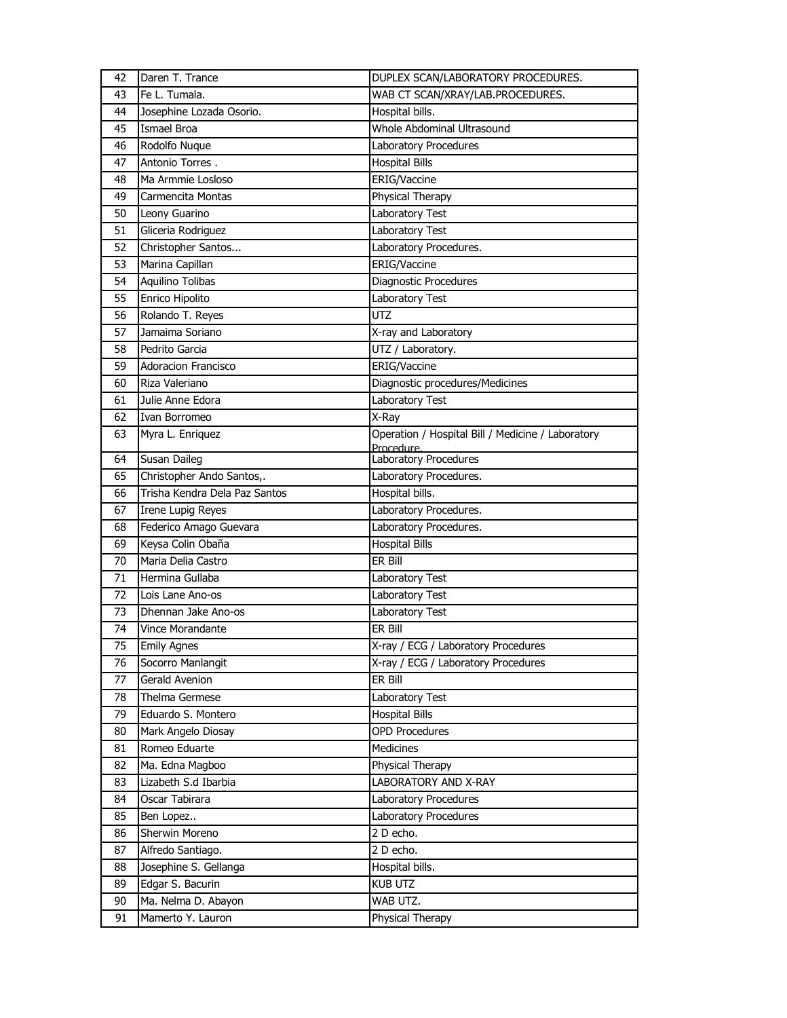| 42 | Daren T. Trance               | DUPLEX SCAN/LABORATORY PROCEDURES.                              |
|----|-------------------------------|-----------------------------------------------------------------|
| 43 | Fe L. Tumala.                 | WAB CT SCAN/XRAY/LAB.PROCEDURES.                                |
| 44 | Josephine Lozada Osorio.      | Hospital bills.                                                 |
| 45 | Ismael Broa                   | Whole Abdominal Ultrasound                                      |
| 46 | Rodolfo Nuque                 | Laboratory Procedures                                           |
| 47 | Antonio Torres.               | <b>Hospital Bills</b>                                           |
| 48 | Ma Armmie Losloso             | ERIG/Vaccine                                                    |
| 49 | Carmencita Montas             | Physical Therapy                                                |
| 50 | Leony Guarino                 | Laboratory Test                                                 |
| 51 | Gliceria Rodriguez            | Laboratory Test                                                 |
| 52 | Christopher Santos            | Laboratory Procedures.                                          |
| 53 | Marina Capillan               | ERIG/Vaccine                                                    |
| 54 | Aquilino Tolibas              | Diagnostic Procedures                                           |
| 55 | Enrico Hipolito               | <b>Laboratory Test</b>                                          |
| 56 | Rolando T. Reyes              | <b>UTZ</b>                                                      |
| 57 | Jamaima Soriano               | X-ray and Laboratory                                            |
| 58 | Pedrito Garcia                | UTZ / Laboratory.                                               |
| 59 | <b>Adoracion Francisco</b>    | ERIG/Vaccine                                                    |
| 60 | Riza Valeriano                | Diagnostic procedures/Medicines                                 |
| 61 | Julie Anne Edora              | Laboratory Test                                                 |
| 62 | Ivan Borromeo                 | X-Ray                                                           |
| 63 | Myra L. Enriquez              | Operation / Hospital Bill / Medicine / Laboratory<br>Procedure. |
| 64 | Susan Daileg                  | Laboratory Procedures                                           |
| 65 | Christopher Ando Santos,.     | Laboratory Procedures.                                          |
| 66 | Trisha Kendra Dela Paz Santos | Hospital bills.                                                 |
| 67 | <b>Irene Lupig Reyes</b>      | Laboratory Procedures.                                          |
| 68 | Federico Amago Guevara        | Laboratory Procedures.                                          |
| 69 | Keysa Colin Obaña             | <b>Hospital Bills</b>                                           |
| 70 | Maria Delia Castro            | ER Bill                                                         |
| 71 | Hermina Gullaba               | Laboratory Test                                                 |
| 72 | Lois Lane Ano-os              | <b>Laboratory Test</b>                                          |
| 73 | Dhennan Jake Ano-os           | Laboratory Test                                                 |
| 74 | Vince Morandante              | ER Bill                                                         |
| 75 | <b>Emily Agnes</b>            | X-ray / ECG / Laboratory Procedures                             |
| 76 | Socorro Manlangit             | X-ray / ECG / Laboratory Procedures                             |
| 77 | Gerald Avenion                | ER Bill                                                         |
| 78 | Thelma Germese                | Laboratory Test                                                 |
| 79 | Eduardo S. Montero            | <b>Hospital Bills</b>                                           |
| 80 | Mark Angelo Diosay            | <b>OPD Procedures</b>                                           |
| 81 | Romeo Eduarte                 | Medicines                                                       |
| 82 | Ma. Edna Magboo               | Physical Therapy                                                |
| 83 | Lizabeth S.d Ibarbia          | LABORATORY AND X-RAY                                            |
| 84 | Oscar Tabirara                | Laboratory Procedures                                           |
| 85 | Ben Lopez                     | Laboratory Procedures                                           |
| 86 | Sherwin Moreno                | 2 D echo.                                                       |
| 87 | Alfredo Santiago.             | 2 D echo.                                                       |
| 88 | Josephine S. Gellanga         | Hospital bills.                                                 |
| 89 | Edgar S. Bacurin              | <b>KUB UTZ</b>                                                  |
| 90 | Ma. Nelma D. Abayon           | WAB UTZ.                                                        |
| 91 | Mamerto Y. Lauron             | Physical Therapy                                                |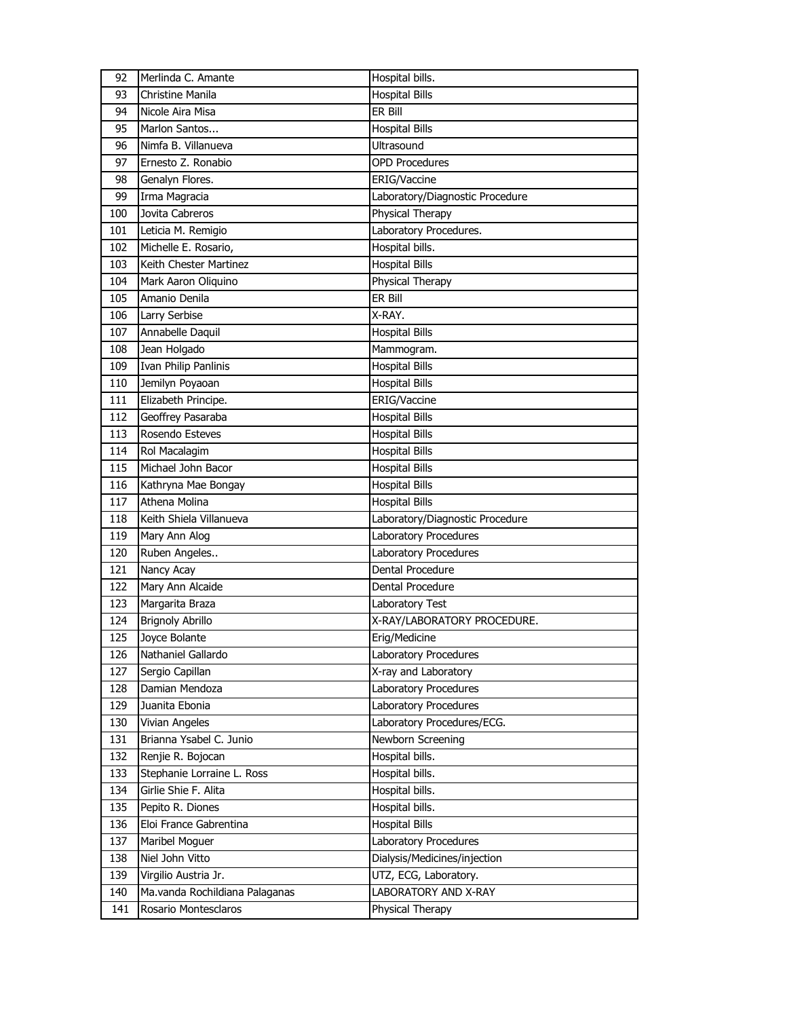| 92  | Merlinda C. Amante             | Hospital bills.                 |
|-----|--------------------------------|---------------------------------|
| 93  | Christine Manila               | <b>Hospital Bills</b>           |
| 94  | Nicole Aira Misa               | ER Bill                         |
| 95  | Marlon Santos                  | <b>Hospital Bills</b>           |
| 96  | Nimfa B. Villanueva            | <b>Ultrasound</b>               |
| 97  | Ernesto Z. Ronabio             | <b>OPD Procedures</b>           |
| 98  | Genalyn Flores.                | ERIG/Vaccine                    |
| 99  | Irma Magracia                  | Laboratory/Diagnostic Procedure |
| 100 | Jovita Cabreros                | Physical Therapy                |
| 101 | Leticia M. Remigio             | Laboratory Procedures.          |
| 102 | Michelle E. Rosario,           | Hospital bills.                 |
| 103 | Keith Chester Martinez         | <b>Hospital Bills</b>           |
| 104 | Mark Aaron Oliquino            | Physical Therapy                |
| 105 | Amanio Denila                  | ER Bill                         |
| 106 | Larry Serbise                  | X-RAY.                          |
| 107 | Annabelle Daquil               | <b>Hospital Bills</b>           |
| 108 | Jean Holgado                   | Mammogram.                      |
| 109 | Ivan Philip Panlinis           | <b>Hospital Bills</b>           |
| 110 | Jemilyn Poyaoan                | <b>Hospital Bills</b>           |
| 111 | Elizabeth Principe.            | ERIG/Vaccine                    |
| 112 | Geoffrey Pasaraba              | <b>Hospital Bills</b>           |
| 113 | Rosendo Esteves                | <b>Hospital Bills</b>           |
| 114 | Rol Macalagim                  | <b>Hospital Bills</b>           |
| 115 | Michael John Bacor             | <b>Hospital Bills</b>           |
| 116 | Kathryna Mae Bongay            | <b>Hospital Bills</b>           |
| 117 | Athena Molina                  | <b>Hospital Bills</b>           |
| 118 | Keith Shiela Villanueva        | Laboratory/Diagnostic Procedure |
| 119 | Mary Ann Alog                  | Laboratory Procedures           |
| 120 | Ruben Angeles                  | Laboratory Procedures           |
| 121 | Nancy Acay                     | Dental Procedure                |
| 122 | Mary Ann Alcaide               | Dental Procedure                |
| 123 | Margarita Braza                | Laboratory Test                 |
| 124 | <b>Brignoly Abrillo</b>        | X-RAY/LABORATORY PROCEDURE.     |
| 125 | Joyce Bolante                  | Erig/Medicine                   |
| 126 | Nathaniel Gallardo             | Laboratory Procedures           |
| 127 | Sergio Capillan                | X-ray and Laboratory            |
| 128 | Damian Mendoza                 | Laboratory Procedures           |
| 129 | Juanita Ebonia                 | Laboratory Procedures           |
| 130 | Vivian Angeles                 | Laboratory Procedures/ECG.      |
| 131 | Brianna Ysabel C. Junio        | Newborn Screening               |
| 132 | Renjie R. Bojocan              | Hospital bills.                 |
| 133 | Stephanie Lorraine L. Ross     | Hospital bills.                 |
| 134 | Girlie Shie F. Alita           | Hospital bills.                 |
| 135 | Pepito R. Diones               | Hospital bills.                 |
| 136 | Eloi France Gabrentina         | <b>Hospital Bills</b>           |
| 137 | Maribel Moguer                 | Laboratory Procedures           |
| 138 | Niel John Vitto                | Dialysis/Medicines/injection    |
| 139 | Virgilio Austria Jr.           | UTZ, ECG, Laboratory.           |
| 140 | Ma.vanda Rochildiana Palaganas | LABORATORY AND X-RAY            |
| 141 | Rosario Montesclaros           | Physical Therapy                |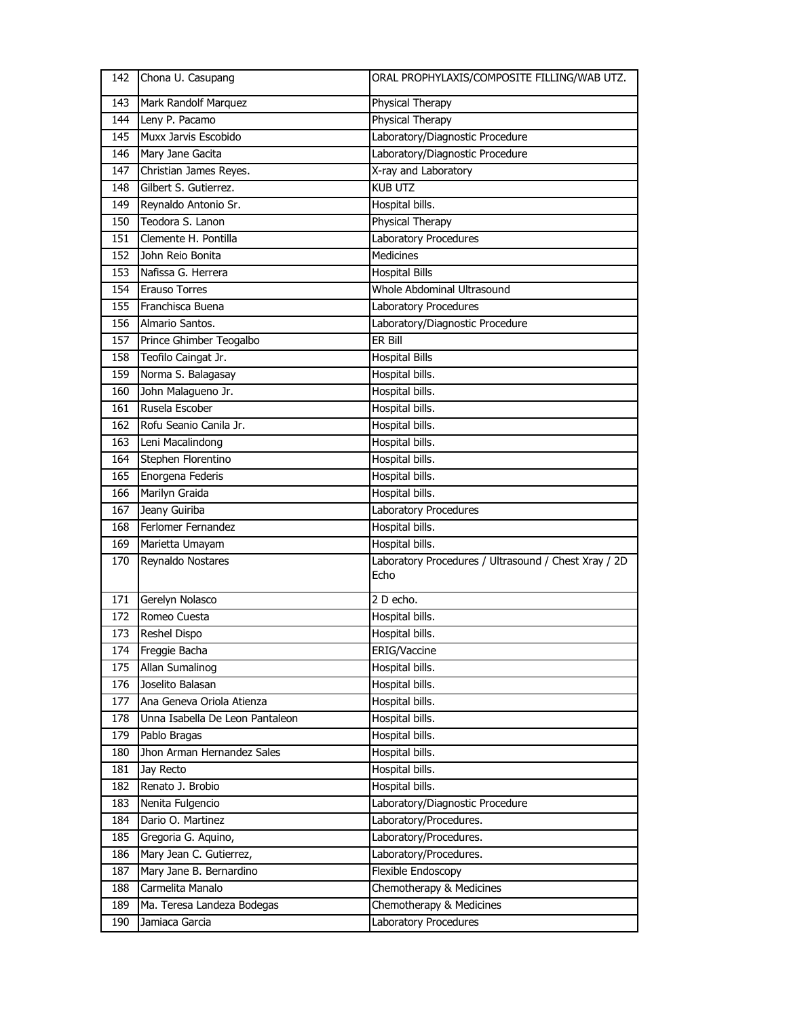| 142 | Chona U. Casupang               | ORAL PROPHYLAXIS/COMPOSITE FILLING/WAB UTZ.                  |
|-----|---------------------------------|--------------------------------------------------------------|
| 143 | Mark Randolf Marquez            | Physical Therapy                                             |
| 144 | Leny P. Pacamo                  | Physical Therapy                                             |
| 145 | Muxx Jarvis Escobido            | Laboratory/Diagnostic Procedure                              |
| 146 | Mary Jane Gacita                | Laboratory/Diagnostic Procedure                              |
| 147 | Christian James Reyes.          | X-ray and Laboratory                                         |
| 148 | Gilbert S. Gutierrez.           | <b>KUB UTZ</b>                                               |
| 149 | Reynaldo Antonio Sr.            | Hospital bills.                                              |
| 150 | Teodora S. Lanon                | Physical Therapy                                             |
| 151 | Clemente H. Pontilla            | <b>Laboratory Procedures</b>                                 |
| 152 | John Reio Bonita                | Medicines                                                    |
| 153 | Nafissa G. Herrera              | <b>Hospital Bills</b>                                        |
| 154 | <b>Erauso Torres</b>            | Whole Abdominal Ultrasound                                   |
| 155 | Franchisca Buena                | Laboratory Procedures                                        |
| 156 | Almario Santos.                 | Laboratory/Diagnostic Procedure                              |
| 157 | Prince Ghimber Teogalbo         | ER Bill                                                      |
| 158 | Teofilo Caingat Jr.             | <b>Hospital Bills</b>                                        |
| 159 | Norma S. Balagasay              | Hospital bills.                                              |
| 160 | John Malagueno Jr.              | Hospital bills.                                              |
| 161 | Rusela Escober                  | Hospital bills.                                              |
| 162 | Rofu Seanio Canila Jr.          | Hospital bills.                                              |
| 163 | Leni Macalindong                | Hospital bills.                                              |
| 164 | Stephen Florentino              | Hospital bills.                                              |
| 165 | Enorgena Federis                | Hospital bills.                                              |
| 166 | Marilyn Graida                  | Hospital bills.                                              |
| 167 | Jeany Guiriba                   | Laboratory Procedures                                        |
| 168 | Ferlomer Fernandez              | Hospital bills.                                              |
| 169 | Marietta Umayam                 | Hospital bills.                                              |
| 170 | Reynaldo Nostares               | Laboratory Procedures / Ultrasound / Chest Xray / 2D<br>Echo |
| 171 | Gerelyn Nolasco                 | 2 D echo.                                                    |
| 172 | Romeo Cuesta                    | Hospital bills.                                              |
| 173 | Reshel Dispo                    | Hospital bills.                                              |
| 174 | Freggie Bacha                   | ERIG/Vaccine                                                 |
| 175 | Allan Sumalinog                 | Hospital bills.                                              |
| 176 | Joselito Balasan                | Hospital bills.                                              |
| 177 | Ana Geneva Oriola Atienza       | Hospital bills.                                              |
| 178 | Unna Isabella De Leon Pantaleon | Hospital bills.                                              |
| 179 | Pablo Bragas                    | Hospital bills.                                              |
| 180 | Jhon Arman Hernandez Sales      | Hospital bills.                                              |
| 181 | Jay Recto                       | Hospital bills.                                              |
| 182 | Renato J. Brobio                | Hospital bills.                                              |
| 183 | Nenita Fulgencio                | Laboratory/Diagnostic Procedure                              |
| 184 | Dario O. Martinez               | Laboratory/Procedures.                                       |
| 185 | Gregoria G. Aquino,             | Laboratory/Procedures.                                       |
| 186 | Mary Jean C. Gutierrez,         | Laboratory/Procedures.                                       |
| 187 | Mary Jane B. Bernardino         | Flexible Endoscopy                                           |
| 188 | Carmelita Manalo                | Chemotherapy & Medicines                                     |
| 189 | Ma. Teresa Landeza Bodegas      | Chemotherapy & Medicines                                     |
| 190 | Jamiaca Garcia                  | Laboratory Procedures                                        |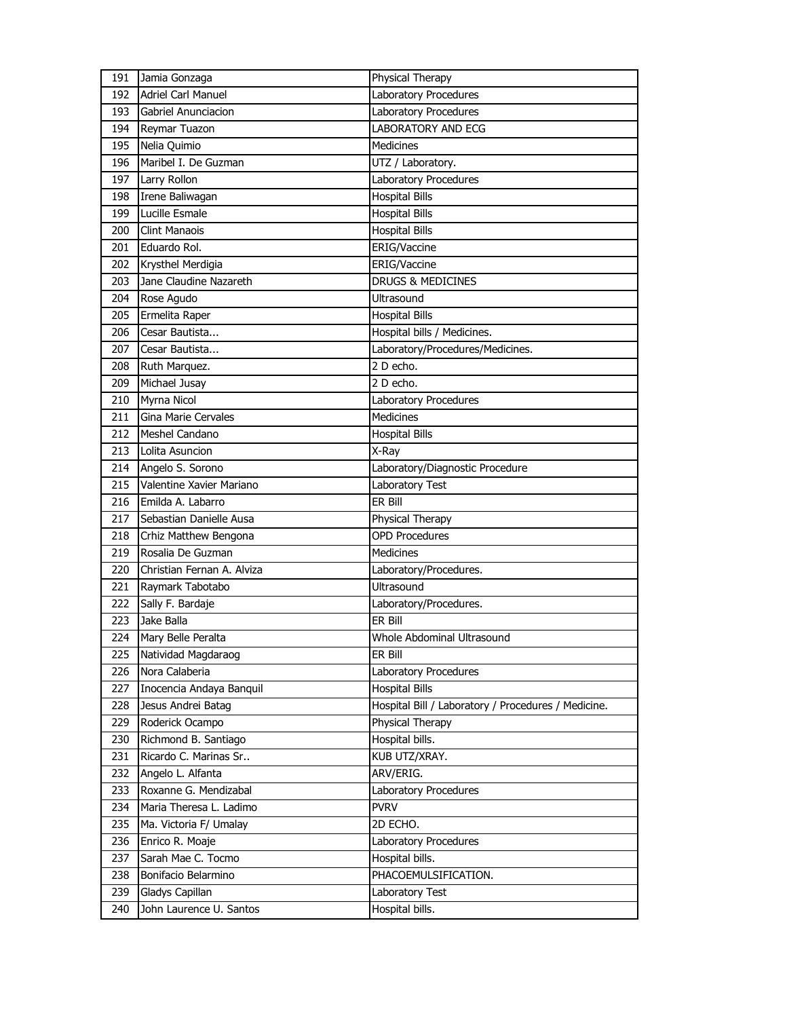| 191 | Jamia Gonzaga              | Physical Therapy                                                        |
|-----|----------------------------|-------------------------------------------------------------------------|
| 192 | <b>Adriel Carl Manuel</b>  | Laboratory Procedures                                                   |
| 193 | Gabriel Anunciacion        | Laboratory Procedures                                                   |
| 194 | Reymar Tuazon              | <b>LABORATORY AND ECG</b>                                               |
| 195 | Nelia Quimio               | <b>Medicines</b>                                                        |
| 196 | Maribel I. De Guzman       | UTZ / Laboratory.                                                       |
| 197 | Larry Rollon               | Laboratory Procedures                                                   |
| 198 | Irene Baliwagan            | <b>Hospital Bills</b>                                                   |
| 199 | Lucille Esmale             | <b>Hospital Bills</b>                                                   |
| 200 | <b>Clint Manaois</b>       | <b>Hospital Bills</b>                                                   |
| 201 | Eduardo Rol.               | ERIG/Vaccine                                                            |
| 202 | Krysthel Merdigia          | ERIG/Vaccine                                                            |
| 203 | Jane Claudine Nazareth     | <b>DRUGS &amp; MEDICINES</b>                                            |
| 204 | Rose Agudo                 | <b>Ultrasound</b>                                                       |
| 205 | Ermelita Raper             | <b>Hospital Bills</b>                                                   |
| 206 | Cesar Bautista             | Hospital bills / Medicines.                                             |
| 207 | Cesar Bautista             | Laboratory/Procedures/Medicines.                                        |
| 208 | Ruth Marquez.              | 2 D echo.                                                               |
| 209 | Michael Jusay              | 2 D echo.                                                               |
| 210 | Myrna Nicol                | Laboratory Procedures                                                   |
| 211 | Gina Marie Cervales        | <b>Medicines</b>                                                        |
| 212 | Meshel Candano             | <b>Hospital Bills</b>                                                   |
| 213 | Lolita Asuncion            | X-Ray                                                                   |
| 214 | Angelo S. Sorono           | Laboratory/Diagnostic Procedure                                         |
| 215 | Valentine Xavier Mariano   | Laboratory Test                                                         |
| 216 | Emilda A. Labarro          | ER Bill                                                                 |
|     |                            |                                                                         |
| 217 | Sebastian Danielle Ausa    |                                                                         |
| 218 | Crhiz Matthew Bengona      | Physical Therapy<br><b>OPD Procedures</b>                               |
| 219 | Rosalia De Guzman          | <b>Medicines</b>                                                        |
| 220 | Christian Fernan A. Alviza | Laboratory/Procedures.                                                  |
| 221 | Raymark Tabotabo           | Ultrasound                                                              |
| 222 | Sally F. Bardaje           |                                                                         |
| 223 | Jake Balla                 | Laboratory/Procedures.<br>ER Bill                                       |
| 224 | Mary Belle Peralta         | Whole Abdominal Ultrasound                                              |
| 225 | Natividad Magdaraog        | ER Bill                                                                 |
| 226 | Nora Calaberia             | Laboratory Procedures                                                   |
| 227 | Inocencia Andaya Banquil   | <b>Hospital Bills</b>                                                   |
| 228 | Jesus Andrei Batag         |                                                                         |
| 229 | Roderick Ocampo            | Hospital Bill / Laboratory / Procedures / Medicine.<br>Physical Therapy |
| 230 | Richmond B. Santiago       | Hospital bills.                                                         |
| 231 | Ricardo C. Marinas Sr      | KUB UTZ/XRAY.                                                           |
| 232 | Angelo L. Alfanta          | ARV/ERIG.                                                               |
| 233 | Roxanne G. Mendizabal      | Laboratory Procedures                                                   |
| 234 | Maria Theresa L. Ladimo    | <b>PVRV</b>                                                             |
| 235 | Ma. Victoria F/ Umalay     | 2D ECHO.                                                                |
| 236 | Enrico R. Moaje            | Laboratory Procedures                                                   |
| 237 | Sarah Mae C. Tocmo         | Hospital bills.                                                         |
| 238 | Bonifacio Belarmino        | PHACOEMULSIFICATION.                                                    |
| 239 | Gladys Capillan            | Laboratory Test                                                         |
| 240 | John Laurence U. Santos    | Hospital bills.                                                         |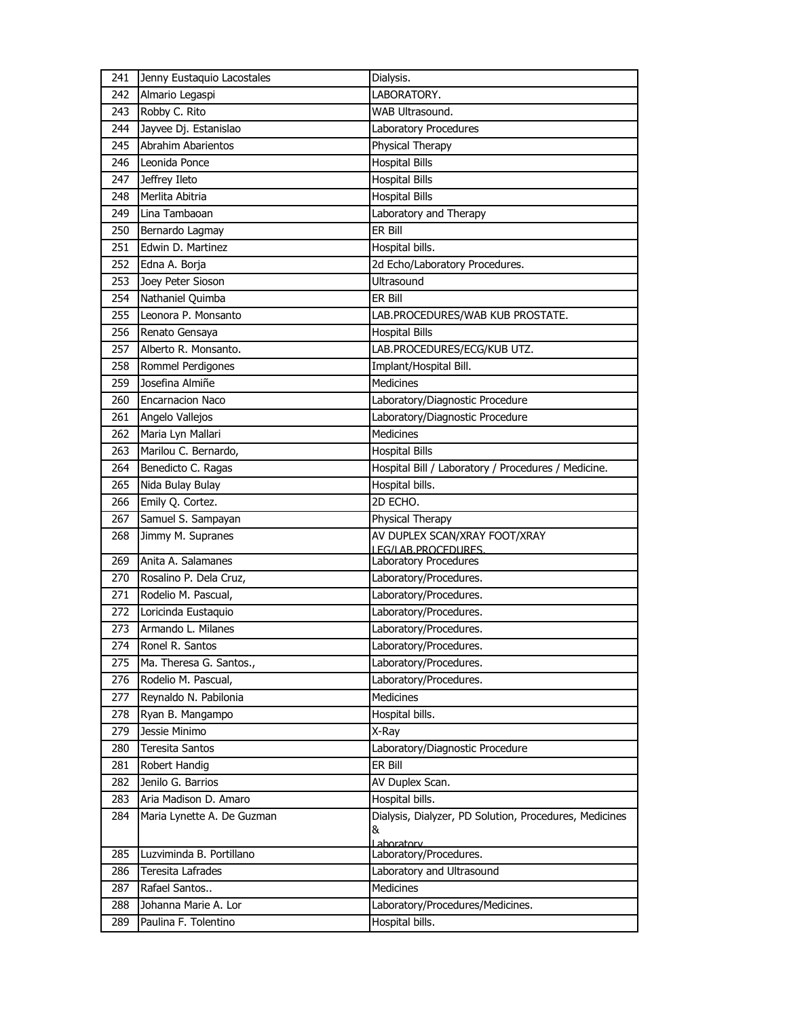| 241 | Jenny Eustaquio Lacostales | Dialysis.                                                   |
|-----|----------------------------|-------------------------------------------------------------|
| 242 | Almario Legaspi            | LABORATORY.                                                 |
| 243 | Robby C. Rito              | WAB Ultrasound.                                             |
| 244 | Jayvee Dj. Estanislao      | Laboratory Procedures                                       |
| 245 | Abrahim Abarientos         | Physical Therapy                                            |
| 246 | Leonida Ponce              | <b>Hospital Bills</b>                                       |
| 247 | Jeffrey Ileto              | <b>Hospital Bills</b>                                       |
| 248 | Merlita Abitria            | <b>Hospital Bills</b>                                       |
| 249 | Lina Tambaoan              | Laboratory and Therapy                                      |
| 250 | Bernardo Lagmay            | ER Bill                                                     |
| 251 | Edwin D. Martinez          | Hospital bills.                                             |
| 252 | Edna A. Borja              | 2d Echo/Laboratory Procedures.                              |
| 253 | Joey Peter Sioson          | Ultrasound                                                  |
| 254 | Nathaniel Quimba           | ER Bill                                                     |
| 255 | Leonora P. Monsanto        | LAB.PROCEDURES/WAB KUB PROSTATE.                            |
| 256 | Renato Gensaya             | <b>Hospital Bills</b>                                       |
| 257 | Alberto R. Monsanto.       | LAB.PROCEDURES/ECG/KUB UTZ.                                 |
| 258 | Rommel Perdigones          | Implant/Hospital Bill.                                      |
| 259 | Josefina Almiñe            | Medicines                                                   |
| 260 | <b>Encarnacion Naco</b>    | Laboratory/Diagnostic Procedure                             |
| 261 | Angelo Vallejos            | Laboratory/Diagnostic Procedure                             |
| 262 | Maria Lyn Mallari          | <b>Medicines</b>                                            |
| 263 | Marilou C. Bernardo,       | <b>Hospital Bills</b>                                       |
| 264 | Benedicto C. Ragas         | Hospital Bill / Laboratory / Procedures / Medicine.         |
| 265 | Nida Bulay Bulay           | Hospital bills.                                             |
| 266 | Emily Q. Cortez.           | 2D ECHO.                                                    |
| 267 | Samuel S. Sampayan         | Physical Therapy                                            |
| 268 | Jimmy M. Supranes          | AV DUPLEX SCAN/XRAY FOOT/XRAY                               |
|     |                            | LEG/LAB.PROCEDURES.                                         |
| 269 | Anita A. Salamanes         | Laboratory Procedures                                       |
| 270 | Rosalino P. Dela Cruz,     | Laboratory/Procedures.                                      |
| 271 | Rodelio M. Pascual,        | Laboratory/Procedures.                                      |
| 272 | Loricinda Eustaquio        | Laboratory/Procedures.                                      |
| 273 | Armando L. Milanes         | Laboratory/Procedures.                                      |
| 274 | Ronel R. Santos            | Laboratory/Procedures.                                      |
| 275 | Ma. Theresa G. Santos.,    | Laboratory/Procedures.                                      |
| 276 | Rodelio M. Pascual,        | Laboratory/Procedures.                                      |
| 277 | Reynaldo N. Pabilonia      | Medicines                                                   |
| 278 | Ryan B. Mangampo           | Hospital bills.                                             |
| 279 | Jessie Minimo              | X-Ray                                                       |
| 280 | Teresita Santos            | Laboratory/Diagnostic Procedure                             |
| 281 | Robert Handig              | ER Bill                                                     |
| 282 | Jenilo G. Barrios          | AV Duplex Scan.                                             |
| 283 | Aria Madison D. Amaro      | Hospital bills.                                             |
| 284 | Maria Lynette A. De Guzman | Dialysis, Dialyzer, PD Solution, Procedures, Medicines<br>& |
|     |                            | Lahoratory                                                  |
| 285 | Luzviminda B. Portillano   | Laboratory/Procedures.                                      |
| 286 | Teresita Lafrades          | Laboratory and Ultrasound                                   |
| 287 | Rafael Santos              | Medicines                                                   |
| 288 | Johanna Marie A. Lor       | Laboratory/Procedures/Medicines.                            |
| 289 | Paulina F. Tolentino       | Hospital bills.                                             |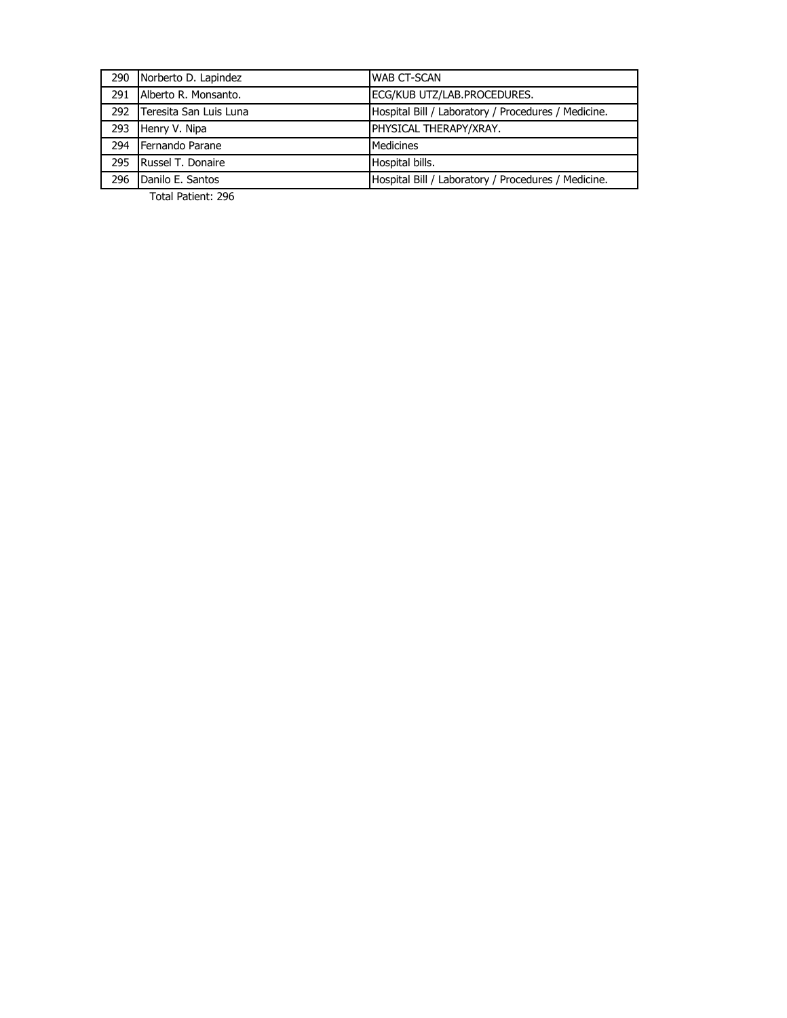|     | 290 Norberto D. Lapindez   | <b>WAB CT-SCAN</b>                                  |
|-----|----------------------------|-----------------------------------------------------|
| 291 | Alberto R. Monsanto.       | ECG/KUB UTZ/LAB.PROCEDURES.                         |
|     | 292 Teresita San Luis Luna | Hospital Bill / Laboratory / Procedures / Medicine. |
| 293 | Henry V. Nipa              | PHYSICAL THERAPY/XRAY.                              |
| 294 | Fernando Parane            | <b>Medicines</b>                                    |
| 295 | Russel T. Donaire          | Hospital bills.                                     |
| 296 | Danilo E. Santos           | Hospital Bill / Laboratory / Procedures / Medicine. |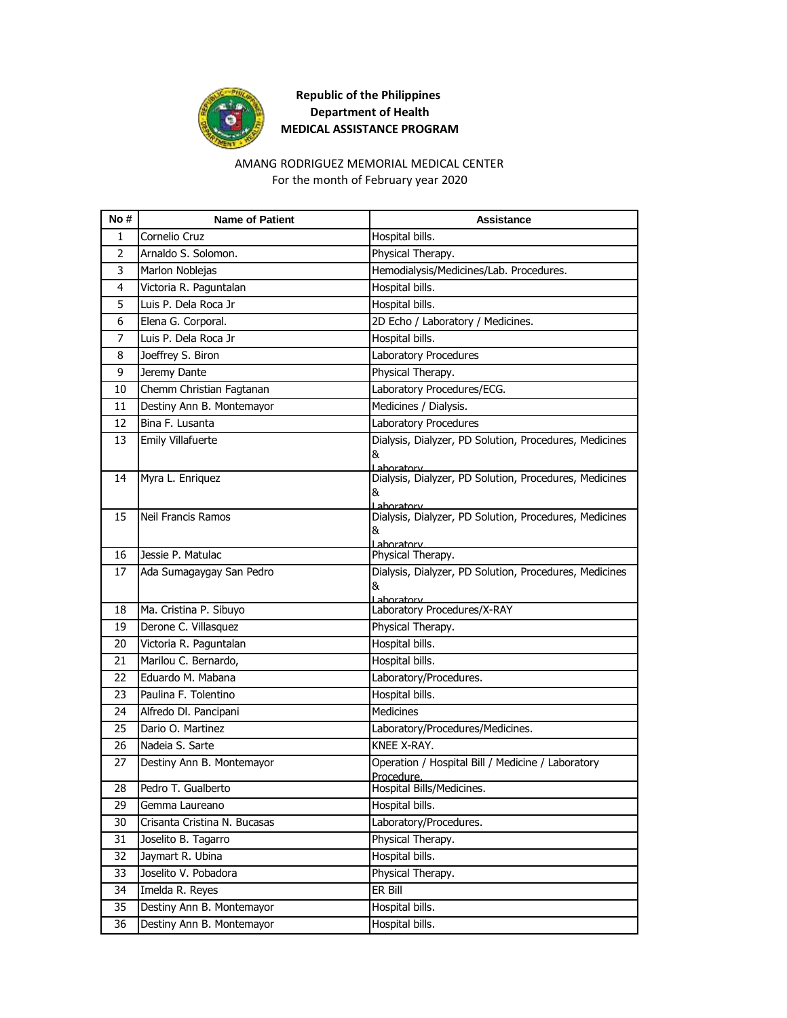

#### AMANG RODRIGUEZ MEMORIAL MEDICAL CENTER For the month of February year 2020

| No #           | <b>Name of Patient</b>       | <b>Assistance</b>                                               |
|----------------|------------------------------|-----------------------------------------------------------------|
| 1              | Cornelio Cruz                | Hospital bills.                                                 |
| $\overline{2}$ | Arnaldo S. Solomon.          | Physical Therapy.                                               |
| 3              | Marlon Noblejas              | Hemodialysis/Medicines/Lab. Procedures.                         |
| 4              | Victoria R. Paguntalan       | Hospital bills.                                                 |
| 5              | Luis P. Dela Roca Jr         | Hospital bills.                                                 |
| 6              | Elena G. Corporal.           | 2D Echo / Laboratory / Medicines.                               |
| $\overline{7}$ | Luis P. Dela Roca Jr         | Hospital bills.                                                 |
| 8              | Joeffrey S. Biron            | Laboratory Procedures                                           |
| 9              | Jeremy Dante                 | Physical Therapy.                                               |
| 10             | Chemm Christian Fagtanan     | Laboratory Procedures/ECG.                                      |
| 11             | Destiny Ann B. Montemayor    | Medicines / Dialysis.                                           |
| 12             | Bina F. Lusanta              | Laboratory Procedures                                           |
| 13             | Emily Villafuerte            | Dialysis, Dialyzer, PD Solution, Procedures, Medicines<br>&     |
|                |                              | Laboratory                                                      |
| 14             | Myra L. Enriquez             | Dialysis, Dialyzer, PD Solution, Procedures, Medicines<br>&     |
|                |                              | Laboratory                                                      |
| 15             | Neil Francis Ramos           | Dialysis, Dialyzer, PD Solution, Procedures, Medicines          |
|                |                              | &<br>Laboratory                                                 |
| 16             | Jessie P. Matulac            | Physical Therapy.                                               |
| 17             | Ada Sumagaygay San Pedro     | Dialysis, Dialyzer, PD Solution, Procedures, Medicines          |
|                |                              | &                                                               |
| 18             | Ma. Cristina P. Sibuyo       | Laboratory<br>Laboratory Procedures/X-RAY                       |
| 19             | Derone C. Villasquez         | Physical Therapy.                                               |
| 20             | Victoria R. Paguntalan       | Hospital bills.                                                 |
| 21             | Marilou C. Bernardo,         | Hospital bills.                                                 |
| 22             | Eduardo M. Mabana            | Laboratory/Procedures.                                          |
| 23             | Paulina F. Tolentino         | Hospital bills.                                                 |
| 24             | Alfredo DI. Pancipani        | <b>Medicines</b>                                                |
| 25             | Dario O. Martinez            | Laboratory/Procedures/Medicines.                                |
| 26             | Nadeia S. Sarte              | KNEE X-RAY.                                                     |
| 27             | Destiny Ann B. Montemayor    | Operation / Hospital Bill / Medicine / Laboratory<br>Procedure. |
| 28             | Pedro T. Gualberto           | Hospital Bills/Medicines.                                       |
| 29             | Gemma Laureano               | Hospital bills.                                                 |
| 30             | Crisanta Cristina N. Bucasas | Laboratory/Procedures.                                          |
| 31             | Joselito B. Tagarro          | Physical Therapy.                                               |
| 32             | Jaymart R. Ubina             | Hospital bills.                                                 |
| 33             | Joselito V. Pobadora         | Physical Therapy.                                               |
| 34             | Imelda R. Reyes              | ER Bill                                                         |
| 35             | Destiny Ann B. Montemayor    | Hospital bills.                                                 |
| 36             | Destiny Ann B. Montemayor    | Hospital bills.                                                 |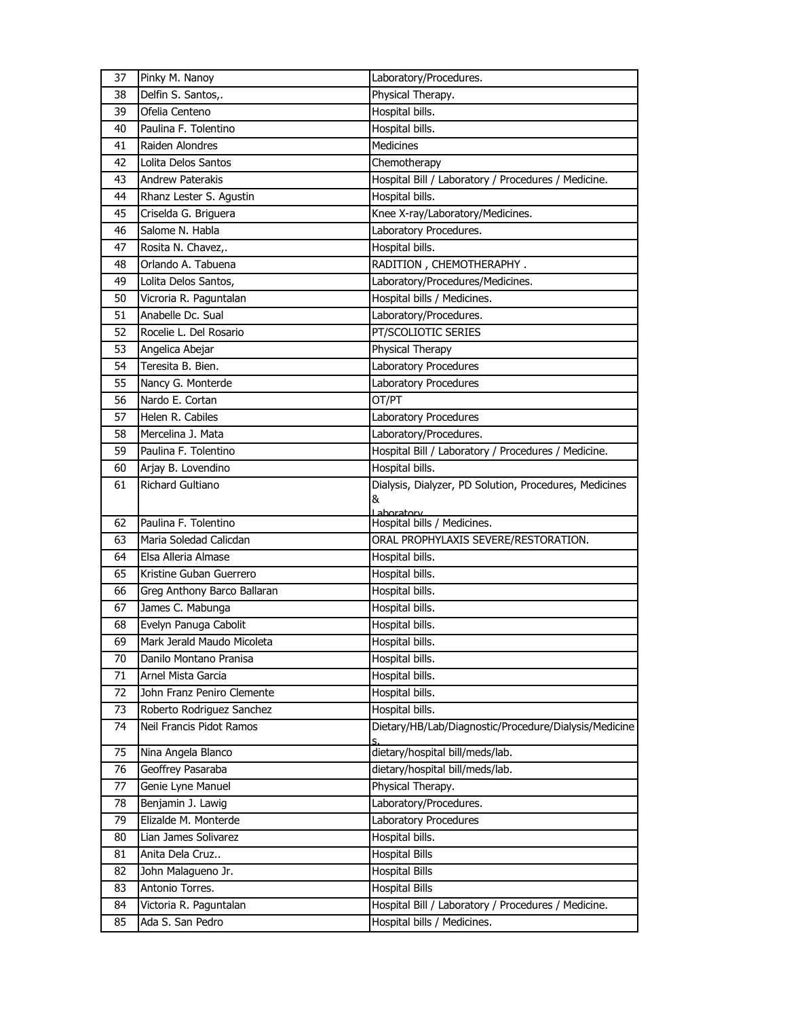| 37 | Pinky M. Nanoy              | Laboratory/Procedures.                                 |
|----|-----------------------------|--------------------------------------------------------|
| 38 | Delfin S. Santos,.          | Physical Therapy.                                      |
| 39 | Ofelia Centeno              | Hospital bills.                                        |
| 40 | Paulina F. Tolentino        | Hospital bills.                                        |
| 41 | Raiden Alondres             | Medicines                                              |
| 42 | Lolita Delos Santos         | Chemotherapy                                           |
| 43 | Andrew Paterakis            | Hospital Bill / Laboratory / Procedures / Medicine.    |
| 44 | Rhanz Lester S. Agustin     | Hospital bills.                                        |
| 45 | Criselda G. Briguera        | Knee X-ray/Laboratory/Medicines.                       |
| 46 | Salome N. Habla             | Laboratory Procedures.                                 |
| 47 | Rosita N. Chavez,.          | Hospital bills.                                        |
| 48 | Orlando A. Tabuena          | RADITION, CHEMOTHERAPHY.                               |
| 49 | Lolita Delos Santos,        | Laboratory/Procedures/Medicines.                       |
| 50 | Vicroria R. Paguntalan      | Hospital bills / Medicines.                            |
| 51 | Anabelle Dc. Sual           | Laboratory/Procedures.                                 |
| 52 | Rocelie L. Del Rosario      | PT/SCOLIOTIC SERIES                                    |
| 53 | Angelica Abejar             | Physical Therapy                                       |
| 54 | Teresita B. Bien.           | Laboratory Procedures                                  |
| 55 | Nancy G. Monterde           | Laboratory Procedures                                  |
| 56 | Nardo E. Cortan             | OT/PT                                                  |
| 57 | Helen R. Cabiles            | Laboratory Procedures                                  |
| 58 | Mercelina J. Mata           | Laboratory/Procedures.                                 |
| 59 | Paulina F. Tolentino        | Hospital Bill / Laboratory / Procedures / Medicine.    |
| 60 | Arjay B. Lovendino          | Hospital bills.                                        |
| 61 | Richard Gultiano            | Dialysis, Dialyzer, PD Solution, Procedures, Medicines |
|    |                             | &                                                      |
| 62 | Paulina F. Tolentino        | Laboratory<br>Hospital bills / Medicines.              |
| 63 | Maria Soledad Calicdan      | ORAL PROPHYLAXIS SEVERE/RESTORATION.                   |
| 64 | Elsa Alleria Almase         | Hospital bills.                                        |
| 65 | Kristine Guban Guerrero     | Hospital bills.                                        |
| 66 | Greg Anthony Barco Ballaran | Hospital bills.                                        |
| 67 | James C. Mabunga            | Hospital bills.                                        |
| 68 |                             |                                                        |
|    | Evelyn Panuga Cabolit       | Hospital bills.                                        |
| 69 | Mark Jerald Maudo Micoleta  | Hospital bills.                                        |
| 70 | Danilo Montano Pranisa      | Hospital bills.                                        |
| 71 | Arnel Mista Garcia          | Hospital bills.                                        |
| 72 | John Franz Peniro Clemente  | Hospital bills.                                        |
| 73 | Roberto Rodriguez Sanchez   | Hospital bills.                                        |
| 74 | Neil Francis Pidot Ramos    | Dietary/HB/Lab/Diagnostic/Procedure/Dialysis/Medicine  |
| 75 | Nina Angela Blanco          | dietary/hospital bill/meds/lab.                        |
| 76 | Geoffrey Pasaraba           | dietary/hospital bill/meds/lab.                        |
| 77 | Genie Lyne Manuel           | Physical Therapy.                                      |
| 78 | Benjamin J. Lawig           | Laboratory/Procedures.                                 |
| 79 | Elizalde M. Monterde        | Laboratory Procedures                                  |
| 80 | Lian James Solivarez        | Hospital bills.                                        |
| 81 | Anita Dela Cruz             | <b>Hospital Bills</b>                                  |
| 82 | John Malagueno Jr.          | <b>Hospital Bills</b>                                  |
| 83 | Antonio Torres.             | <b>Hospital Bills</b>                                  |
| 84 | Victoria R. Paguntalan      | Hospital Bill / Laboratory / Procedures / Medicine.    |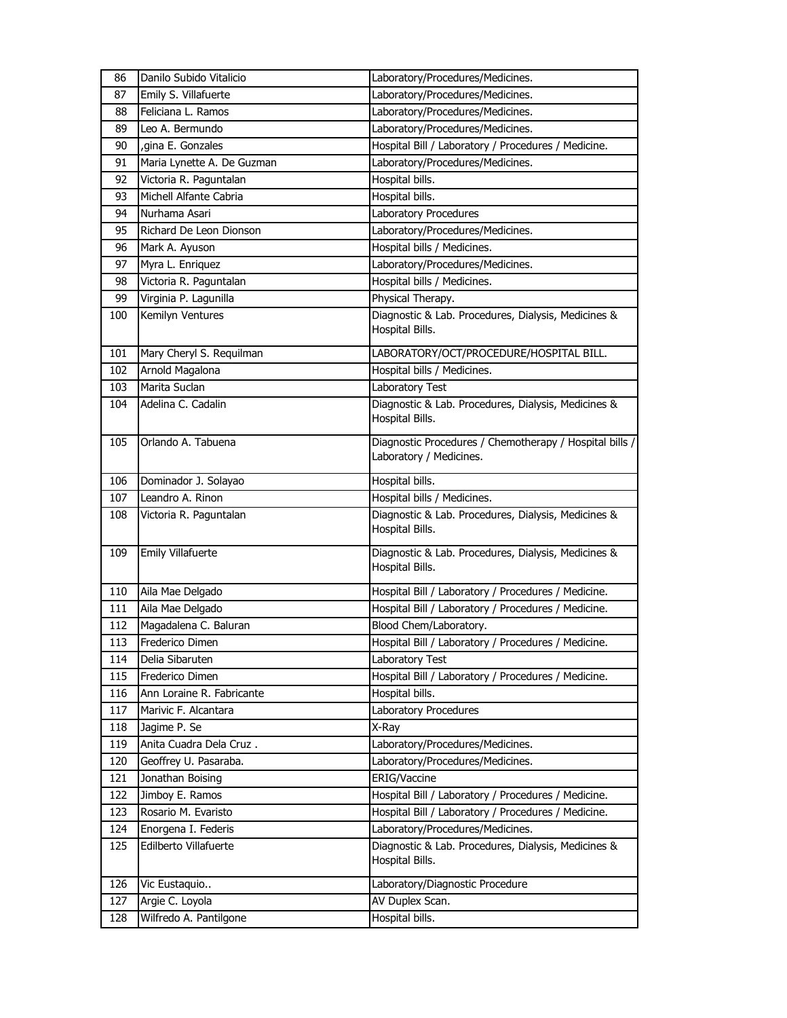| 86  | Danilo Subido Vitalicio    | Laboratory/Procedures/Medicines.                                                   |
|-----|----------------------------|------------------------------------------------------------------------------------|
| 87  | Emily S. Villafuerte       | Laboratory/Procedures/Medicines.                                                   |
| 88  | Feliciana L. Ramos         | Laboratory/Procedures/Medicines.                                                   |
| 89  | Leo A. Bermundo            | Laboratory/Procedures/Medicines.                                                   |
| 90  | , gina E. Gonzales         | Hospital Bill / Laboratory / Procedures / Medicine.                                |
| 91  | Maria Lynette A. De Guzman | Laboratory/Procedures/Medicines.                                                   |
| 92  | Victoria R. Paguntalan     | Hospital bills.                                                                    |
| 93  | Michell Alfante Cabria     | Hospital bills.                                                                    |
| 94  | Nurhama Asari              | Laboratory Procedures                                                              |
| 95  | Richard De Leon Dionson    | Laboratory/Procedures/Medicines.                                                   |
| 96  | Mark A. Ayuson             | Hospital bills / Medicines.                                                        |
| 97  | Myra L. Enriquez           | Laboratory/Procedures/Medicines.                                                   |
| 98  | Victoria R. Paguntalan     | Hospital bills / Medicines.                                                        |
| 99  | Virginia P. Lagunilla      | Physical Therapy.                                                                  |
| 100 | Kemilyn Ventures           | Diagnostic & Lab. Procedures, Dialysis, Medicines &                                |
|     |                            | Hospital Bills.                                                                    |
| 101 | Mary Cheryl S. Requilman   | LABORATORY/OCT/PROCEDURE/HOSPITAL BILL.                                            |
| 102 | Arnold Magalona            | Hospital bills / Medicines.                                                        |
| 103 | Marita Suclan              | Laboratory Test                                                                    |
| 104 | Adelina C. Cadalin         | Diagnostic & Lab. Procedures, Dialysis, Medicines &                                |
|     |                            | Hospital Bills.                                                                    |
|     | Orlando A. Tabuena         |                                                                                    |
| 105 |                            | Diagnostic Procedures / Chemotherapy / Hospital bills /<br>Laboratory / Medicines. |
|     |                            |                                                                                    |
| 106 | Dominador J. Solayao       | Hospital bills.                                                                    |
| 107 | Leandro A. Rinon           | Hospital bills / Medicines.                                                        |
| 108 | Victoria R. Paguntalan     | Diagnostic & Lab. Procedures, Dialysis, Medicines &<br>Hospital Bills.             |
| 109 | <b>Emily Villafuerte</b>   | Diagnostic & Lab. Procedures, Dialysis, Medicines &<br>Hospital Bills.             |
| 110 | Aila Mae Delgado           | Hospital Bill / Laboratory / Procedures / Medicine.                                |
| 111 | Aila Mae Delgado           | Hospital Bill / Laboratory / Procedures / Medicine.                                |
| 112 | Magadalena C. Baluran      | Blood Chem/Laboratory.                                                             |
| 113 | Frederico Dimen            | Hospital Bill / Laboratory / Procedures / Medicine.                                |
| 114 | Delia Sibaruten            | Laboratory Test                                                                    |
| 115 | Frederico Dimen            | Hospital Bill / Laboratory / Procedures / Medicine.                                |
| 116 | Ann Loraine R. Fabricante  | Hospital bills.                                                                    |
| 117 | Marivic F. Alcantara       | <b>Laboratory Procedures</b>                                                       |
| 118 | Jagime P. Se               | X-Ray                                                                              |
| 119 | Anita Cuadra Dela Cruz.    | Laboratory/Procedures/Medicines.                                                   |
| 120 | Geoffrey U. Pasaraba.      | Laboratory/Procedures/Medicines.                                                   |
| 121 | Jonathan Boising           | ERIG/Vaccine                                                                       |
| 122 | Jimboy E. Ramos            | Hospital Bill / Laboratory / Procedures / Medicine.                                |
| 123 | Rosario M. Evaristo        | Hospital Bill / Laboratory / Procedures / Medicine.                                |
| 124 | Enorgena I. Federis        | Laboratory/Procedures/Medicines.                                                   |
| 125 | Edilberto Villafuerte      | Diagnostic & Lab. Procedures, Dialysis, Medicines &<br>Hospital Bills.             |
| 126 | Vic Eustaquio              | Laboratory/Diagnostic Procedure                                                    |
| 127 | Argie C. Loyola            | AV Duplex Scan.                                                                    |
| 128 | Wilfredo A. Pantilgone     | Hospital bills.                                                                    |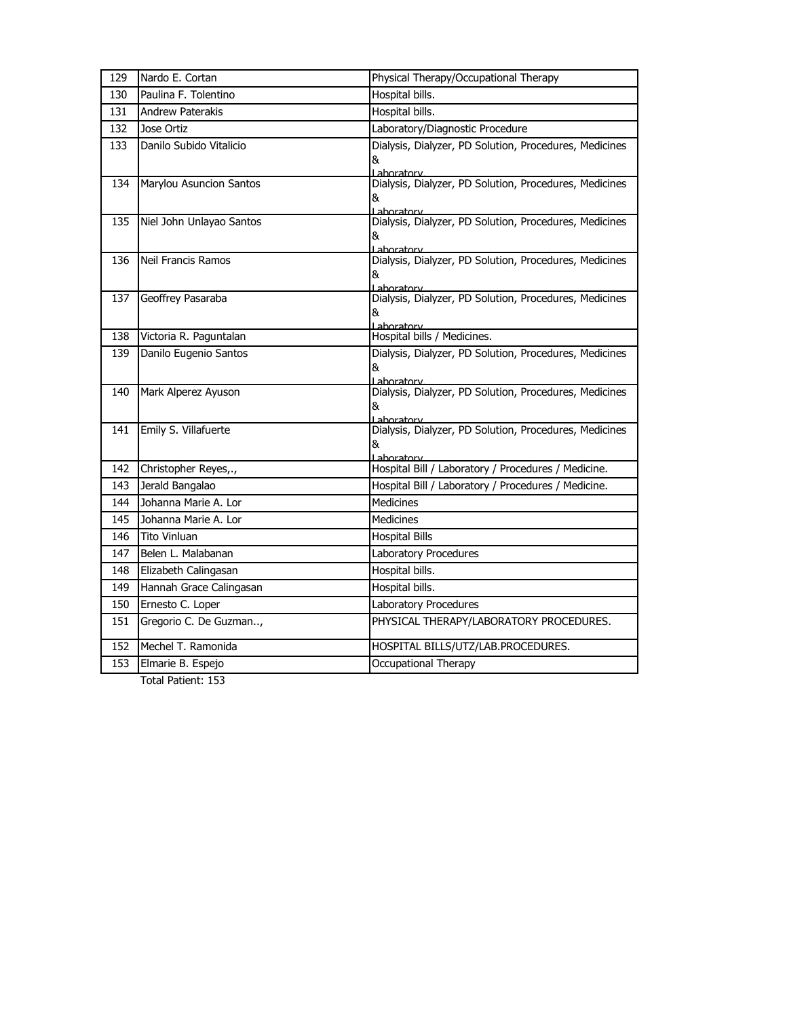| 129 | Nardo E. Cortan           | Physical Therapy/Occupational Therapy                                     |
|-----|---------------------------|---------------------------------------------------------------------------|
| 130 | Paulina F. Tolentino      | Hospital bills.                                                           |
| 131 | <b>Andrew Paterakis</b>   | Hospital bills.                                                           |
| 132 | Jose Ortiz                | Laboratory/Diagnostic Procedure                                           |
| 133 | Danilo Subido Vitalicio   | Dialysis, Dialyzer, PD Solution, Procedures, Medicines<br>&<br>Laboratory |
| 134 | Marylou Asuncion Santos   | Dialysis, Dialyzer, PD Solution, Procedures, Medicines<br>&<br>Laboratory |
| 135 | Niel John Unlayao Santos  | Dialysis, Dialyzer, PD Solution, Procedures, Medicines<br>&<br>Laboratory |
| 136 | <b>Neil Francis Ramos</b> | Dialysis, Dialyzer, PD Solution, Procedures, Medicines<br>&<br>Laboratory |
| 137 | Geoffrey Pasaraba         | Dialysis, Dialyzer, PD Solution, Procedures, Medicines<br>&<br>Laboratory |
| 138 | Victoria R. Paguntalan    | Hospital bills / Medicines.                                               |
| 139 | Danilo Eugenio Santos     | Dialysis, Dialyzer, PD Solution, Procedures, Medicines<br>&<br>Laboratory |
| 140 | Mark Alperez Ayuson       | Dialysis, Dialyzer, PD Solution, Procedures, Medicines<br>&<br>Laboratory |
| 141 | Emily S. Villafuerte      | Dialysis, Dialyzer, PD Solution, Procedures, Medicines<br>&<br>Laboratory |
| 142 | Christopher Reyes,.,      | Hospital Bill / Laboratory / Procedures / Medicine.                       |
| 143 | Jerald Bangalao           | Hospital Bill / Laboratory / Procedures / Medicine.                       |
| 144 | Johanna Marie A. Lor      | <b>Medicines</b>                                                          |
| 145 | Johanna Marie A. Lor      | Medicines                                                                 |
| 146 | <b>Tito Vinluan</b>       | <b>Hospital Bills</b>                                                     |
| 147 | Belen L. Malabanan        | Laboratory Procedures                                                     |
| 148 | Elizabeth Calingasan      | Hospital bills.                                                           |
| 149 | Hannah Grace Calingasan   | Hospital bills.                                                           |
| 150 | Ernesto C. Loper          | Laboratory Procedures                                                     |
| 151 | Gregorio C. De Guzman,    | PHYSICAL THERAPY/LABORATORY PROCEDURES.                                   |
| 152 | Mechel T. Ramonida        | HOSPITAL BILLS/UTZ/LAB.PROCEDURES.                                        |
| 153 | Elmarie B. Espejo         | Occupational Therapy                                                      |
|     |                           |                                                                           |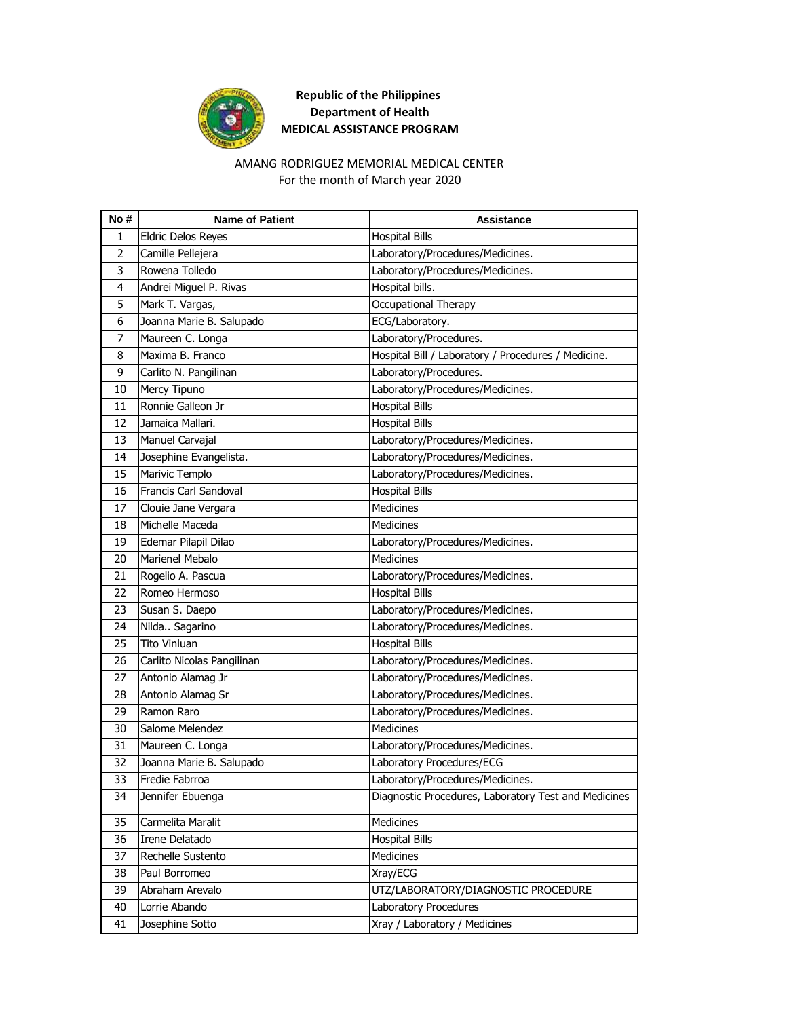

#### AMANG RODRIGUEZ MEMORIAL MEDICAL CENTER For the month of March year 2020

| No# | <b>Name of Patient</b>       | <b>Assistance</b>                                    |
|-----|------------------------------|------------------------------------------------------|
| 1   | <b>Eldric Delos Reyes</b>    | <b>Hospital Bills</b>                                |
| 2   | Camille Pellejera            | Laboratory/Procedures/Medicines.                     |
| 3   | Rowena Tolledo               | Laboratory/Procedures/Medicines.                     |
| 4   | Andrei Miguel P. Rivas       | Hospital bills.                                      |
| 5   | Mark T. Vargas,              | Occupational Therapy                                 |
| 6   | Joanna Marie B. Salupado     | ECG/Laboratory.                                      |
| 7   | Maureen C. Longa             | Laboratory/Procedures.                               |
| 8   | Maxima B. Franco             | Hospital Bill / Laboratory / Procedures / Medicine.  |
| 9   | Carlito N. Pangilinan        | Laboratory/Procedures.                               |
| 10  | Mercy Tipuno                 | Laboratory/Procedures/Medicines.                     |
| 11  | Ronnie Galleon Jr            | <b>Hospital Bills</b>                                |
| 12  | Jamaica Mallari.             | <b>Hospital Bills</b>                                |
| 13  | Manuel Carvajal              | Laboratory/Procedures/Medicines.                     |
| 14  | Josephine Evangelista.       | Laboratory/Procedures/Medicines.                     |
| 15  | Marivic Templo               | Laboratory/Procedures/Medicines.                     |
| 16  | <b>Francis Carl Sandoval</b> | <b>Hospital Bills</b>                                |
| 17  | Clouie Jane Vergara          | Medicines                                            |
| 18  | Michelle Maceda              | <b>Medicines</b>                                     |
| 19  | Edemar Pilapil Dilao         | Laboratory/Procedures/Medicines.                     |
| 20  | Marienel Mebalo              | <b>Medicines</b>                                     |
| 21  | Rogelio A. Pascua            | Laboratory/Procedures/Medicines.                     |
| 22  | Romeo Hermoso                | <b>Hospital Bills</b>                                |
| 23  | Susan S. Daepo               | Laboratory/Procedures/Medicines.                     |
| 24  | Nilda Sagarino               | Laboratory/Procedures/Medicines.                     |
| 25  | <b>Tito Vinluan</b>          | <b>Hospital Bills</b>                                |
| 26  | Carlito Nicolas Pangilinan   | Laboratory/Procedures/Medicines.                     |
| 27  | Antonio Alamag Jr            | Laboratory/Procedures/Medicines.                     |
| 28  | Antonio Alamag Sr            | Laboratory/Procedures/Medicines.                     |
| 29  | Ramon Raro                   | Laboratory/Procedures/Medicines.                     |
| 30  | Salome Melendez              | Medicines                                            |
| 31  | Maureen C. Longa             | Laboratory/Procedures/Medicines.                     |
| 32  | Joanna Marie B. Salupado     | Laboratory Procedures/ECG                            |
| 33  | Fredie Fabrroa               | Laboratory/Procedures/Medicines.                     |
| 34  | Jennifer Ebuenga             | Diagnostic Procedures, Laboratory Test and Medicines |
| 35  | Carmelita Maralit            | Medicines                                            |
| 36  | Irene Delatado               | <b>Hospital Bills</b>                                |
| 37  | Rechelle Sustento            | Medicines                                            |
| 38  | Paul Borromeo                | Xray/ECG                                             |
| 39  | Abraham Arevalo              | UTZ/LABORATORY/DIAGNOSTIC PROCEDURE                  |
| 40  | Lorrie Abando                | Laboratory Procedures                                |
| 41  | Josephine Sotto              | Xray / Laboratory / Medicines                        |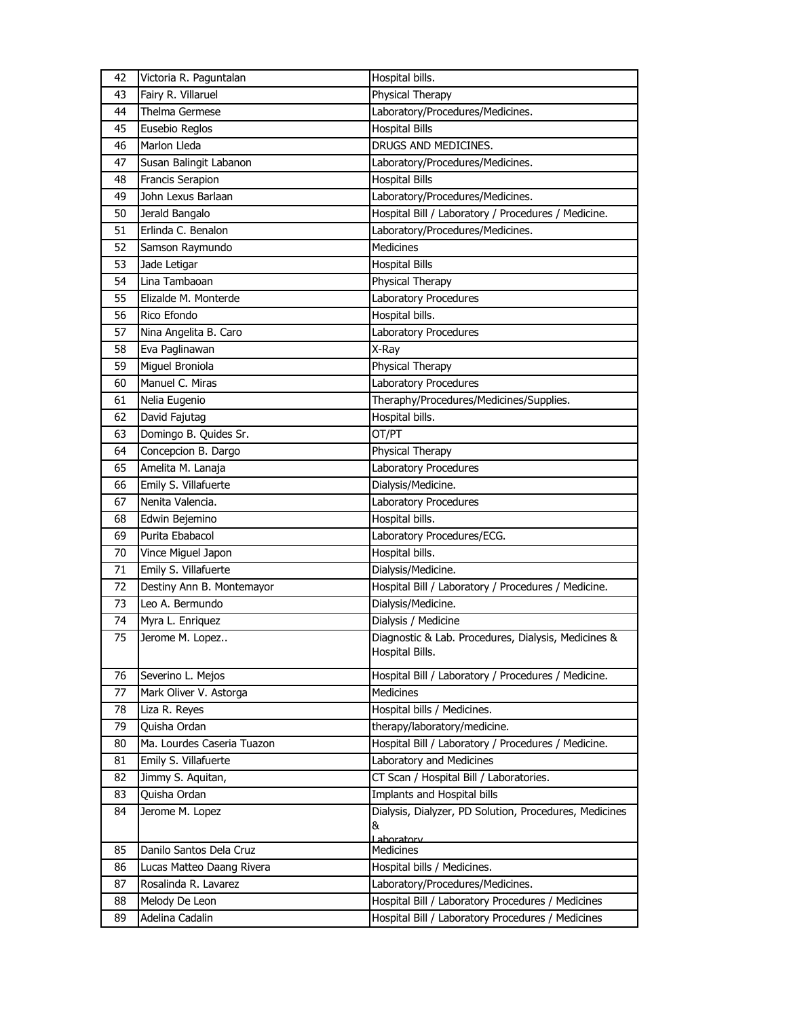| 42       | Victoria R. Paguntalan            | Hospital bills.                                                        |
|----------|-----------------------------------|------------------------------------------------------------------------|
| 43       | Fairy R. Villaruel                | Physical Therapy                                                       |
| 44       | Thelma Germese                    | Laboratory/Procedures/Medicines.                                       |
| 45       | Eusebio Reglos                    | <b>Hospital Bills</b>                                                  |
| 46       | Marlon Lleda                      | DRUGS AND MEDICINES.                                                   |
| 47       | Susan Balingit Labanon            | Laboratory/Procedures/Medicines.                                       |
| 48       | Francis Serapion                  | <b>Hospital Bills</b>                                                  |
| 49       | John Lexus Barlaan                | Laboratory/Procedures/Medicines.                                       |
| 50       | Jerald Bangalo                    | Hospital Bill / Laboratory / Procedures / Medicine.                    |
| 51       | Erlinda C. Benalon                | Laboratory/Procedures/Medicines.                                       |
| 52       | Samson Raymundo                   | <b>Medicines</b>                                                       |
| 53       | Jade Letigar                      | <b>Hospital Bills</b>                                                  |
| 54       | Lina Tambaoan                     | Physical Therapy                                                       |
| 55       | Elizalde M. Monterde              | Laboratory Procedures                                                  |
| 56       | Rico Efondo                       | Hospital bills.                                                        |
| 57       | Nina Angelita B. Caro             | Laboratory Procedures                                                  |
| 58       | Eva Paglinawan                    | X-Ray                                                                  |
| 59       | Miguel Broniola                   | Physical Therapy                                                       |
| 60       | Manuel C. Miras                   | Laboratory Procedures                                                  |
| 61       | Nelia Eugenio                     | Theraphy/Procedures/Medicines/Supplies.                                |
| 62       | David Fajutag                     | Hospital bills.                                                        |
| 63       | Domingo B. Quides Sr.             | OT/PT                                                                  |
| 64       | Concepcion B. Dargo               | Physical Therapy                                                       |
| 65       | Amelita M. Lanaja                 | Laboratory Procedures                                                  |
| 66       | Emily S. Villafuerte              | Dialysis/Medicine.                                                     |
| 67       | Nenita Valencia.                  | Laboratory Procedures                                                  |
| 68       | Edwin Bejemino                    | Hospital bills.                                                        |
| 69       | Purita Ebabacol                   | Laboratory Procedures/ECG.                                             |
| 70       | Vince Miguel Japon                | Hospital bills.                                                        |
| 71       | Emily S. Villafuerte              | Dialysis/Medicine.                                                     |
| 72       | Destiny Ann B. Montemayor         | Hospital Bill / Laboratory / Procedures / Medicine.                    |
| 73       | Leo A. Bermundo                   | Dialysis/Medicine.                                                     |
| 74       | Myra L. Enriquez                  | Dialysis / Medicine                                                    |
| 75       | Jerome M. Lopez                   | Diagnostic & Lab. Procedures, Dialysis, Medicines &                    |
|          |                                   | Hospital Bills.                                                        |
| 76       | Severino L. Mejos                 | Hospital Bill / Laboratory / Procedures / Medicine.                    |
| 77       | Mark Oliver V. Astorga            | <b>Medicines</b>                                                       |
| 78       | Liza R. Reyes                     | Hospital bills / Medicines.                                            |
| 79       | Quisha Ordan                      | therapy/laboratory/medicine.                                           |
| 80       | Ma. Lourdes Caseria Tuazon        | Hospital Bill / Laboratory / Procedures / Medicine.                    |
|          | Emily S. Villafuerte              | Laboratory and Medicines                                               |
| 81       |                                   |                                                                        |
| 82<br>83 | Jimmy S. Aquitan,<br>Quisha Ordan | CT Scan / Hospital Bill / Laboratories.<br>Implants and Hospital bills |
|          |                                   |                                                                        |
| 84       | Jerome M. Lopez                   | Dialysis, Dialyzer, PD Solution, Procedures, Medicines<br>&            |
|          |                                   | Lahoratory                                                             |
| 85       | Danilo Santos Dela Cruz           | Medicines                                                              |
| 86       | Lucas Matteo Daang Rivera         | Hospital bills / Medicines.                                            |
| 87       | Rosalinda R. Lavarez              | Laboratory/Procedures/Medicines.                                       |
| 88       | Melody De Leon                    | Hospital Bill / Laboratory Procedures / Medicines                      |
| 89       | Adelina Cadalin                   | Hospital Bill / Laboratory Procedures / Medicines                      |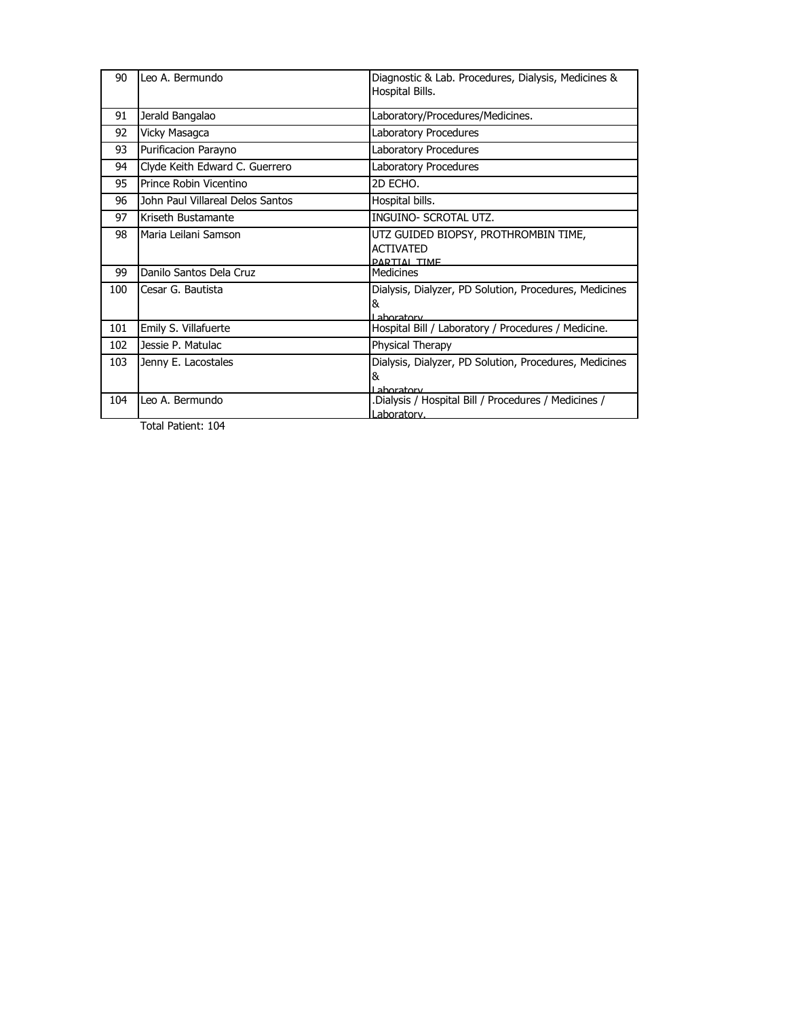| 90  | Leo A. Bermundo                  | Diagnostic & Lab. Procedures, Dialysis, Medicines &<br>Hospital Bills.          |
|-----|----------------------------------|---------------------------------------------------------------------------------|
| 91  | Jerald Bangalao                  | Laboratory/Procedures/Medicines.                                                |
| 92  | Vicky Masagca                    | Laboratory Procedures                                                           |
| 93  | Purificacion Parayno             | Laboratory Procedures                                                           |
| 94  | Clyde Keith Edward C. Guerrero   | Laboratory Procedures                                                           |
| 95  | Prince Robin Vicentino           | 2D ECHO.                                                                        |
| 96  | John Paul Villareal Delos Santos | Hospital bills.                                                                 |
| 97  | Kriseth Bustamante               | <b>INGUINO- SCROTAL UTZ.</b>                                                    |
| 98  | Maria Leilani Samson             | UTZ GUIDED BIOPSY, PROTHROMBIN TIME,<br><b>ACTIVATED</b><br><b>PARTIAL TIME</b> |
| 99  | Danilo Santos Dela Cruz          | <b>Medicines</b>                                                                |
| 100 | Cesar G. Bautista                | Dialysis, Dialyzer, PD Solution, Procedures, Medicines<br>&<br>Laboratory       |
| 101 | Emily S. Villafuerte             | Hospital Bill / Laboratory / Procedures / Medicine.                             |
| 102 | Jessie P. Matulac                | Physical Therapy                                                                |
| 103 | Jenny E. Lacostales              | Dialysis, Dialyzer, PD Solution, Procedures, Medicines<br>&<br>I aboratory      |
| 104 | Leo A. Bermundo                  | Dialysis / Hospital Bill / Procedures / Medicines /<br>Laboratory.              |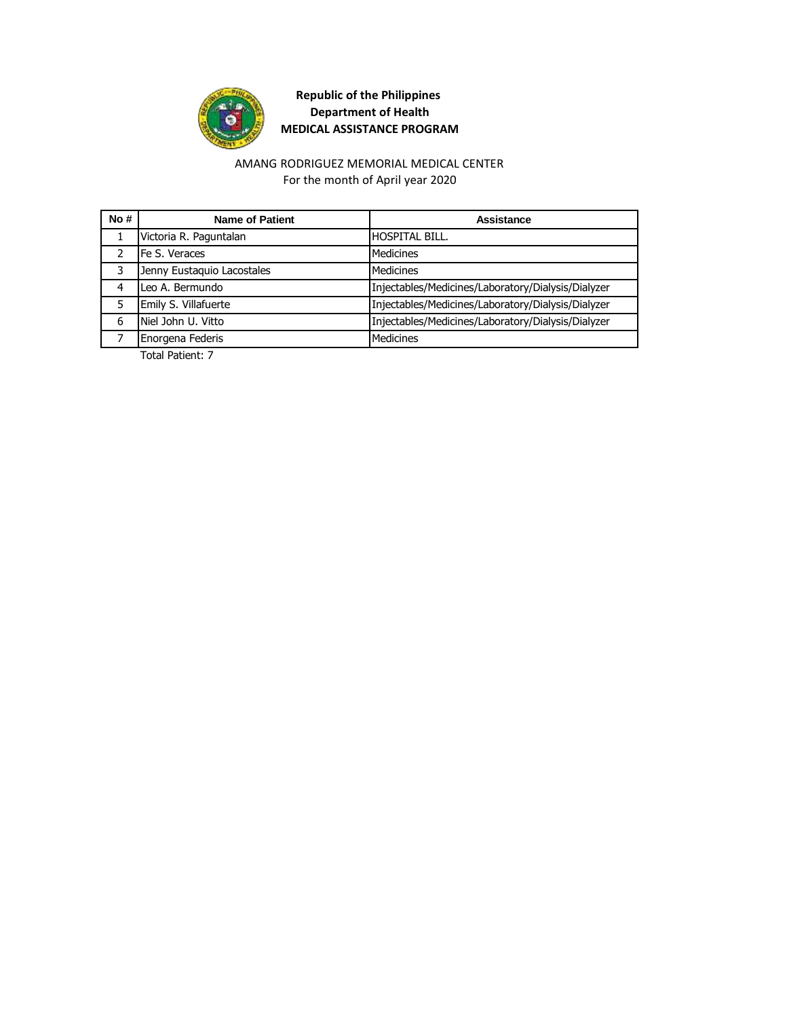

#### AMANG RODRIGUEZ MEMORIAL MEDICAL CENTER For the month of April year 2020

| No# | <b>Name of Patient</b>     | Assistance                                         |
|-----|----------------------------|----------------------------------------------------|
|     | Victoria R. Paguntalan     | <b>HOSPITAL BILL.</b>                              |
| າ   | Fe S. Veraces              | <b>Medicines</b>                                   |
| 3   | Jenny Eustaquio Lacostales | <b>Medicines</b>                                   |
| 4   | Leo A. Bermundo            | Injectables/Medicines/Laboratory/Dialysis/Dialyzer |
| 5   | Emily S. Villafuerte       | Injectables/Medicines/Laboratory/Dialysis/Dialyzer |
| 6   | Niel John U. Vitto         | Injectables/Medicines/Laboratory/Dialysis/Dialyzer |
|     | Enorgena Federis           | <b>Medicines</b>                                   |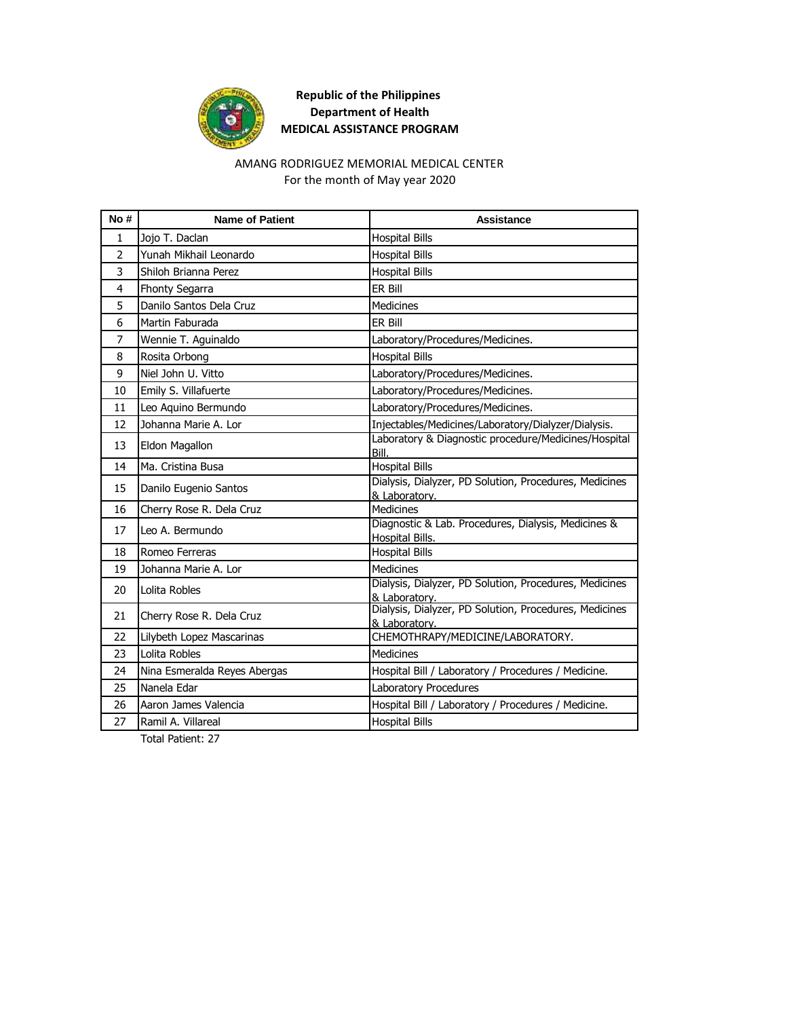

#### For the month of May year 2020 AMANG RODRIGUEZ MEMORIAL MEDICAL CENTER

| No#            | <b>Name of Patient</b>       | <b>Assistance</b>                                                       |
|----------------|------------------------------|-------------------------------------------------------------------------|
| $\mathbf{1}$   | Jojo T. Daclan               | <b>Hospital Bills</b>                                                   |
| $\overline{2}$ | Yunah Mikhail Leonardo       | <b>Hospital Bills</b>                                                   |
| 3              | Shiloh Brianna Perez         | <b>Hospital Bills</b>                                                   |
| 4              | <b>Fhonty Segarra</b>        | ER Bill                                                                 |
| 5              | Danilo Santos Dela Cruz      | <b>Medicines</b>                                                        |
| 6              | Martin Faburada              | ER Bill                                                                 |
| $\overline{7}$ | Wennie T. Aguinaldo          | Laboratory/Procedures/Medicines.                                        |
| 8              | Rosita Orbong                | <b>Hospital Bills</b>                                                   |
| 9              | Niel John U. Vitto           | Laboratory/Procedures/Medicines.                                        |
| 10             | Emily S. Villafuerte         | Laboratory/Procedures/Medicines.                                        |
| 11             | Leo Aquino Bermundo          | Laboratory/Procedures/Medicines.                                        |
| 12             | Johanna Marie A. Lor         | Injectables/Medicines/Laboratory/Dialyzer/Dialysis.                     |
| 13             | Eldon Magallon               | Laboratory & Diagnostic procedure/Medicines/Hospital<br>Bill.           |
| 14             | Ma. Cristina Busa            | <b>Hospital Bills</b>                                                   |
| 15             | Danilo Eugenio Santos        | Dialysis, Dialyzer, PD Solution, Procedures, Medicines<br>& Laboratory. |
| 16             | Cherry Rose R. Dela Cruz     | <b>Medicines</b>                                                        |
| 17             | Leo A. Bermundo              | Diagnostic & Lab. Procedures, Dialysis, Medicines &<br>Hospital Bills.  |
| 18             | Romeo Ferreras               | <b>Hospital Bills</b>                                                   |
| 19             | Johanna Marie A. Lor         | <b>Medicines</b>                                                        |
| 20             | Lolita Robles                | Dialysis, Dialyzer, PD Solution, Procedures, Medicines<br>& Laboratory. |
| 21             | Cherry Rose R. Dela Cruz     | Dialysis, Dialyzer, PD Solution, Procedures, Medicines<br>& Laboratory. |
| 22             | Lilybeth Lopez Mascarinas    | CHEMOTHRAPY/MEDICINE/LABORATORY.                                        |
| 23             | Lolita Robles                | <b>Medicines</b>                                                        |
| 24             | Nina Esmeralda Reyes Abergas | Hospital Bill / Laboratory / Procedures / Medicine.                     |
| 25             | Nanela Edar                  | Laboratory Procedures                                                   |
| 26             | Aaron James Valencia         | Hospital Bill / Laboratory / Procedures / Medicine.                     |
| 27             | Ramil A. Villareal           | <b>Hospital Bills</b>                                                   |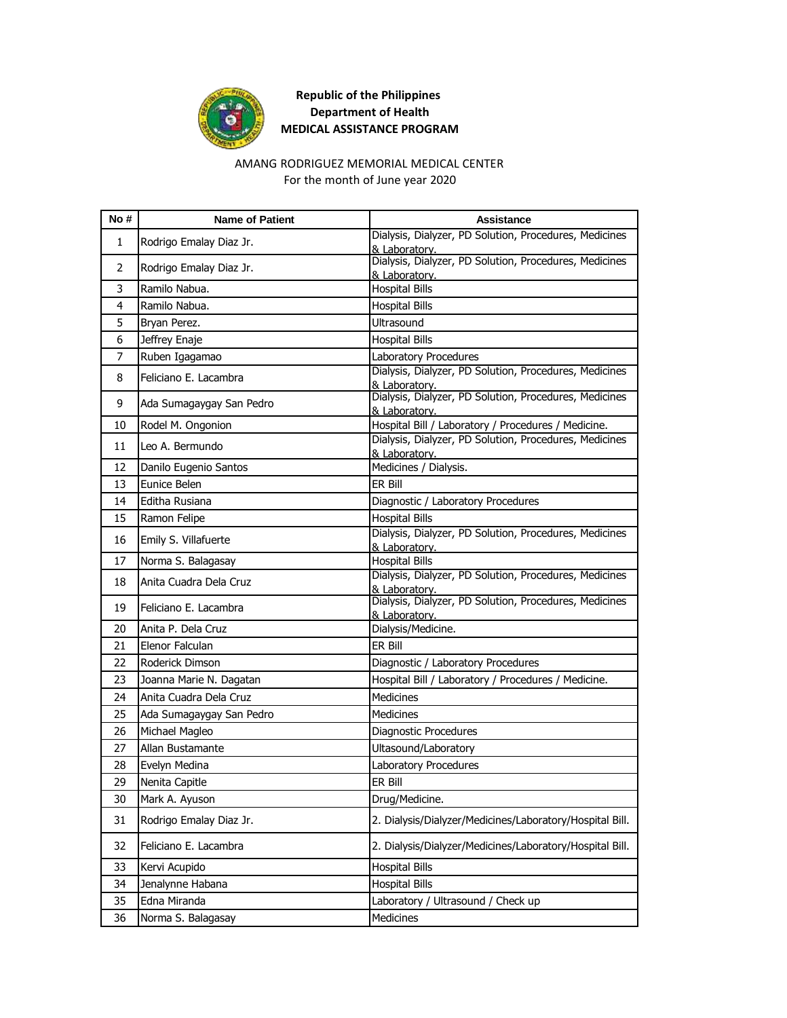

#### AMANG RODRIGUEZ MEMORIAL MEDICAL CENTER For the month of June year 2020

| No# | <b>Name of Patient</b>   | <b>Assistance</b>                                                               |
|-----|--------------------------|---------------------------------------------------------------------------------|
| 1   | Rodrigo Emalay Diaz Jr.  | Dialysis, Dialyzer, PD Solution, Procedures, Medicines                          |
|     |                          | & Laboratory.<br>Dialysis, Dialyzer, PD Solution, Procedures, Medicines         |
| 2   | Rodrigo Emalay Diaz Jr.  | & Laboratory.                                                                   |
| 3   | Ramilo Nabua.            | <b>Hospital Bills</b>                                                           |
| 4   | Ramilo Nabua.            | <b>Hospital Bills</b>                                                           |
| 5   | Bryan Perez.             | Ultrasound                                                                      |
| 6   | Jeffrey Enaje            | <b>Hospital Bills</b>                                                           |
| 7   | Ruben Igagamao           | Laboratory Procedures                                                           |
|     |                          | Dialysis, Dialyzer, PD Solution, Procedures, Medicines                          |
| 8   | Feliciano E. Lacambra    | & Laboratory.                                                                   |
| 9   | Ada Sumagaygay San Pedro | Dialysis, Dialyzer, PD Solution, Procedures, Medicines                          |
| 10  | Rodel M. Ongonion        | & Laboratory.<br>Hospital Bill / Laboratory / Procedures / Medicine.            |
|     |                          | Dialysis, Dialyzer, PD Solution, Procedures, Medicines                          |
| 11  | Leo A. Bermundo          | & Laboratory.                                                                   |
| 12  | Danilo Eugenio Santos    | Medicines / Dialysis.                                                           |
| 13  | Eunice Belen             | ER Bill                                                                         |
| 14  | Editha Rusiana           | Diagnostic / Laboratory Procedures                                              |
| 15  | Ramon Felipe             | <b>Hospital Bills</b>                                                           |
| 16  | Emily S. Villafuerte     | Dialysis, Dialyzer, PD Solution, Procedures, Medicines                          |
|     |                          | & Laboratory.                                                                   |
| 17  | Norma S. Balagasay       | <b>Hospital Bills</b><br>Dialysis, Dialyzer, PD Solution, Procedures, Medicines |
| 18  | Anita Cuadra Dela Cruz   | & Laboratory.                                                                   |
| 19  | Feliciano E. Lacambra    | Dialysis, Dialyzer, PD Solution, Procedures, Medicines                          |
|     |                          | & Laboratory.                                                                   |
| 20  | Anita P. Dela Cruz       | Dialysis/Medicine.                                                              |
| 21  | Elenor Falculan          | ER Bill                                                                         |
| 22  | Roderick Dimson          | Diagnostic / Laboratory Procedures                                              |
| 23  | Joanna Marie N. Dagatan  | Hospital Bill / Laboratory / Procedures / Medicine.                             |
| 24  | Anita Cuadra Dela Cruz   | Medicines                                                                       |
| 25  | Ada Sumagaygay San Pedro | <b>Medicines</b>                                                                |
| 26  | Michael Magleo           | Diagnostic Procedures                                                           |
| 27  | Allan Bustamante         | Ultasound/Laboratory                                                            |
| 28  | Evelyn Medina            | Laboratory Procedures                                                           |
| 29  | Nenita Capitle           | ER Bill                                                                         |
| 30  | Mark A. Ayuson           | Drug/Medicine.                                                                  |
| 31  | Rodrigo Emalay Diaz Jr.  | 2. Dialysis/Dialyzer/Medicines/Laboratory/Hospital Bill.                        |
| 32  | Feliciano E. Lacambra    | 2. Dialysis/Dialyzer/Medicines/Laboratory/Hospital Bill.                        |
| 33  | Kervi Acupido            | <b>Hospital Bills</b>                                                           |
| 34  | Jenalynne Habana         | <b>Hospital Bills</b>                                                           |
| 35  | Edna Miranda             | Laboratory / Ultrasound / Check up                                              |
| 36  | Norma S. Balagasay       | Medicines                                                                       |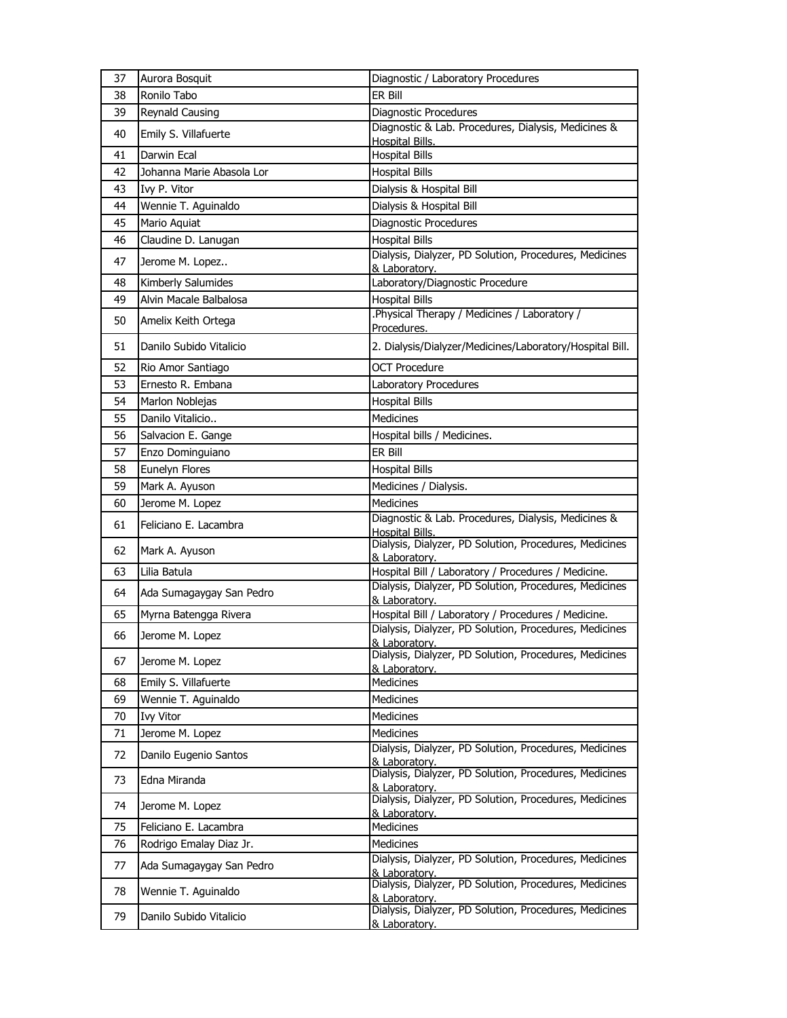| 37 | Aurora Bosquit            | Diagnostic / Laboratory Procedures                                      |
|----|---------------------------|-------------------------------------------------------------------------|
| 38 | Ronilo Tabo               | ER Bill                                                                 |
| 39 | <b>Reynald Causing</b>    | Diagnostic Procedures                                                   |
| 40 | Emily S. Villafuerte      | Diagnostic & Lab. Procedures, Dialysis, Medicines &<br>Hospital Bills.  |
| 41 | Darwin Ecal               | <b>Hospital Bills</b>                                                   |
| 42 | Johanna Marie Abasola Lor | <b>Hospital Bills</b>                                                   |
| 43 | Ivy P. Vitor              | Dialysis & Hospital Bill                                                |
| 44 | Wennie T. Aguinaldo       | Dialysis & Hospital Bill                                                |
| 45 | Mario Aquiat              | <b>Diagnostic Procedures</b>                                            |
| 46 | Claudine D. Lanugan       | <b>Hospital Bills</b>                                                   |
| 47 | Jerome M. Lopez           | Dialysis, Dialyzer, PD Solution, Procedures, Medicines<br>& Laboratory. |
| 48 | Kimberly Salumides        | Laboratory/Diagnostic Procedure                                         |
| 49 | Alvin Macale Balbalosa    | <b>Hospital Bills</b>                                                   |
| 50 | Amelix Keith Ortega       | .Physical Therapy / Medicines / Laboratory /<br>Procedures.             |
| 51 | Danilo Subido Vitalicio   | 2. Dialysis/Dialyzer/Medicines/Laboratory/Hospital Bill.                |
| 52 | Rio Amor Santiago         | <b>OCT Procedure</b>                                                    |
| 53 | Ernesto R. Embana         | Laboratory Procedures                                                   |
| 54 | Marlon Noblejas           | <b>Hospital Bills</b>                                                   |
| 55 | Danilo Vitalicio          | <b>Medicines</b>                                                        |
| 56 | Salvacion E. Gange        | Hospital bills / Medicines.                                             |
| 57 | Enzo Dominguiano          | ER Bill                                                                 |
| 58 | Eunelyn Flores            | <b>Hospital Bills</b>                                                   |
| 59 | Mark A. Ayuson            | Medicines / Dialysis.                                                   |
| 60 | Jerome M. Lopez           | <b>Medicines</b>                                                        |
| 61 | Feliciano E. Lacambra     | Diagnostic & Lab. Procedures, Dialysis, Medicines &<br>Hospital Bills.  |
| 62 | Mark A. Ayuson            | Dialysis, Dialyzer, PD Solution, Procedures, Medicines<br>& Laboratory. |
| 63 | Lilia Batula              | Hospital Bill / Laboratory / Procedures / Medicine.                     |
| 64 | Ada Sumagaygay San Pedro  | Dialysis, Dialyzer, PD Solution, Procedures, Medicines<br>& Laboratory. |
| 65 | Myrna Batengga Rivera     | Hospital Bill / Laboratory / Procedures / Medicine.                     |
| 66 | Jerome M. Lopez           | Dialysis, Dialyzer, PD Solution, Procedures, Medicines<br>& Laboratory. |
| 67 | Jerome M. Lopez           | Dialysis, Dialyzer, PD Solution, Procedures, Medicines<br>& Laboratory. |
| 68 | Emily S. Villafuerte      | Medicines                                                               |
| 69 | Wennie T. Aguinaldo       | Medicines                                                               |
| 70 | <b>Ivy Vitor</b>          | Medicines                                                               |
| 71 | Jerome M. Lopez           | <b>Medicines</b>                                                        |
| 72 | Danilo Eugenio Santos     | Dialysis, Dialyzer, PD Solution, Procedures, Medicines<br>& Laboratory. |
| 73 | Edna Miranda              | Dialysis, Dialyzer, PD Solution, Procedures, Medicines<br>& Laboratory. |
| 74 | Jerome M. Lopez           | Dialysis, Dialyzer, PD Solution, Procedures, Medicines<br>& Laboratory. |
| 75 | Feliciano E. Lacambra     | Medicines                                                               |
| 76 | Rodrigo Emalay Diaz Jr.   | Medicines                                                               |
| 77 | Ada Sumagaygay San Pedro  | Dialysis, Dialyzer, PD Solution, Procedures, Medicines                  |
|    |                           | & Laboratory.<br>Dialysis, Dialyzer, PD Solution, Procedures, Medicines |
| 78 | Wennie T. Aguinaldo       | & Laboratory.<br>Dialysis, Dialyzer, PD Solution, Procedures, Medicines |
| 79 | Danilo Subido Vitalicio   | & Laboratory.                                                           |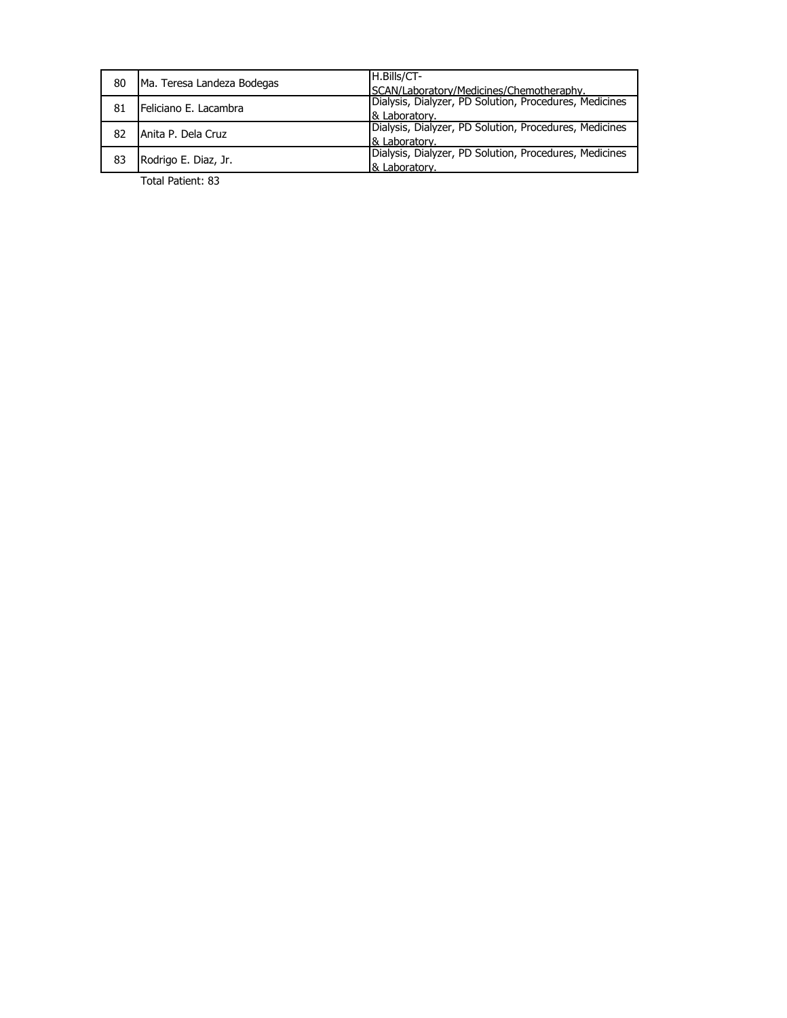| 80 | Ma. Teresa Landeza Bodegas | H.Bills/CT-                                            |
|----|----------------------------|--------------------------------------------------------|
|    |                            | SCAN/Laboratory/Medicines/Chemotheraphy.               |
| 81 | Feliciano E. Lacambra      | Dialysis, Dialyzer, PD Solution, Procedures, Medicines |
|    |                            | 8 Laboratory.                                          |
| 82 | Anita P. Dela Cruz         | Dialysis, Dialyzer, PD Solution, Procedures, Medicines |
|    |                            | & Laboratory.                                          |
| 83 | Rodrigo E. Diaz, Jr.       | Dialysis, Dialyzer, PD Solution, Procedures, Medicines |
|    |                            | & Laboratory.                                          |
|    | _ _  . _ _                 |                                                        |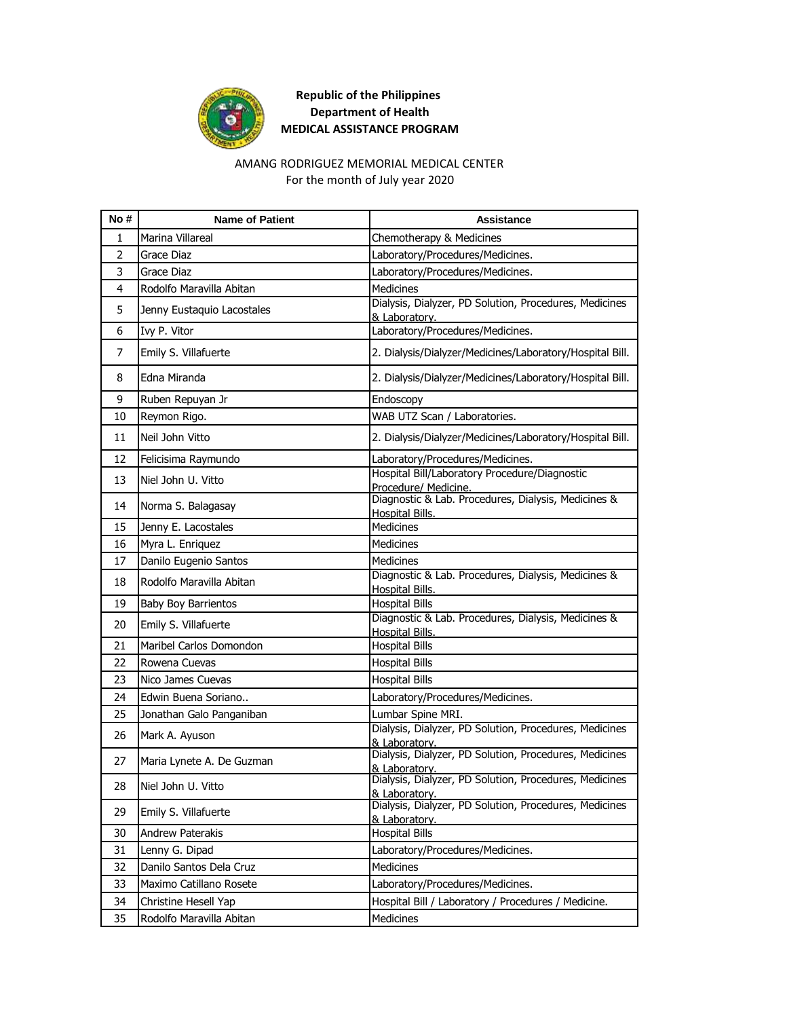

#### AMANG RODRIGUEZ MEMORIAL MEDICAL CENTER For the month of July year 2020

| No#            | <b>Name of Patient</b>     | <b>Assistance</b>                                                             |
|----------------|----------------------------|-------------------------------------------------------------------------------|
| 1              | Marina Villareal           | Chemotherapy & Medicines                                                      |
| $\overline{2}$ | Grace Diaz                 | Laboratory/Procedures/Medicines.                                              |
| 3              | Grace Diaz                 | Laboratory/Procedures/Medicines.                                              |
| 4              | Rodolfo Maravilla Abitan   | <b>Medicines</b>                                                              |
| 5              | Jenny Eustaquio Lacostales | Dialysis, Dialyzer, PD Solution, Procedures, Medicines<br>& Laboratory.       |
| 6              | Ivy P. Vitor               | Laboratory/Procedures/Medicines.                                              |
| 7              | Emily S. Villafuerte       | 2. Dialysis/Dialyzer/Medicines/Laboratory/Hospital Bill.                      |
| 8              | Edna Miranda               | 2. Dialysis/Dialyzer/Medicines/Laboratory/Hospital Bill.                      |
| 9              | Ruben Repuyan Jr           | Endoscopy                                                                     |
| 10             | Reymon Rigo.               | WAB UTZ Scan / Laboratories.                                                  |
| 11             | Neil John Vitto            | 2. Dialysis/Dialyzer/Medicines/Laboratory/Hospital Bill.                      |
| 12             | Felicisima Raymundo        | Laboratory/Procedures/Medicines.                                              |
| 13             | Niel John U. Vitto         | Hospital Bill/Laboratory Procedure/Diagnostic<br>Procedure/ Medicine.         |
| 14             | Norma S. Balagasay         | Diagnostic & Lab. Procedures, Dialysis, Medicines &<br>Hospital Bills.        |
| 15             | Jenny E. Lacostales        | Medicines                                                                     |
| 16             | Myra L. Enriquez           | <b>Medicines</b>                                                              |
| 17             | Danilo Eugenio Santos      | <b>Medicines</b>                                                              |
| 18             | Rodolfo Maravilla Abitan   | Diagnostic & Lab. Procedures, Dialysis, Medicines &<br>Hospital Bills.        |
| 19             | <b>Baby Boy Barrientos</b> | <b>Hospital Bills</b>                                                         |
| 20             | Emily S. Villafuerte       | Diagnostic & Lab. Procedures, Dialysis, Medicines &<br><b>Hospital Bills.</b> |
| 21             | Maribel Carlos Domondon    | <b>Hospital Bills</b>                                                         |
| 22             | Rowena Cuevas              | <b>Hospital Bills</b>                                                         |
| 23             | Nico James Cuevas          | <b>Hospital Bills</b>                                                         |
| 24             | Edwin Buena Soriano        | Laboratory/Procedures/Medicines.                                              |
| 25             | Jonathan Galo Panganiban   | Lumbar Spine MRI.                                                             |
| 26             | Mark A. Ayuson             | Dialysis, Dialyzer, PD Solution, Procedures, Medicines<br>& Laboratory.       |
| 27             | Maria Lynete A. De Guzman  | Dialysis, Dialyzer, PD Solution, Procedures, Medicines<br>& Laboratory.       |
| 28             | Niel John U. Vitto         | Dialysis, Dialyzer, PD Solution, Procedures, Medicines<br>& Laboratory.       |
| 29             | Emily S. Villafuerte       | Dialysis, Dialyzer, PD Solution, Procedures, Medicines<br>& Laboratory.       |
| 30             | Andrew Paterakis           | <b>Hospital Bills</b>                                                         |
| 31             | Lenny G. Dipad             | Laboratory/Procedures/Medicines.                                              |
| 32             | Danilo Santos Dela Cruz    | Medicines                                                                     |
| 33             | Maximo Catillano Rosete    | Laboratory/Procedures/Medicines.                                              |
| 34             | Christine Hesell Yap       | Hospital Bill / Laboratory / Procedures / Medicine.                           |
| 35             | Rodolfo Maravilla Abitan   | Medicines                                                                     |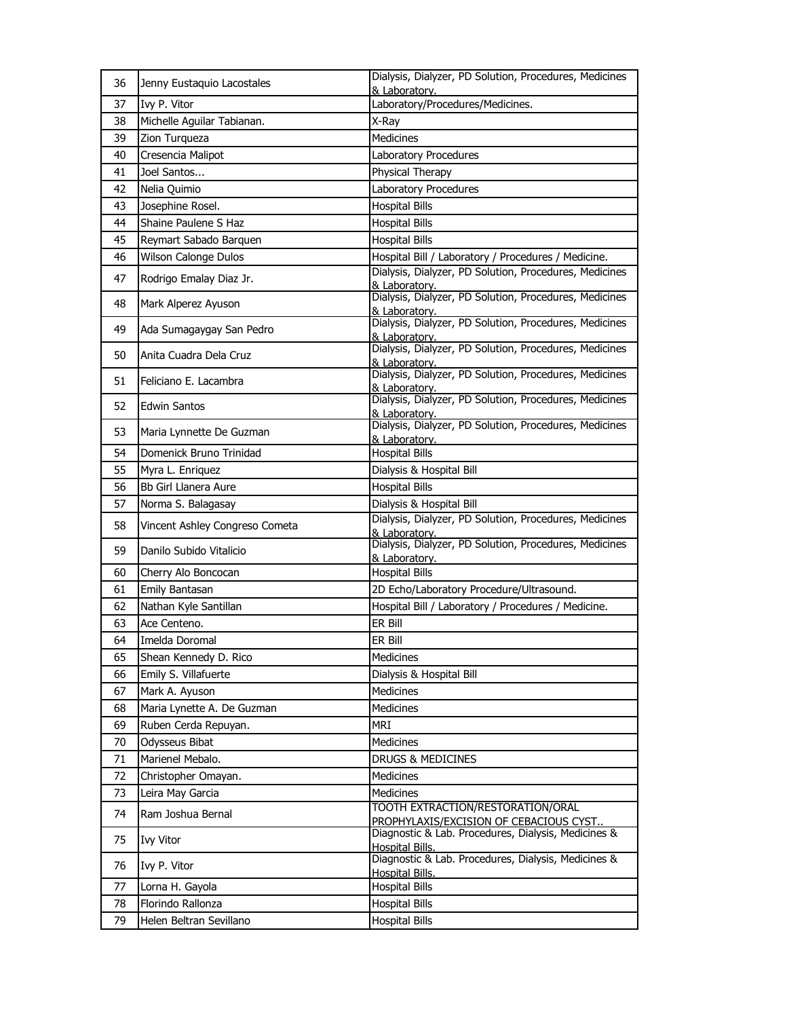| 36 | Jenny Eustaquio Lacostales     | Dialysis, Dialyzer, PD Solution, Procedures, Medicines<br>& Laboratory.     |
|----|--------------------------------|-----------------------------------------------------------------------------|
| 37 | Ivy P. Vitor                   | Laboratory/Procedures/Medicines.                                            |
| 38 | Michelle Aquilar Tabianan.     | X-Ray                                                                       |
| 39 | Zion Turqueza                  | <b>Medicines</b>                                                            |
| 40 | Cresencia Malipot              | Laboratory Procedures                                                       |
| 41 | Joel Santos                    | Physical Therapy                                                            |
| 42 | Nelia Quimio                   | Laboratory Procedures                                                       |
| 43 | Josephine Rosel.               | <b>Hospital Bills</b>                                                       |
| 44 | Shaine Paulene S Haz           | <b>Hospital Bills</b>                                                       |
| 45 | Reymart Sabado Barquen         | <b>Hospital Bills</b>                                                       |
| 46 | Wilson Calonge Dulos           | Hospital Bill / Laboratory / Procedures / Medicine.                         |
| 47 | Rodrigo Emalay Diaz Jr.        | Dialysis, Dialyzer, PD Solution, Procedures, Medicines<br>& Laboratory.     |
| 48 | Mark Alperez Ayuson            | Dialysis, Dialyzer, PD Solution, Procedures, Medicines<br>& Laboratory.     |
| 49 | Ada Sumagaygay San Pedro       | Dialysis, Dialyzer, PD Solution, Procedures, Medicines<br>& Laboratory.     |
| 50 | Anita Cuadra Dela Cruz         | Dialysis, Dialyzer, PD Solution, Procedures, Medicines<br>& Laboratory.     |
| 51 | Feliciano E. Lacambra          | Dialysis, Dialyzer, PD Solution, Procedures, Medicines<br>& Laboratory.     |
| 52 | Edwin Santos                   | Dialysis, Dialyzer, PD Solution, Procedures, Medicines<br>& Laboratory.     |
| 53 | Maria Lynnette De Guzman       | Dialysis, Dialyzer, PD Solution, Procedures, Medicines<br>& Laboratory.     |
| 54 | Domenick Bruno Trinidad        | <b>Hospital Bills</b>                                                       |
| 55 | Myra L. Enriquez               | Dialysis & Hospital Bill                                                    |
| 56 | Bb Girl Llanera Aure           | <b>Hospital Bills</b>                                                       |
| 57 | Norma S. Balagasay             | Dialysis & Hospital Bill                                                    |
| 58 | Vincent Ashley Congreso Cometa | Dialysis, Dialyzer, PD Solution, Procedures, Medicines<br>& Laboratory.     |
| 59 | Danilo Subido Vitalicio        | Dialysis, Dialyzer, PD Solution, Procedures, Medicines<br>& Laboratory.     |
| 60 | Cherry Alo Boncocan            | <b>Hospital Bills</b>                                                       |
| 61 | Emily Bantasan                 | 2D Echo/Laboratory Procedure/Ultrasound.                                    |
| 62 | Nathan Kyle Santillan          | Hospital Bill / Laboratory / Procedures / Medicine.                         |
| 63 | Ace Centeno.                   | ER Bill                                                                     |
| 64 | Imelda Doromal                 | ER Bill                                                                     |
| 65 | Shean Kennedy D. Rico          | Medicines                                                                   |
| 66 | Emily S. Villafuerte           | Dialysis & Hospital Bill                                                    |
| 67 | Mark A. Ayuson                 | <b>Medicines</b>                                                            |
| 68 | Maria Lynette A. De Guzman     | Medicines                                                                   |
| 69 | Ruben Cerda Repuyan.           | <b>MRI</b>                                                                  |
| 70 | Odysseus Bibat                 | Medicines                                                                   |
| 71 | Marienel Mebalo.               | DRUGS & MEDICINES                                                           |
| 72 | Christopher Omayan.            | Medicines                                                                   |
| 73 | Leira May Garcia               | Medicines                                                                   |
| 74 | Ram Joshua Bernal              | TOOTH EXTRACTION/RESTORATION/ORAL<br>PROPHYLAXIS/EXCISION OF CEBACIOUS CYST |
| 75 | <b>Ivy Vitor</b>               | Diagnostic & Lab. Procedures, Dialysis, Medicines &<br>Hospital Bills.      |
| 76 | Ivy P. Vitor                   | Diagnostic & Lab. Procedures, Dialysis, Medicines &<br>Hospital Bills.      |
| 77 | Lorna H. Gayola                | <b>Hospital Bills</b>                                                       |
| 78 | Florindo Rallonza              | <b>Hospital Bills</b>                                                       |
| 79 | Helen Beltran Sevillano        | <b>Hospital Bills</b>                                                       |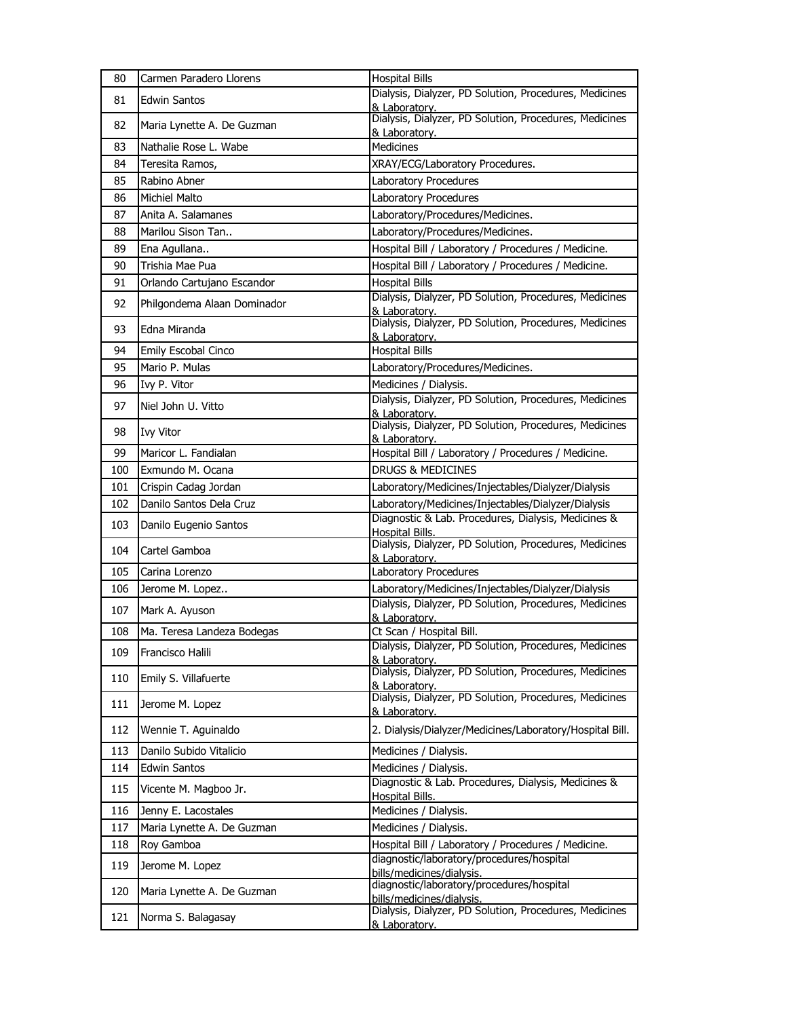| 80  | Carmen Paradero Llorens     | <b>Hospital Bills</b>                                                         |
|-----|-----------------------------|-------------------------------------------------------------------------------|
| 81  | <b>Edwin Santos</b>         | Dialysis, Dialyzer, PD Solution, Procedures, Medicines<br>& Laboratory.       |
| 82  | Maria Lynette A. De Guzman  | Dialysis, Dialyzer, PD Solution, Procedures, Medicines<br>& Laboratory.       |
| 83  | Nathalie Rose L. Wabe       | <b>Medicines</b>                                                              |
| 84  | Teresita Ramos,             | XRAY/ECG/Laboratory Procedures.                                               |
| 85  | Rabino Abner                | Laboratory Procedures                                                         |
| 86  | <b>Michiel Malto</b>        | Laboratory Procedures                                                         |
| 87  | Anita A. Salamanes          | Laboratory/Procedures/Medicines.                                              |
| 88  | Marilou Sison Tan           | Laboratory/Procedures/Medicines.                                              |
| 89  | Ena Agullana                | Hospital Bill / Laboratory / Procedures / Medicine.                           |
| 90  | Trishia Mae Pua             | Hospital Bill / Laboratory / Procedures / Medicine.                           |
| 91  | Orlando Cartujano Escandor  | <b>Hospital Bills</b>                                                         |
| 92  | Philgondema Alaan Dominador | Dialysis, Dialyzer, PD Solution, Procedures, Medicines<br>& Laboratory.       |
| 93  | Edna Miranda                | Dialysis, Dialyzer, PD Solution, Procedures, Medicines<br>& Laboratory.       |
| 94  | Emily Escobal Cinco         | <b>Hospital Bills</b>                                                         |
| 95  | Mario P. Mulas              | Laboratory/Procedures/Medicines.                                              |
| 96  | Ivy P. Vitor                | Medicines / Dialysis.                                                         |
| 97  | Niel John U. Vitto          | Dialysis, Dialyzer, PD Solution, Procedures, Medicines<br>& Laboratory.       |
| 98  | <b>Ivy Vitor</b>            | Dialysis, Dialyzer, PD Solution, Procedures, Medicines<br>& Laboratory.       |
| 99  | Maricor L. Fandialan        | Hospital Bill / Laboratory / Procedures / Medicine.                           |
| 100 | Exmundo M. Ocana            | <b>DRUGS &amp; MEDICINES</b>                                                  |
| 101 | Crispin Cadag Jordan        | Laboratory/Medicines/Injectables/Dialyzer/Dialysis                            |
| 102 | Danilo Santos Dela Cruz     | Laboratory/Medicines/Injectables/Dialyzer/Dialysis                            |
| 103 | Danilo Eugenio Santos       | Diagnostic & Lab. Procedures, Dialysis, Medicines &<br>Hospital Bills.        |
| 104 | Cartel Gamboa               | Dialysis, Dialyzer, PD Solution, Procedures, Medicines<br>& Laboratory.       |
| 105 | Carina Lorenzo              | Laboratory Procedures                                                         |
| 106 | Jerome M. Lopez             | Laboratory/Medicines/Injectables/Dialyzer/Dialysis                            |
| 107 | Mark A. Ayuson              | Dialysis, Dialyzer, PD Solution, Procedures, Medicines<br>& Laboratory.       |
| 108 | Ma. Teresa Landeza Bodegas  | Ct Scan / Hospital Bill.                                                      |
| 109 | Francisco Halili            | Dialysis, Dialyzer, PD Solution, Procedures, Medicines<br>& Laboratory.       |
| 110 | Emily S. Villafuerte        | Dialysis, Dialyzer, PD Solution, Procedures, Medicines<br>& Laboratory.       |
| 111 | Jerome M. Lopez             | Dialysis, Dialyzer, PD Solution, Procedures, Medicines<br>& Laboratory.       |
| 112 | Wennie T. Aguinaldo         | 2. Dialysis/Dialyzer/Medicines/Laboratory/Hospital Bill.                      |
| 113 | Danilo Subido Vitalicio     | Medicines / Dialysis.                                                         |
| 114 | Edwin Santos                | Medicines / Dialysis.                                                         |
| 115 | Vicente M. Magboo Jr.       | Diagnostic & Lab. Procedures, Dialysis, Medicines &<br><b>Hospital Bills.</b> |
| 116 | Jenny E. Lacostales         | Medicines / Dialysis.                                                         |
| 117 | Maria Lynette A. De Guzman  | Medicines / Dialysis.                                                         |
| 118 | Roy Gamboa                  | Hospital Bill / Laboratory / Procedures / Medicine.                           |
| 119 | Jerome M. Lopez             | diagnostic/laboratory/procedures/hospital<br>bills/medicines/dialysis.        |
| 120 | Maria Lynette A. De Guzman  | diagnostic/laboratory/procedures/hospital<br>bills/medicines/dialysis.        |
| 121 | Norma S. Balagasay          | Dialysis, Dialyzer, PD Solution, Procedures, Medicines<br>& Laboratory.       |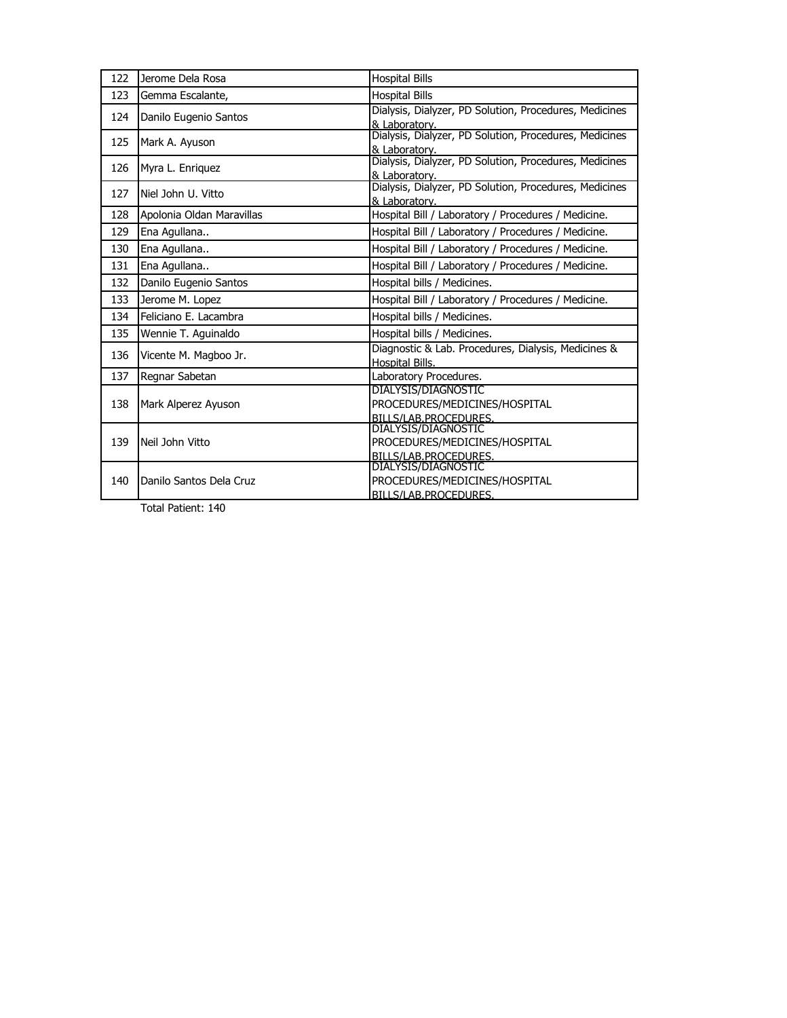| 122 | Jerome Dela Rosa          | <b>Hospital Bills</b>                                                   |
|-----|---------------------------|-------------------------------------------------------------------------|
| 123 | Gemma Escalante,          | <b>Hospital Bills</b>                                                   |
| 124 | Danilo Eugenio Santos     | Dialysis, Dialyzer, PD Solution, Procedures, Medicines                  |
|     |                           | & Laboratory.                                                           |
| 125 | Mark A. Ayuson            | Dialysis, Dialyzer, PD Solution, Procedures, Medicines                  |
|     |                           | & Laboratory.<br>Dialysis, Dialyzer, PD Solution, Procedures, Medicines |
| 126 | Myra L. Enriquez          | & Laboratory.                                                           |
| 127 | Niel John U. Vitto        | Dialysis, Dialyzer, PD Solution, Procedures, Medicines                  |
|     |                           | & Laboratory.                                                           |
| 128 | Apolonia Oldan Maravillas | Hospital Bill / Laboratory / Procedures / Medicine.                     |
| 129 | Ena Agullana              | Hospital Bill / Laboratory / Procedures / Medicine.                     |
| 130 | Ena Agullana              | Hospital Bill / Laboratory / Procedures / Medicine.                     |
| 131 | Ena Agullana              | Hospital Bill / Laboratory / Procedures / Medicine.                     |
| 132 | Danilo Eugenio Santos     | Hospital bills / Medicines.                                             |
| 133 | Jerome M. Lopez           | Hospital Bill / Laboratory / Procedures / Medicine.                     |
| 134 | Feliciano E. Lacambra     | Hospital bills / Medicines.                                             |
| 135 | Wennie T. Aguinaldo       | Hospital bills / Medicines.                                             |
| 136 | Vicente M. Magboo Jr.     | Diagnostic & Lab. Procedures, Dialysis, Medicines &                     |
|     |                           | Hospital Bills.                                                         |
| 137 | Regnar Sabetan            | Laboratory Procedures.                                                  |
|     |                           | DIALYSIS/DIAGNOSTIC                                                     |
| 138 | Mark Alperez Ayuson       | PROCEDURES/MEDICINES/HOSPITAL                                           |
|     |                           | BILLS/LAB.PROCEDURES.<br><b>DIALYSIS/DIAGNOSTIC</b>                     |
| 139 | Neil John Vitto           | PROCEDURES/MEDICINES/HOSPITAL                                           |
|     |                           | BILLS/LAB.PROCEDURES.                                                   |
|     |                           | DIALYSIS/DIAGNOSTIC                                                     |
| 140 | Danilo Santos Dela Cruz   | PROCEDURES/MEDICINES/HOSPITAL                                           |
|     |                           | BILLS/LAB.PROCEDURES.                                                   |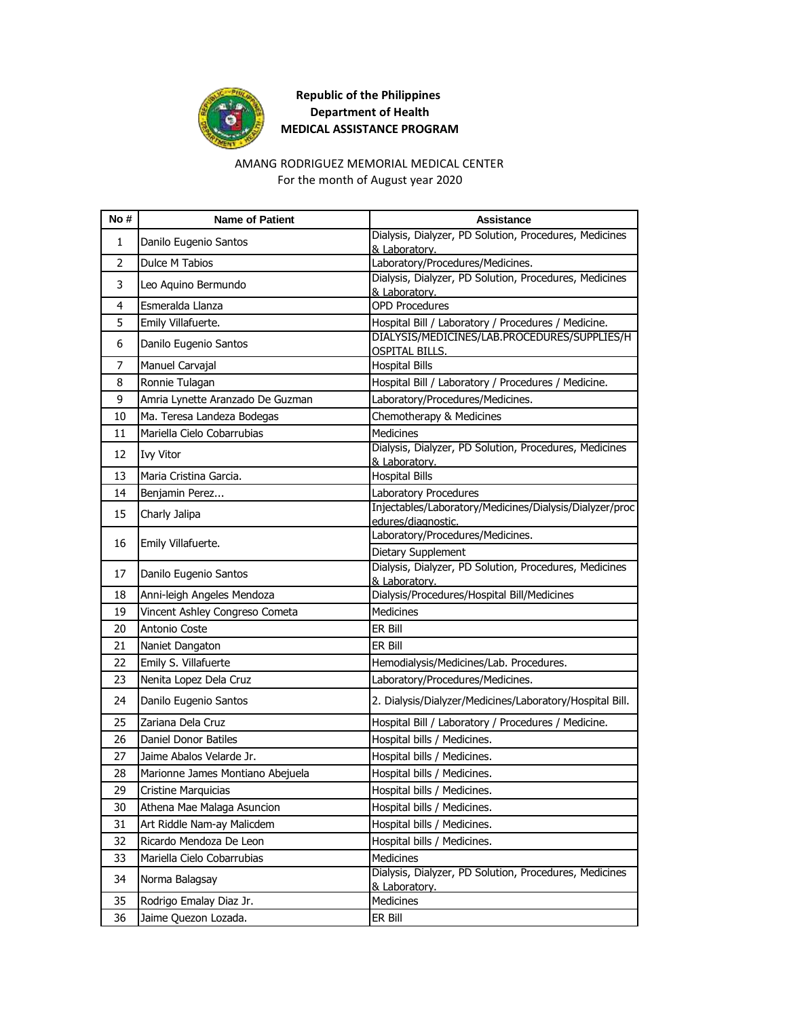

#### AMANG RODRIGUEZ MEMORIAL MEDICAL CENTER For the month of August year 2020

| No# | <b>Name of Patient</b>           | <b>Assistance</b>                                                             |
|-----|----------------------------------|-------------------------------------------------------------------------------|
| 1   | Danilo Eugenio Santos            | Dialysis, Dialyzer, PD Solution, Procedures, Medicines                        |
| 2   | <b>Dulce M Tabios</b>            | & Laboratory.<br>Laboratory/Procedures/Medicines.                             |
|     |                                  | Dialysis, Dialyzer, PD Solution, Procedures, Medicines                        |
| 3   | Leo Aquino Bermundo              | & Laboratory.                                                                 |
| 4   | Esmeralda Llanza                 | <b>OPD Procedures</b>                                                         |
| 5   | Emily Villafuerte.               | Hospital Bill / Laboratory / Procedures / Medicine.                           |
| 6   | Danilo Eugenio Santos            | DIALYSIS/MEDICINES/LAB.PROCEDURES/SUPPLIES/H<br><b>OSPITAL BILLS.</b>         |
| 7   | Manuel Carvajal                  | <b>Hospital Bills</b>                                                         |
| 8   | Ronnie Tulagan                   | Hospital Bill / Laboratory / Procedures / Medicine.                           |
| 9   | Amria Lynette Aranzado De Guzman | Laboratory/Procedures/Medicines.                                              |
| 10  | Ma. Teresa Landeza Bodegas       | Chemotherapy & Medicines                                                      |
| 11  | Mariella Cielo Cobarrubias       | <b>Medicines</b>                                                              |
| 12  | <b>Ivy Vitor</b>                 | Dialysis, Dialyzer, PD Solution, Procedures, Medicines<br>& Laboratory.       |
| 13  | Maria Cristina Garcia.           | <b>Hospital Bills</b>                                                         |
| 14  | Benjamin Perez                   | Laboratory Procedures                                                         |
| 15  | Charly Jalipa                    | Injectables/Laboratory/Medicines/Dialysis/Dialyzer/proc<br>edures/diagnostic. |
| 16  | Emily Villafuerte.               | Laboratory/Procedures/Medicines.                                              |
|     |                                  | Dietary Supplement                                                            |
| 17  | Danilo Eugenio Santos            | Dialysis, Dialyzer, PD Solution, Procedures, Medicines                        |
| 18  | Anni-leigh Angeles Mendoza       | & Laboratory.<br>Dialysis/Procedures/Hospital Bill/Medicines                  |
| 19  | Vincent Ashley Congreso Cometa   | <b>Medicines</b>                                                              |
| 20  | Antonio Coste                    | ER Bill                                                                       |
| 21  | Naniet Dangaton                  | ER Bill                                                                       |
| 22  | Emily S. Villafuerte             | Hemodialysis/Medicines/Lab. Procedures.                                       |
| 23  | Nenita Lopez Dela Cruz           | Laboratory/Procedures/Medicines.                                              |
|     |                                  |                                                                               |
| 24  | Danilo Eugenio Santos            | 2. Dialysis/Dialyzer/Medicines/Laboratory/Hospital Bill.                      |
| 25  | Zariana Dela Cruz                | Hospital Bill / Laboratory / Procedures / Medicine.                           |
| 26  | <b>Daniel Donor Batiles</b>      | Hospital bills / Medicines.                                                   |
| 27  | Jaime Abalos Velarde Jr.         | Hospital bills / Medicines.                                                   |
| 28  | Marionne James Montiano Abejuela | Hospital bills / Medicines.                                                   |
| 29  | Cristine Marquicias              | Hospital bills / Medicines.                                                   |
| 30  | Athena Mae Malaga Asuncion       | Hospital bills / Medicines.                                                   |
| 31  | Art Riddle Nam-ay Malicdem       | Hospital bills / Medicines.                                                   |
| 32  | Ricardo Mendoza De Leon          | Hospital bills / Medicines.                                                   |
| 33  | Mariella Cielo Cobarrubias       | Medicines                                                                     |
| 34  | Norma Balagsay                   | Dialysis, Dialyzer, PD Solution, Procedures, Medicines<br>& Laboratory.       |
| 35  | Rodrigo Emalay Diaz Jr.          | Medicines                                                                     |
| 36  | Jaime Quezon Lozada.             | ER Bill                                                                       |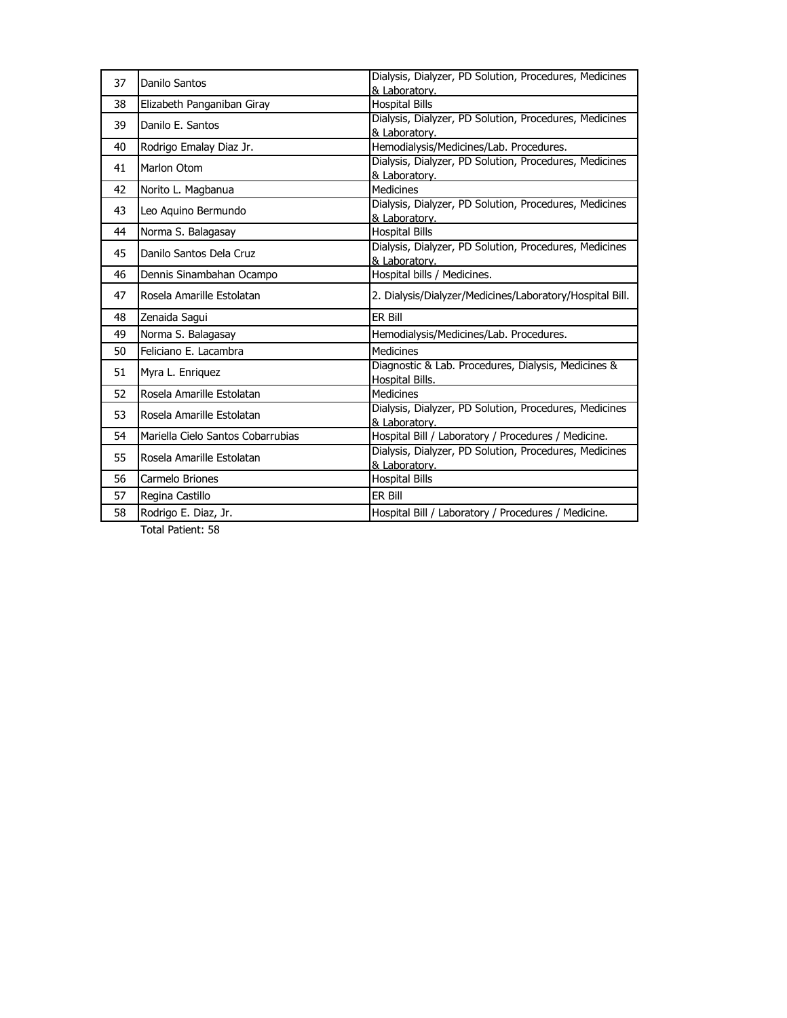| 37 | Danilo Santos                     | Dialysis, Dialyzer, PD Solution, Procedures, Medicines<br>& Laboratory. |
|----|-----------------------------------|-------------------------------------------------------------------------|
| 38 | Elizabeth Panganiban Giray        | <b>Hospital Bills</b>                                                   |
| 39 | Danilo E. Santos                  | Dialysis, Dialyzer, PD Solution, Procedures, Medicines<br>& Laboratory. |
| 40 | Rodrigo Emalay Diaz Jr.           | Hemodialysis/Medicines/Lab. Procedures.                                 |
| 41 | Marlon Otom                       | Dialysis, Dialyzer, PD Solution, Procedures, Medicines<br>& Laboratory. |
| 42 | Norito L. Magbanua                | <b>Medicines</b>                                                        |
| 43 | Leo Aquino Bermundo               | Dialysis, Dialyzer, PD Solution, Procedures, Medicines<br>& Laboratory. |
| 44 | Norma S. Balagasay                | <b>Hospital Bills</b>                                                   |
| 45 | Danilo Santos Dela Cruz           | Dialysis, Dialyzer, PD Solution, Procedures, Medicines<br>& Laboratory. |
| 46 | Dennis Sinambahan Ocampo          | Hospital bills / Medicines.                                             |
| 47 | Rosela Amarille Estolatan         | 2. Dialysis/Dialyzer/Medicines/Laboratory/Hospital Bill.                |
| 48 | Zenaida Sagui                     | ER Bill                                                                 |
| 49 | Norma S. Balagasay                | Hemodialysis/Medicines/Lab. Procedures.                                 |
| 50 | Feliciano E. Lacambra             | <b>Medicines</b>                                                        |
| 51 | Myra L. Enriquez                  | Diagnostic & Lab. Procedures, Dialysis, Medicines &<br>Hospital Bills.  |
| 52 | Rosela Amarille Estolatan         | Medicines                                                               |
| 53 | Rosela Amarille Estolatan         | Dialysis, Dialyzer, PD Solution, Procedures, Medicines<br>& Laboratory. |
| 54 | Mariella Cielo Santos Cobarrubias | Hospital Bill / Laboratory / Procedures / Medicine.                     |
| 55 | Rosela Amarille Estolatan         | Dialysis, Dialyzer, PD Solution, Procedures, Medicines<br>& Laboratory. |
| 56 | Carmelo Briones                   | <b>Hospital Bills</b>                                                   |
| 57 | Regina Castillo                   | ER Bill                                                                 |
| 58 | Rodrigo E. Diaz, Jr.              | Hospital Bill / Laboratory / Procedures / Medicine.                     |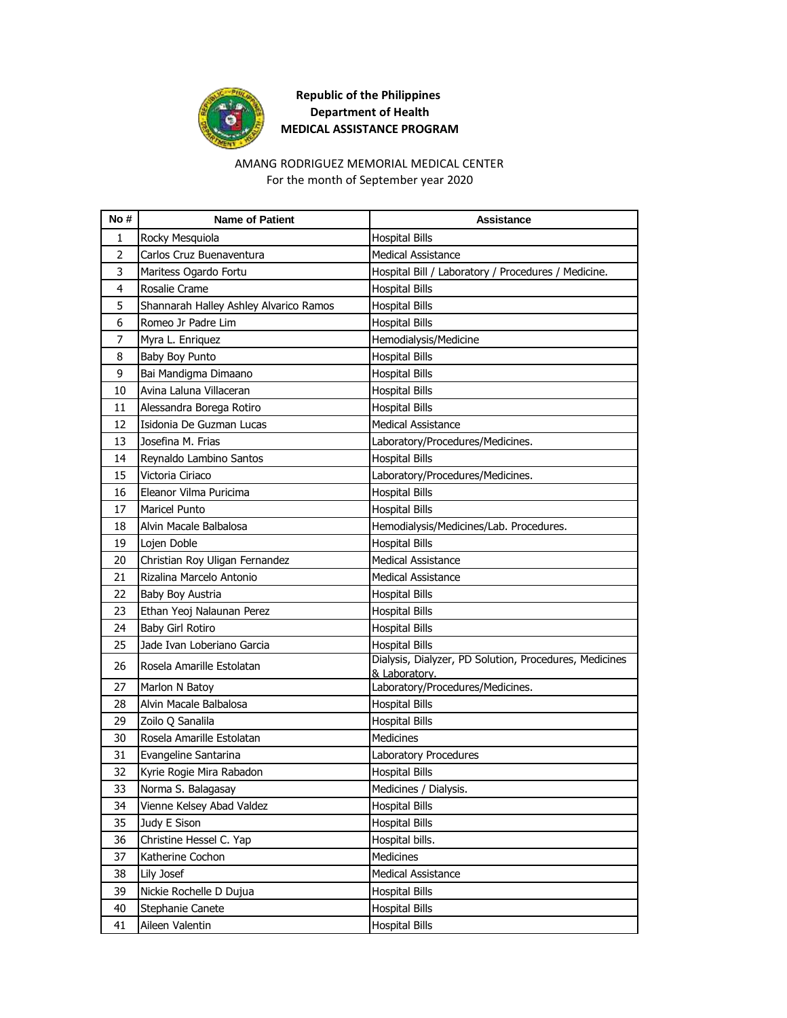

#### AMANG RODRIGUEZ MEMORIAL MEDICAL CENTER For the month of September year 2020

| No#            | <b>Name of Patient</b>                        | Assistance                                             |
|----------------|-----------------------------------------------|--------------------------------------------------------|
| 1              | Rocky Mesquiola                               | <b>Hospital Bills</b>                                  |
| $\overline{2}$ | Carlos Cruz Buenaventura                      | <b>Medical Assistance</b>                              |
| 3              | Maritess Ogardo Fortu                         | Hospital Bill / Laboratory / Procedures / Medicine.    |
| 4              | Rosalie Crame                                 | <b>Hospital Bills</b>                                  |
| 5              | Shannarah Halley Ashley Alvarico Ramos        | <b>Hospital Bills</b>                                  |
| 6              | Romeo Jr Padre Lim                            | <b>Hospital Bills</b>                                  |
| 7              | Myra L. Enriquez                              | Hemodialysis/Medicine                                  |
| 8              | Baby Boy Punto                                | <b>Hospital Bills</b>                                  |
| 9              | Bai Mandigma Dimaano                          | <b>Hospital Bills</b>                                  |
| 10             | Avina Laluna Villaceran                       | <b>Hospital Bills</b>                                  |
| 11             | Alessandra Borega Rotiro                      | <b>Hospital Bills</b>                                  |
| 12             | Isidonia De Guzman Lucas                      | <b>Medical Assistance</b>                              |
| 13             | Josefina M. Frias                             | Laboratory/Procedures/Medicines.                       |
| 14             | Reynaldo Lambino Santos                       | <b>Hospital Bills</b>                                  |
| 15             | Victoria Ciriaco                              | Laboratory/Procedures/Medicines.                       |
| 16             | Eleanor Vilma Puricima                        | <b>Hospital Bills</b>                                  |
| 17             | <b>Maricel Punto</b>                          | <b>Hospital Bills</b>                                  |
| 18             | Alvin Macale Balbalosa                        | Hemodialysis/Medicines/Lab. Procedures.                |
| 19             | Lojen Doble                                   | <b>Hospital Bills</b>                                  |
| 20             | Christian Roy Uligan Fernandez                | <b>Medical Assistance</b>                              |
| 21             | Rizalina Marcelo Antonio                      | <b>Medical Assistance</b>                              |
| 22             | Baby Boy Austria                              | <b>Hospital Bills</b>                                  |
| 23             | Ethan Yeoj Nalaunan Perez                     | <b>Hospital Bills</b>                                  |
| 24             | Baby Girl Rotiro                              | <b>Hospital Bills</b>                                  |
| 25             | Jade Ivan Loberiano Garcia                    | <b>Hospital Bills</b>                                  |
| 26             | Rosela Amarille Estolatan                     | Dialysis, Dialyzer, PD Solution, Procedures, Medicines |
|                |                                               | & Laboratory.                                          |
| 27             | Marlon N Batoy                                | Laboratory/Procedures/Medicines.                       |
| 28             | Alvin Macale Balbalosa                        | <b>Hospital Bills</b>                                  |
| 29             | Zoilo Q Sanalila<br>Rosela Amarille Estolatan | <b>Hospital Bills</b><br><b>Medicines</b>              |
| 30             |                                               |                                                        |
| 31             | Evangeline Santarina                          | Laboratory Procedures                                  |
| 32             | Kyrie Rogie Mira Rabadon                      | <b>Hospital Bills</b>                                  |
| 33             | Norma S. Balagasay                            | Medicines / Dialysis.                                  |
| 34             | Vienne Kelsey Abad Valdez                     | <b>Hospital Bills</b>                                  |
| 35             | Judy E Sison                                  | <b>Hospital Bills</b>                                  |
| 36             | Christine Hessel C. Yap                       | Hospital bills.                                        |
| 37             | Katherine Cochon                              | <b>Medicines</b>                                       |
| 38             | Lily Josef                                    | Medical Assistance                                     |
| 39             | Nickie Rochelle D Dujua                       | <b>Hospital Bills</b>                                  |
| 40             | Stephanie Canete                              | <b>Hospital Bills</b>                                  |
| 41             | Aileen Valentin                               | <b>Hospital Bills</b>                                  |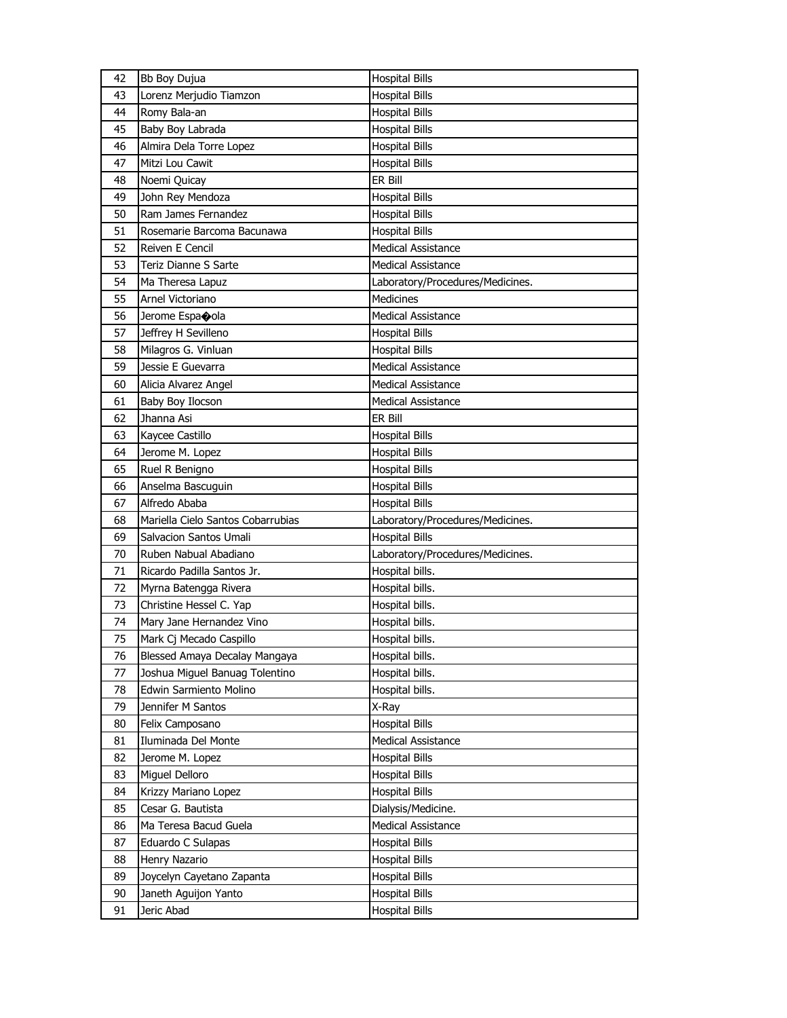| 42       | Bb Boy Dujua                       | <b>Hospital Bills</b>                          |
|----------|------------------------------------|------------------------------------------------|
| 43       | Lorenz Merjudio Tiamzon            | <b>Hospital Bills</b>                          |
| 44       | Romy Bala-an                       | <b>Hospital Bills</b>                          |
| 45       | Baby Boy Labrada                   | <b>Hospital Bills</b>                          |
| 46       | Almira Dela Torre Lopez            | <b>Hospital Bills</b>                          |
| 47       | Mitzi Lou Cawit                    | <b>Hospital Bills</b>                          |
| 48       | Noemi Quicay                       | ER Bill                                        |
| 49       | John Rey Mendoza                   | <b>Hospital Bills</b>                          |
| 50       | Ram James Fernandez                | <b>Hospital Bills</b>                          |
| 51       | Rosemarie Barcoma Bacunawa         | <b>Hospital Bills</b>                          |
| 52       | Reiven E Cencil                    | <b>Medical Assistance</b>                      |
| 53       | Teriz Dianne S Sarte               | Medical Assistance                             |
| 54       | Ma Theresa Lapuz                   | Laboratory/Procedures/Medicines.               |
| 55       | Arnel Victoriano                   | <b>Medicines</b>                               |
| 56       | Jerome Espaoola                    | <b>Medical Assistance</b>                      |
| 57       | Jeffrey H Sevilleno                | <b>Hospital Bills</b>                          |
| 58       | Milagros G. Vinluan                | <b>Hospital Bills</b>                          |
| 59       | Jessie E Guevarra                  | <b>Medical Assistance</b>                      |
| 60       | Alicia Alvarez Angel               | <b>Medical Assistance</b>                      |
| 61       | Baby Boy Ilocson                   | <b>Medical Assistance</b>                      |
| 62       | Jhanna Asi                         | ER Bill                                        |
| 63       | Kaycee Castillo                    | <b>Hospital Bills</b>                          |
| 64       | Jerome M. Lopez                    | <b>Hospital Bills</b>                          |
| 65       | Ruel R Benigno                     | <b>Hospital Bills</b>                          |
| 66       | Anselma Bascuguin                  | <b>Hospital Bills</b>                          |
| 67       | Alfredo Ababa                      | <b>Hospital Bills</b>                          |
|          |                                    |                                                |
|          |                                    |                                                |
| 68       | Mariella Cielo Santos Cobarrubias  | Laboratory/Procedures/Medicines.               |
| 69       | Salvacion Santos Umali             | <b>Hospital Bills</b>                          |
| 70       | Ruben Nabual Abadiano              | Laboratory/Procedures/Medicines.               |
| 71       | Ricardo Padilla Santos Jr.         | Hospital bills.                                |
| 72       | Myrna Batengga Rivera              | Hospital bills.                                |
| 73       | Christine Hessel C. Yap            | Hospital bills.                                |
| 74       | Mary Jane Hernandez Vino           | Hospital bills.                                |
| 75       | Mark Cj Mecado Caspillo            | Hospital bills.                                |
| 76       | Blessed Amaya Decalay Mangaya      | Hospital bills.                                |
| 77       | Joshua Miguel Banuag Tolentino     | Hospital bills.                                |
| 78       | Edwin Sarmiento Molino             | Hospital bills.                                |
| 79       | Jennifer M Santos                  | X-Ray                                          |
| 80       | Felix Camposano                    | <b>Hospital Bills</b>                          |
| 81       | Iluminada Del Monte                | Medical Assistance                             |
| 82       | Jerome M. Lopez                    | <b>Hospital Bills</b>                          |
| 83       | Miguel Delloro                     | <b>Hospital Bills</b>                          |
| 84       | Krizzy Mariano Lopez               | <b>Hospital Bills</b>                          |
| 85       | Cesar G. Bautista                  | Dialysis/Medicine.                             |
| 86       | Ma Teresa Bacud Guela              | Medical Assistance                             |
| 87       | Eduardo C Sulapas                  | <b>Hospital Bills</b>                          |
| 88       | Henry Nazario                      | <b>Hospital Bills</b>                          |
| 89       | Joycelyn Cayetano Zapanta          | <b>Hospital Bills</b>                          |
| 90<br>91 | Janeth Aguijon Yanto<br>Jeric Abad | <b>Hospital Bills</b><br><b>Hospital Bills</b> |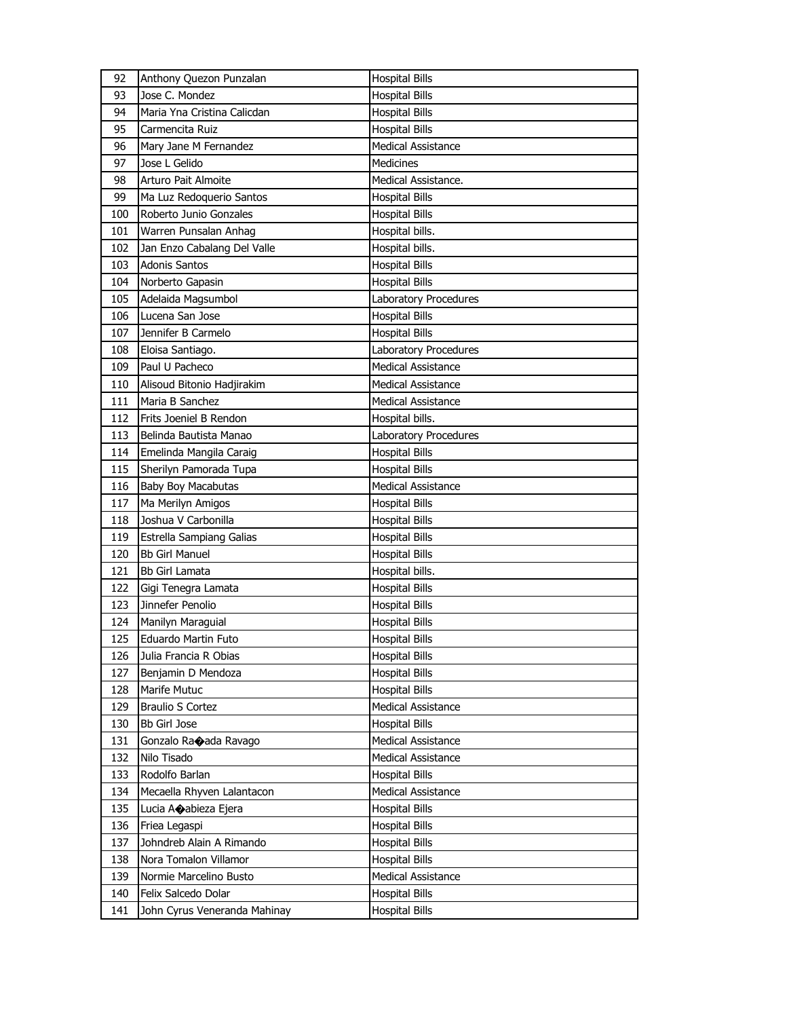| 92<br>Anthony Quezon Punzalan       | <b>Hospital Bills</b>        |
|-------------------------------------|------------------------------|
| Jose C. Mondez<br>93                | <b>Hospital Bills</b>        |
| Maria Yna Cristina Calicdan<br>94   | <b>Hospital Bills</b>        |
| Carmencita Ruiz<br>95               | <b>Hospital Bills</b>        |
| 96<br>Mary Jane M Fernandez         | <b>Medical Assistance</b>    |
| 97<br>Jose L Gelido                 | Medicines                    |
| 98<br>Arturo Pait Almoite           | Medical Assistance.          |
| 99<br>Ma Luz Redoquerio Santos      | <b>Hospital Bills</b>        |
| Roberto Junio Gonzales<br>100       | <b>Hospital Bills</b>        |
| Warren Punsalan Anhag<br>101        | Hospital bills.              |
| Jan Enzo Cabalang Del Valle<br>102  | Hospital bills.              |
| <b>Adonis Santos</b><br>103         | <b>Hospital Bills</b>        |
| 104<br>Norberto Gapasin             | <b>Hospital Bills</b>        |
| Adelaida Magsumbol<br>105           | Laboratory Procedures        |
| Lucena San Jose<br>106              | <b>Hospital Bills</b>        |
| Jennifer B Carmelo<br>107           | <b>Hospital Bills</b>        |
| Eloisa Santiago.<br>108             | Laboratory Procedures        |
| Paul U Pacheco<br>109               | <b>Medical Assistance</b>    |
| Alisoud Bitonio Hadjirakim<br>110   | <b>Medical Assistance</b>    |
| Maria B Sanchez<br>111              | Medical Assistance           |
| 112<br>Frits Joeniel B Rendon       | Hospital bills.              |
| 113<br>Belinda Bautista Manao       | <b>Laboratory Procedures</b> |
| 114<br>Emelinda Mangila Caraig      | <b>Hospital Bills</b>        |
| Sherilyn Pamorada Tupa<br>115       | <b>Hospital Bills</b>        |
| <b>Baby Boy Macabutas</b><br>116    | <b>Medical Assistance</b>    |
| 117<br>Ma Merilyn Amigos            | <b>Hospital Bills</b>        |
| Joshua V Carbonilla<br>118          | <b>Hospital Bills</b>        |
| 119<br>Estrella Sampiang Galias     | <b>Hospital Bills</b>        |
| <b>Bb Girl Manuel</b><br>120        | <b>Hospital Bills</b>        |
| 121<br><b>Bb Girl Lamata</b>        | Hospital bills.              |
| 122<br>Gigi Tenegra Lamata          | <b>Hospital Bills</b>        |
| Jinnefer Penolio<br>123             | Hospital Bills               |
| Manilyn Maraguial<br>124            | Hospital Bills               |
| 125<br>Eduardo Martin Futo          | <b>Hospital Bills</b>        |
| 126<br>Julia Francia R Obias        | <b>Hospital Bills</b>        |
| 127<br>Benjamin D Mendoza           | <b>Hospital Bills</b>        |
| Marife Mutuc<br>128                 | <b>Hospital Bills</b>        |
| 129<br><b>Braulio S Cortez</b>      | Medical Assistance           |
| 130<br><b>Bb Girl Jose</b>          | <b>Hospital Bills</b>        |
| 131<br>Gonzalo Ra�ada Ravago        | Medical Assistance           |
| Nilo Tisado<br>132                  | Medical Assistance           |
| 133<br>Rodolfo Barlan               | <b>Hospital Bills</b>        |
| 134<br>Mecaella Rhyven Lalantacon   | <b>Medical Assistance</b>    |
| 135<br>Lucia Acabieza Ejera         | <b>Hospital Bills</b>        |
| Friea Legaspi<br>136                | <b>Hospital Bills</b>        |
| 137<br>Johndreb Alain A Rimando     | <b>Hospital Bills</b>        |
| 138<br>Nora Tomalon Villamor        | <b>Hospital Bills</b>        |
| 139<br>Normie Marcelino Busto       | Medical Assistance           |
| 140<br>Felix Salcedo Dolar          | <b>Hospital Bills</b>        |
| 141<br>John Cyrus Veneranda Mahinay | <b>Hospital Bills</b>        |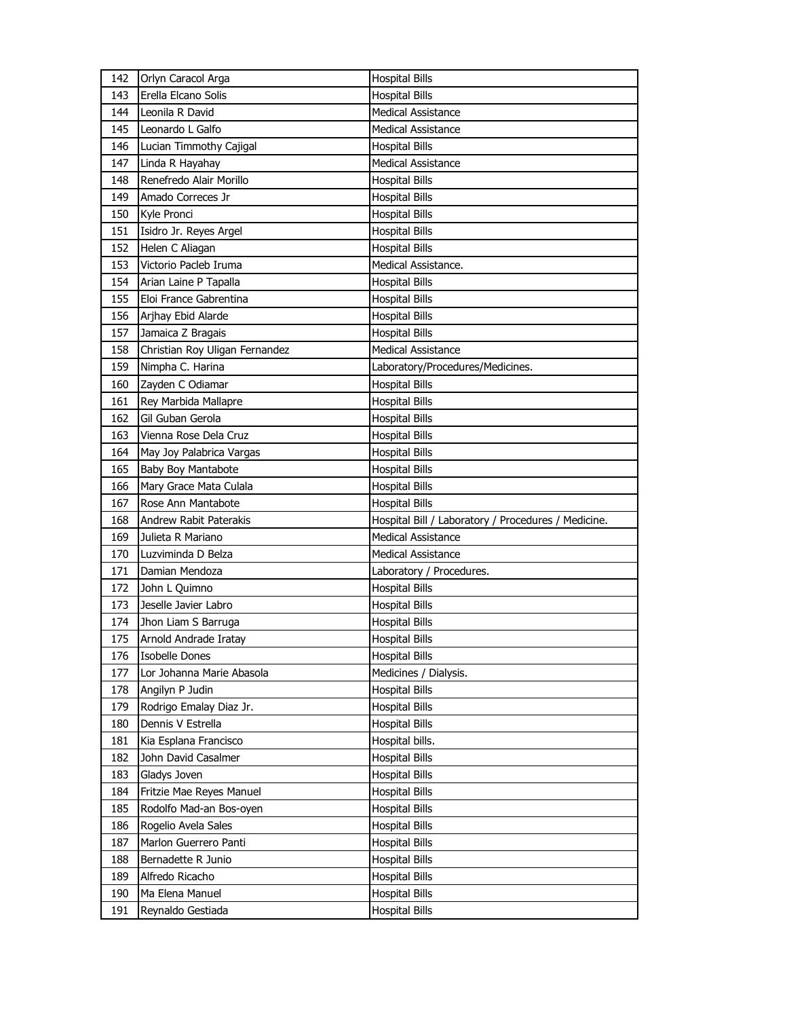| 142 | Orlyn Caracol Arga             | <b>Hospital Bills</b>                               |
|-----|--------------------------------|-----------------------------------------------------|
| 143 | Erella Elcano Solis            | <b>Hospital Bills</b>                               |
| 144 | Leonila R David                | <b>Medical Assistance</b>                           |
| 145 | Leonardo L Galfo               | <b>Medical Assistance</b>                           |
| 146 | Lucian Timmothy Cajigal        | <b>Hospital Bills</b>                               |
| 147 | Linda R Hayahay                | <b>Medical Assistance</b>                           |
| 148 | Renefredo Alair Morillo        | <b>Hospital Bills</b>                               |
| 149 | Amado Correces Jr              | <b>Hospital Bills</b>                               |
| 150 | Kyle Pronci                    | <b>Hospital Bills</b>                               |
| 151 | Isidro Jr. Reyes Argel         | <b>Hospital Bills</b>                               |
| 152 | Helen C Aliagan                | <b>Hospital Bills</b>                               |
| 153 | Victorio Pacleb Iruma          | Medical Assistance.                                 |
| 154 | Arian Laine P Tapalla          | <b>Hospital Bills</b>                               |
| 155 | Eloi France Gabrentina         | <b>Hospital Bills</b>                               |
| 156 | Arjhay Ebid Alarde             | <b>Hospital Bills</b>                               |
| 157 | Jamaica Z Bragais              | <b>Hospital Bills</b>                               |
| 158 | Christian Roy Uligan Fernandez | <b>Medical Assistance</b>                           |
| 159 | Nimpha C. Harina               | Laboratory/Procedures/Medicines.                    |
| 160 | Zayden C Odiamar               | <b>Hospital Bills</b>                               |
| 161 | Rey Marbida Mallapre           | <b>Hospital Bills</b>                               |
| 162 | Gil Guban Gerola               | <b>Hospital Bills</b>                               |
| 163 | Vienna Rose Dela Cruz          | <b>Hospital Bills</b>                               |
| 164 | May Joy Palabrica Vargas       | <b>Hospital Bills</b>                               |
| 165 | Baby Boy Mantabote             | <b>Hospital Bills</b>                               |
| 166 |                                |                                                     |
|     | Mary Grace Mata Culala         | <b>Hospital Bills</b>                               |
|     |                                |                                                     |
| 167 | Rose Ann Mantabote             | <b>Hospital Bills</b>                               |
| 168 | Andrew Rabit Paterakis         | Hospital Bill / Laboratory / Procedures / Medicine. |
| 169 | Julieta R Mariano              | <b>Medical Assistance</b>                           |
| 170 | Luzviminda D Belza             | <b>Medical Assistance</b>                           |
| 171 | Damian Mendoza                 | Laboratory / Procedures.                            |
| 172 | John L Quimno                  | <b>Hospital Bills</b>                               |
| 173 | Jeselle Javier Labro           | <b>Hospital Bills</b>                               |
| 174 | Jhon Liam S Barruga            | <b>Hospital Bills</b>                               |
| 175 | Arnold Andrade Iratay          | <b>Hospital Bills</b>                               |
| 176 | <b>Isobelle Dones</b>          | <b>Hospital Bills</b>                               |
| 177 | Lor Johanna Marie Abasola      | Medicines / Dialysis.                               |
| 178 | Angilyn P Judin                | <b>Hospital Bills</b>                               |
| 179 | Rodrigo Emalay Diaz Jr.        | <b>Hospital Bills</b>                               |
| 180 | Dennis V Estrella              | <b>Hospital Bills</b>                               |
| 181 | Kia Esplana Francisco          | Hospital bills.                                     |
| 182 | John David Casalmer            | <b>Hospital Bills</b>                               |
| 183 | Gladys Joven                   | <b>Hospital Bills</b>                               |
| 184 | Fritzie Mae Reyes Manuel       | <b>Hospital Bills</b>                               |
| 185 | Rodolfo Mad-an Bos-oyen        | <b>Hospital Bills</b>                               |
| 186 | Rogelio Avela Sales            | <b>Hospital Bills</b>                               |
| 187 | Marlon Guerrero Panti          | <b>Hospital Bills</b>                               |
| 188 | Bernadette R Junio             | <b>Hospital Bills</b>                               |
| 189 | Alfredo Ricacho                | <b>Hospital Bills</b>                               |
| 190 | Ma Elena Manuel                | <b>Hospital Bills</b>                               |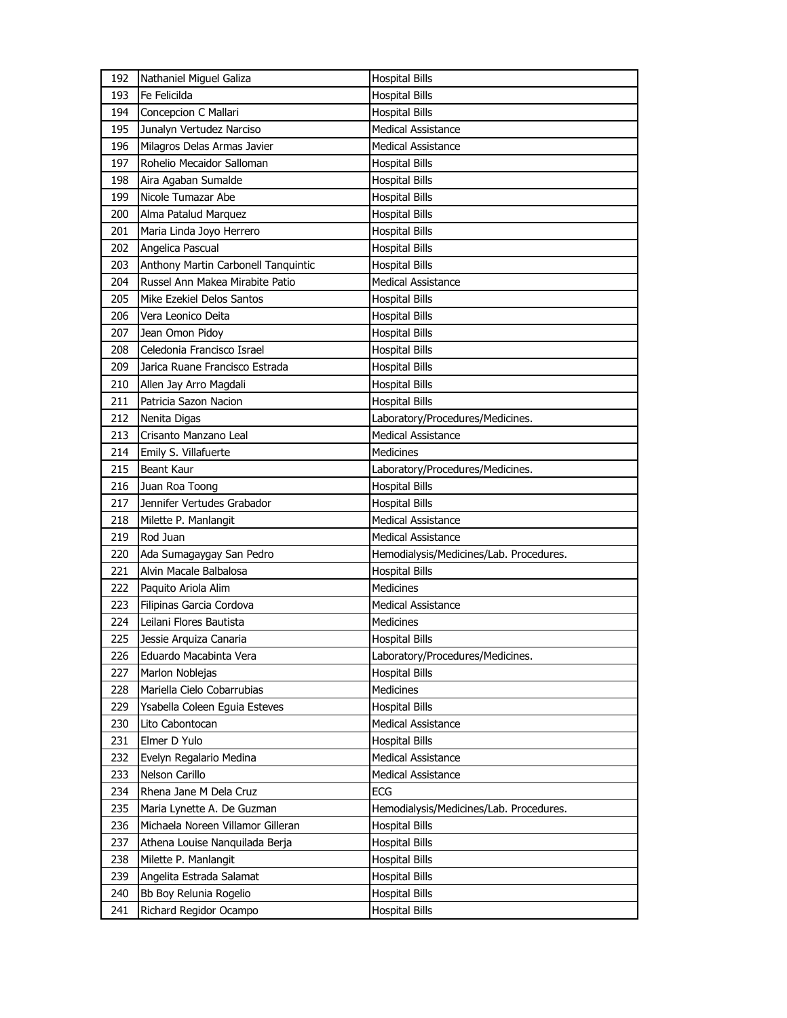| 192 | Nathaniel Miguel Galiza             | <b>Hospital Bills</b>                   |
|-----|-------------------------------------|-----------------------------------------|
| 193 | Fe Felicilda                        | <b>Hospital Bills</b>                   |
| 194 | Concepcion C Mallari                | <b>Hospital Bills</b>                   |
| 195 | Junalyn Vertudez Narciso            | <b>Medical Assistance</b>               |
| 196 | Milagros Delas Armas Javier         | <b>Medical Assistance</b>               |
| 197 | Rohelio Mecaidor Salloman           | <b>Hospital Bills</b>                   |
| 198 | Aira Agaban Sumalde                 | Hospital Bills                          |
| 199 | Nicole Tumazar Abe                  | <b>Hospital Bills</b>                   |
| 200 | Alma Patalud Marquez                | <b>Hospital Bills</b>                   |
| 201 | Maria Linda Joyo Herrero            | <b>Hospital Bills</b>                   |
| 202 | Angelica Pascual                    | <b>Hospital Bills</b>                   |
| 203 | Anthony Martin Carbonell Tanquintic | <b>Hospital Bills</b>                   |
| 204 | Russel Ann Makea Mirabite Patio     | <b>Medical Assistance</b>               |
| 205 | Mike Ezekiel Delos Santos           | <b>Hospital Bills</b>                   |
| 206 | Vera Leonico Deita                  | <b>Hospital Bills</b>                   |
| 207 | Jean Omon Pidoy                     | <b>Hospital Bills</b>                   |
| 208 | Celedonia Francisco Israel          | <b>Hospital Bills</b>                   |
| 209 | Jarica Ruane Francisco Estrada      | <b>Hospital Bills</b>                   |
| 210 | Allen Jay Arro Magdali              | <b>Hospital Bills</b>                   |
| 211 | Patricia Sazon Nacion               | <b>Hospital Bills</b>                   |
| 212 | Nenita Digas                        | Laboratory/Procedures/Medicines.        |
| 213 | Crisanto Manzano Leal               | <b>Medical Assistance</b>               |
| 214 | Emily S. Villafuerte                | <b>Medicines</b>                        |
| 215 | <b>Beant Kaur</b>                   | Laboratory/Procedures/Medicines.        |
| 216 | Juan Roa Toong                      | <b>Hospital Bills</b>                   |
| 217 | Jennifer Vertudes Grabador          | <b>Hospital Bills</b>                   |
| 218 | Milette P. Manlangit                | <b>Medical Assistance</b>               |
| 219 |                                     |                                         |
|     | Rod Juan                            | <b>Medical Assistance</b>               |
| 220 | Ada Sumagaygay San Pedro            | Hemodialysis/Medicines/Lab. Procedures. |
| 221 | Alvin Macale Balbalosa              | <b>Hospital Bills</b>                   |
| 222 | Paquito Ariola Alim                 | <b>Medicines</b>                        |
| 223 | Filipinas Garcia Cordova            | Medical Assistance                      |
| 224 | Leilani Flores Bautista             | <b>Medicines</b>                        |
| 225 | Jessie Arquiza Canaria              | <b>Hospital Bills</b>                   |
| 226 | Eduardo Macabinta Vera              | Laboratory/Procedures/Medicines.        |
| 227 | Marlon Noblejas                     | <b>Hospital Bills</b>                   |
| 228 | Mariella Cielo Cobarrubias          | Medicines                               |
| 229 | Ysabella Coleen Eguia Esteves       | <b>Hospital Bills</b>                   |
| 230 | Lito Cabontocan                     | Medical Assistance                      |
| 231 | Elmer D Yulo                        | <b>Hospital Bills</b>                   |
| 232 | Evelyn Regalario Medina             | <b>Medical Assistance</b>               |
| 233 | Nelson Carillo                      | <b>Medical Assistance</b>               |
| 234 | Rhena Jane M Dela Cruz              | <b>ECG</b>                              |
| 235 | Maria Lynette A. De Guzman          | Hemodialysis/Medicines/Lab. Procedures. |
| 236 | Michaela Noreen Villamor Gilleran   | <b>Hospital Bills</b>                   |
| 237 | Athena Louise Nanquilada Berja      | <b>Hospital Bills</b>                   |
| 238 | Milette P. Manlangit                | <b>Hospital Bills</b>                   |
| 239 | Angelita Estrada Salamat            | <b>Hospital Bills</b>                   |
| 240 | Bb Boy Relunia Rogelio              | <b>Hospital Bills</b>                   |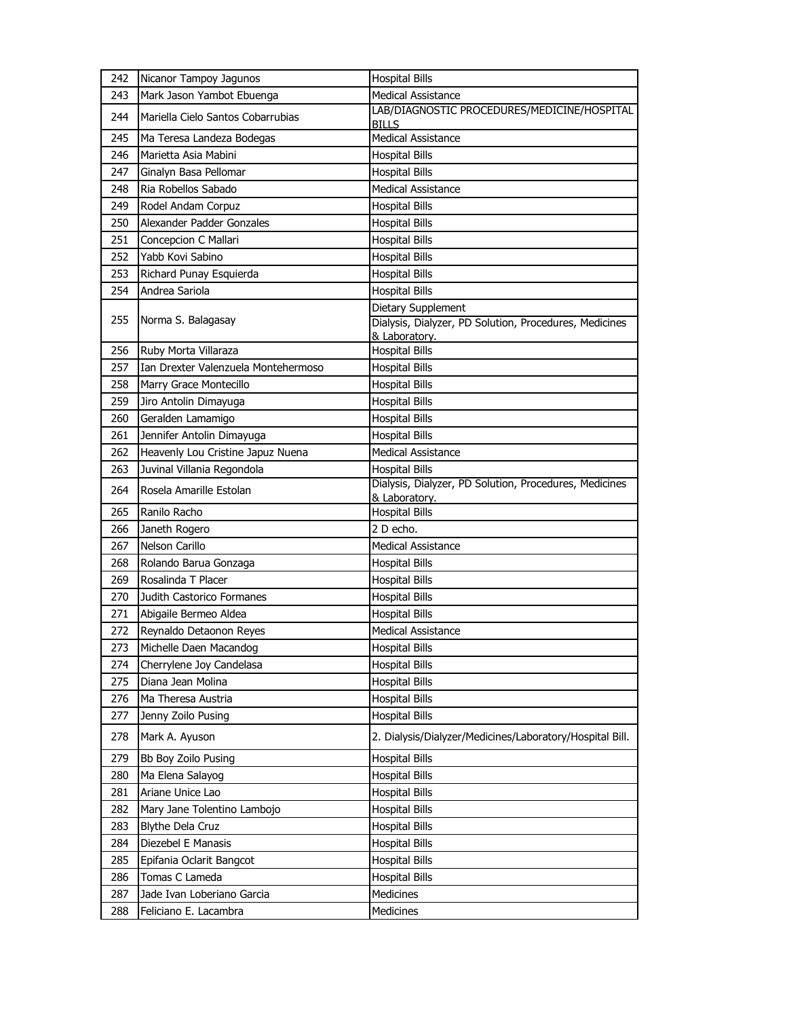| 242        | Nicanor Tampoy Jagunos                                      | <b>Hospital Bills</b>                                                           |
|------------|-------------------------------------------------------------|---------------------------------------------------------------------------------|
| 243        | Mark Jason Yambot Ebuenga                                   | Medical Assistance                                                              |
| 244        | Mariella Cielo Santos Cobarrubias                           | LAB/DIAGNOSTIC PROCEDURES/MEDICINE/HOSPITAL<br><b>BILLS</b>                     |
| 245        | Ma Teresa Landeza Bodegas                                   | <b>Medical Assistance</b>                                                       |
| 246        | Marietta Asia Mabini                                        | <b>Hospital Bills</b>                                                           |
| 247        | Ginalyn Basa Pellomar                                       | <b>Hospital Bills</b>                                                           |
| 248        | Ria Robellos Sabado                                         | <b>Medical Assistance</b>                                                       |
| 249        | Rodel Andam Corpuz                                          | <b>Hospital Bills</b>                                                           |
| 250        | Alexander Padder Gonzales                                   | <b>Hospital Bills</b>                                                           |
| 251        | Concepcion C Mallari                                        | <b>Hospital Bills</b>                                                           |
| 252        | Yabb Kovi Sabino                                            | <b>Hospital Bills</b>                                                           |
| 253        | Richard Punay Esquierda                                     | <b>Hospital Bills</b>                                                           |
| 254        | Andrea Sariola                                              | <b>Hospital Bills</b>                                                           |
|            |                                                             | Dietary Supplement                                                              |
| 255        | Norma S. Balagasay                                          | Dialysis, Dialyzer, PD Solution, Procedures, Medicines                          |
|            |                                                             | & Laboratory.                                                                   |
| 256<br>257 | Ruby Morta Villaraza<br>Ian Drexter Valenzuela Montehermoso | <b>Hospital Bills</b><br><b>Hospital Bills</b>                                  |
|            | Marry Grace Montecillo                                      |                                                                                 |
| 258<br>259 |                                                             | <b>Hospital Bills</b>                                                           |
|            | Jiro Antolin Dimayuga                                       | <b>Hospital Bills</b>                                                           |
| 260        | Geralden Lamamigo                                           | <b>Hospital Bills</b>                                                           |
| 261        | Jennifer Antolin Dimayuga                                   | <b>Hospital Bills</b>                                                           |
| 262        | Heavenly Lou Cristine Japuz Nuena                           | <b>Medical Assistance</b>                                                       |
| 263        | Juvinal Villania Regondola                                  | <b>Hospital Bills</b><br>Dialysis, Dialyzer, PD Solution, Procedures, Medicines |
| 264        | Rosela Amarille Estolan                                     | & Laboratory.                                                                   |
| 265        | Ranilo Racho                                                | <b>Hospital Bills</b>                                                           |
| 266        | Janeth Rogero                                               | 2 D echo.                                                                       |
| 267        | Nelson Carillo                                              | <b>Medical Assistance</b>                                                       |
| 268        | Rolando Barua Gonzaga                                       | <b>Hospital Bills</b>                                                           |
| 269        | Rosalinda T Placer                                          | <b>Hospital Bills</b>                                                           |
| 270        | Judith Castorico Formanes                                   | <b>Hospital Bills</b>                                                           |
| 271        | Abigaile Bermeo Aldea                                       | <b>Hospital Bills</b>                                                           |
| 272        | Reynaldo Detaonon Reyes                                     | Medical Assistance                                                              |
| 273        | Michelle Daen Macandog                                      | <b>Hospital Bills</b>                                                           |
| 274        | Cherrylene Joy Candelasa                                    | <b>Hospital Bills</b>                                                           |
| 275        | Diana Jean Molina                                           | <b>Hospital Bills</b>                                                           |
| 276        | Ma Theresa Austria                                          | <b>Hospital Bills</b>                                                           |
| 277        | Jenny Zoilo Pusing                                          | <b>Hospital Bills</b>                                                           |
| 278        | Mark A. Ayuson                                              | 2. Dialysis/Dialyzer/Medicines/Laboratory/Hospital Bill.                        |
| 279        | Bb Boy Zoilo Pusing                                         | <b>Hospital Bills</b>                                                           |
| 280        | Ma Elena Salayog                                            | <b>Hospital Bills</b>                                                           |
| 281        | Ariane Unice Lao                                            | <b>Hospital Bills</b>                                                           |
| 282        | Mary Jane Tolentino Lambojo                                 | <b>Hospital Bills</b>                                                           |
| 283        | <b>Blythe Dela Cruz</b>                                     | <b>Hospital Bills</b>                                                           |
| 284        | Diezebel E Manasis                                          | <b>Hospital Bills</b>                                                           |
| 285        | Epifania Oclarit Bangcot                                    | <b>Hospital Bills</b>                                                           |
| 286        | Tomas C Lameda                                              | <b>Hospital Bills</b>                                                           |
| 287        | Jade Ivan Loberiano Garcia                                  | <b>Medicines</b>                                                                |
| 288        | Feliciano E. Lacambra                                       | Medicines                                                                       |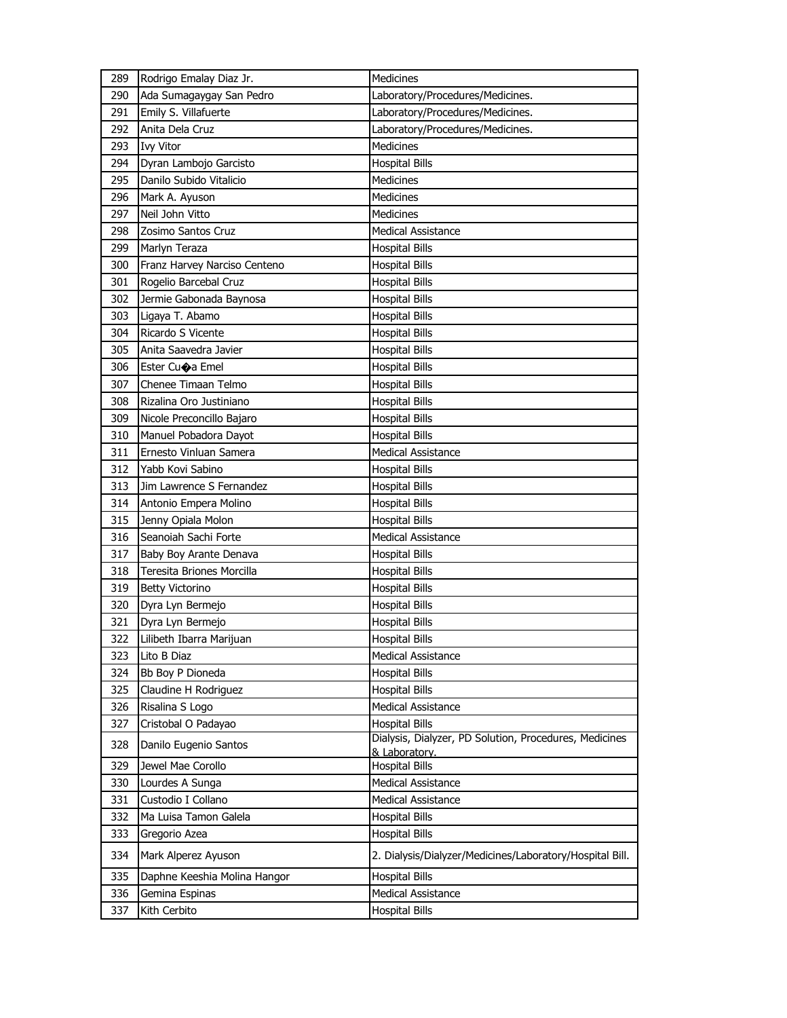| 289 | Rodrigo Emalay Diaz Jr.      | Medicines                                                |
|-----|------------------------------|----------------------------------------------------------|
| 290 | Ada Sumagaygay San Pedro     | Laboratory/Procedures/Medicines.                         |
| 291 | Emily S. Villafuerte         | Laboratory/Procedures/Medicines.                         |
| 292 | Anita Dela Cruz              | Laboratory/Procedures/Medicines.                         |
| 293 | <b>Ivy Vitor</b>             | Medicines                                                |
| 294 | Dyran Lambojo Garcisto       | <b>Hospital Bills</b>                                    |
| 295 | Danilo Subido Vitalicio      | Medicines                                                |
| 296 | Mark A. Ayuson               | <b>Medicines</b>                                         |
| 297 | Neil John Vitto              | <b>Medicines</b>                                         |
| 298 | Zosimo Santos Cruz           | <b>Medical Assistance</b>                                |
| 299 | Marlyn Teraza                | <b>Hospital Bills</b>                                    |
| 300 | Franz Harvey Narciso Centeno | <b>Hospital Bills</b>                                    |
| 301 | Rogelio Barcebal Cruz        | <b>Hospital Bills</b>                                    |
| 302 | Jermie Gabonada Baynosa      | <b>Hospital Bills</b>                                    |
| 303 | Ligaya T. Abamo              | <b>Hospital Bills</b>                                    |
| 304 | Ricardo S Vicente            | <b>Hospital Bills</b>                                    |
| 305 | Anita Saavedra Javier        | <b>Hospital Bills</b>                                    |
| 306 | Ester Cuoa Emel              | <b>Hospital Bills</b>                                    |
| 307 | Chenee Timaan Telmo          | <b>Hospital Bills</b>                                    |
| 308 | Rizalina Oro Justiniano      | <b>Hospital Bills</b>                                    |
| 309 | Nicole Preconcillo Bajaro    | <b>Hospital Bills</b>                                    |
| 310 | Manuel Pobadora Dayot        | <b>Hospital Bills</b>                                    |
| 311 | Ernesto Vinluan Samera       | <b>Medical Assistance</b>                                |
| 312 | Yabb Kovi Sabino             | <b>Hospital Bills</b>                                    |
| 313 | Jim Lawrence S Fernandez     | <b>Hospital Bills</b>                                    |
| 314 | Antonio Empera Molino        | <b>Hospital Bills</b>                                    |
| 315 | Jenny Opiala Molon           | <b>Hospital Bills</b>                                    |
| 316 | Seanoiah Sachi Forte         | <b>Medical Assistance</b>                                |
| 317 | Baby Boy Arante Denava       | <b>Hospital Bills</b>                                    |
| 318 | Teresita Briones Morcilla    | <b>Hospital Bills</b>                                    |
| 319 | <b>Betty Victorino</b>       | Hospital Bills                                           |
| 320 | Dyra Lyn Bermejo             | Hospital Bills                                           |
| 321 | Dyra Lyn Bermejo             | <b>Hospital Bills</b>                                    |
| 322 | Lilibeth Ibarra Marijuan     | <b>Hospital Bills</b>                                    |
| 323 | Lito B Diaz                  | Medical Assistance                                       |
| 324 | Bb Boy P Dioneda             | <b>Hospital Bills</b>                                    |
| 325 | Claudine H Rodriguez         | <b>Hospital Bills</b>                                    |
| 326 | Risalina S Logo              | <b>Medical Assistance</b>                                |
| 327 | Cristobal O Padayao          | <b>Hospital Bills</b>                                    |
| 328 | Danilo Eugenio Santos        | Dialysis, Dialyzer, PD Solution, Procedures, Medicines   |
| 329 | Jewel Mae Corollo            | & Laboratory.<br><b>Hospital Bills</b>                   |
| 330 | Lourdes A Sunga              | Medical Assistance                                       |
| 331 | Custodio I Collano           | Medical Assistance                                       |
| 332 | Ma Luisa Tamon Galela        | <b>Hospital Bills</b>                                    |
| 333 | Gregorio Azea                | <b>Hospital Bills</b>                                    |
|     |                              |                                                          |
| 334 | Mark Alperez Ayuson          | 2. Dialysis/Dialyzer/Medicines/Laboratory/Hospital Bill. |
| 335 | Daphne Keeshia Molina Hangor | <b>Hospital Bills</b>                                    |
| 336 | Gemina Espinas               | <b>Medical Assistance</b>                                |
| 337 | Kith Cerbito                 | <b>Hospital Bills</b>                                    |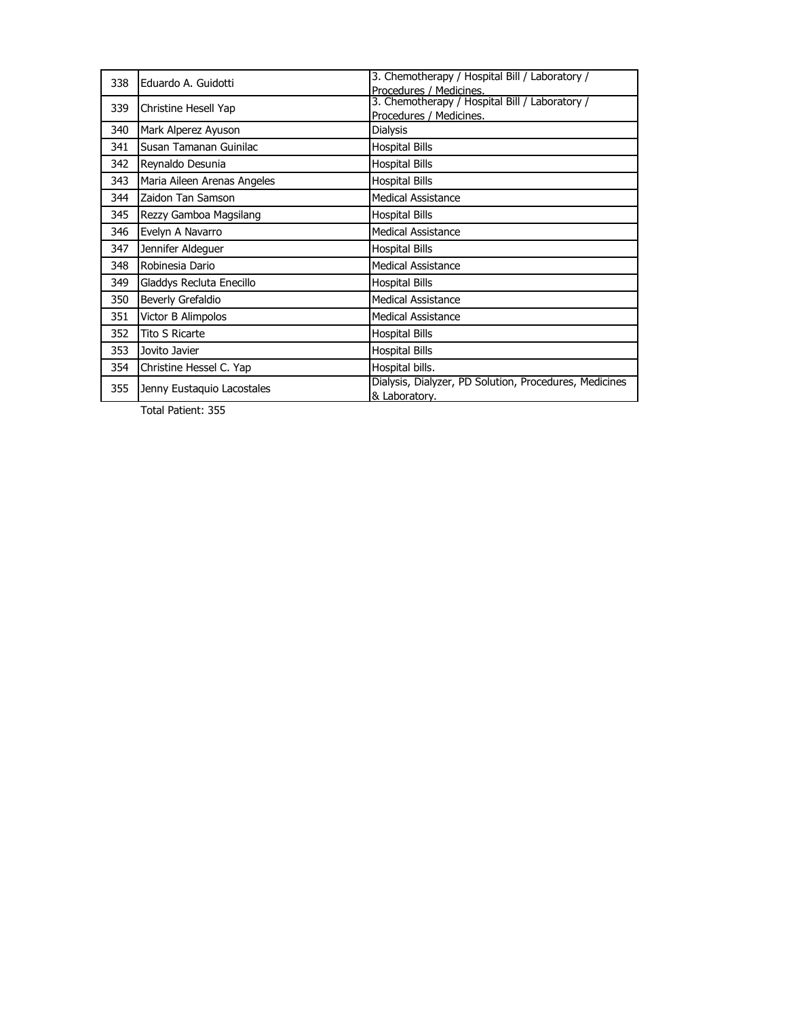| 338 | Eduardo A. Guidotti         | 3. Chemotherapy / Hospital Bill / Laboratory /                          |
|-----|-----------------------------|-------------------------------------------------------------------------|
|     |                             | Procedures / Medicines.                                                 |
| 339 | Christine Hesell Yap        | 3. Chemotherapy / Hospital Bill / Laboratory /                          |
|     |                             | Procedures / Medicines.                                                 |
| 340 | Mark Alperez Ayuson         | <b>Dialysis</b>                                                         |
| 341 | Susan Tamanan Guinilac      | <b>Hospital Bills</b>                                                   |
| 342 | Reynaldo Desunia            | <b>Hospital Bills</b>                                                   |
| 343 | Maria Aileen Arenas Angeles | <b>Hospital Bills</b>                                                   |
| 344 | Zaidon Tan Samson           | <b>Medical Assistance</b>                                               |
| 345 | Rezzy Gamboa Magsilang      | <b>Hospital Bills</b>                                                   |
| 346 | Evelyn A Navarro            | <b>Medical Assistance</b>                                               |
| 347 | Jennifer Aldequer           | <b>Hospital Bills</b>                                                   |
| 348 | Robinesia Dario             | <b>Medical Assistance</b>                                               |
| 349 | Gladdys Recluta Enecillo    | <b>Hospital Bills</b>                                                   |
| 350 | Beverly Grefaldio           | <b>Medical Assistance</b>                                               |
| 351 | Victor B Alimpolos          | <b>Medical Assistance</b>                                               |
| 352 | <b>Tito S Ricarte</b>       | <b>Hospital Bills</b>                                                   |
| 353 | Jovito Javier               | <b>Hospital Bills</b>                                                   |
| 354 | Christine Hessel C. Yap     | Hospital bills.                                                         |
| 355 | Jenny Eustaquio Lacostales  | Dialysis, Dialyzer, PD Solution, Procedures, Medicines<br>& Laboratory. |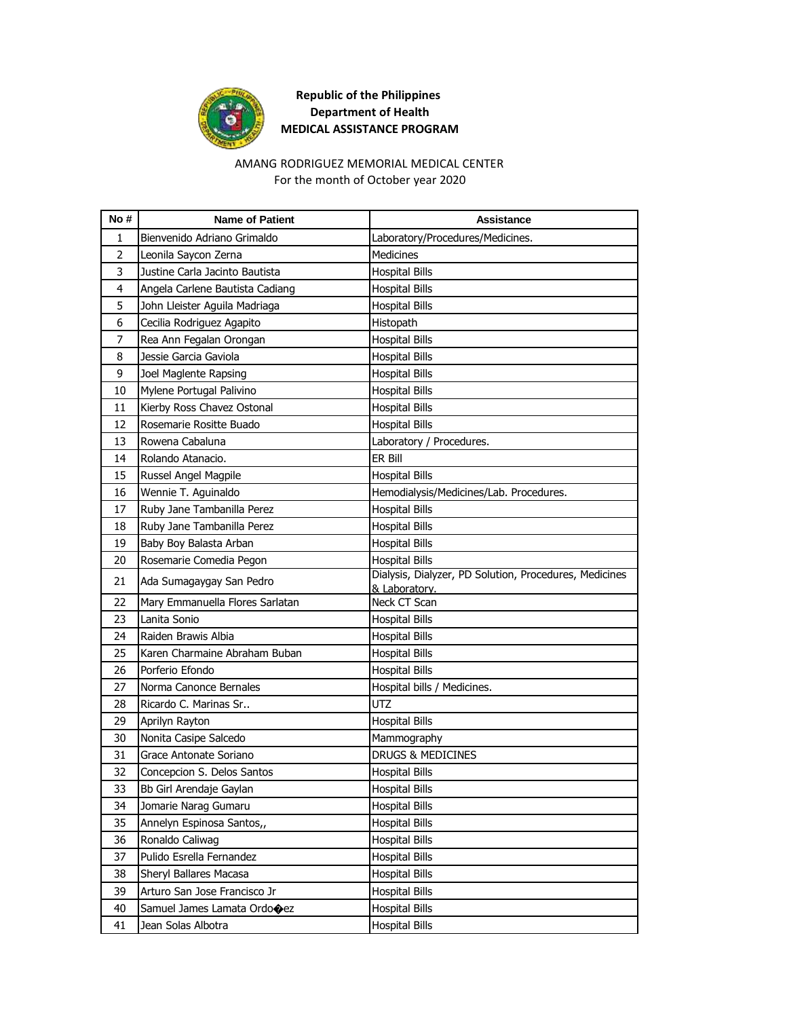

#### AMANG RODRIGUEZ MEMORIAL MEDICAL CENTER For the month of October year 2020

| No#      | <b>Name of Patient</b>                                | Assistance                                             |
|----------|-------------------------------------------------------|--------------------------------------------------------|
| 1        | Bienvenido Adriano Grimaldo                           | Laboratory/Procedures/Medicines.                       |
| 2        | Leonila Saycon Zerna                                  | <b>Medicines</b>                                       |
| 3        | Justine Carla Jacinto Bautista                        | <b>Hospital Bills</b>                                  |
| 4        | Angela Carlene Bautista Cadiang                       | <b>Hospital Bills</b>                                  |
| 5        | John Lleister Aguila Madriaga                         | <b>Hospital Bills</b>                                  |
| 6        | Cecilia Rodriguez Agapito                             | Histopath                                              |
| 7        | Rea Ann Fegalan Orongan                               | <b>Hospital Bills</b>                                  |
| 8        | Jessie Garcia Gaviola                                 | <b>Hospital Bills</b>                                  |
| 9        | Joel Maglente Rapsing                                 | <b>Hospital Bills</b>                                  |
| 10       | Mylene Portugal Palivino                              | <b>Hospital Bills</b>                                  |
| 11       | Kierby Ross Chavez Ostonal                            | <b>Hospital Bills</b>                                  |
| 12       | Rosemarie Rositte Buado                               | <b>Hospital Bills</b>                                  |
| 13       | Rowena Cabaluna                                       | Laboratory / Procedures.                               |
| 14       | Rolando Atanacio.                                     | ER Bill                                                |
| 15       | Russel Angel Magpile                                  | <b>Hospital Bills</b>                                  |
| 16       | Wennie T. Aguinaldo                                   | Hemodialysis/Medicines/Lab. Procedures.                |
| 17       | Ruby Jane Tambanilla Perez                            | <b>Hospital Bills</b>                                  |
| 18       | Ruby Jane Tambanilla Perez                            | <b>Hospital Bills</b>                                  |
| 19       | Baby Boy Balasta Arban                                | <b>Hospital Bills</b>                                  |
| 20       | Rosemarie Comedia Pegon                               | <b>Hospital Bills</b>                                  |
| 21       | Ada Sumagaygay San Pedro                              | Dialysis, Dialyzer, PD Solution, Procedures, Medicines |
| 22       |                                                       | & Laboratory.                                          |
| 23       | Mary Emmanuella Flores Sarlatan<br>Lanita Sonio       | Neck CT Scan                                           |
| 24       | Raiden Brawis Albia                                   | <b>Hospital Bills</b>                                  |
| 25       | Karen Charmaine Abraham Buban                         | <b>Hospital Bills</b>                                  |
| 26       | Porferio Efondo                                       | <b>Hospital Bills</b>                                  |
| 27       | Norma Canonce Bernales                                | <b>Hospital Bills</b>                                  |
| 28       | Ricardo C. Marinas Sr                                 | Hospital bills / Medicines.<br><b>UTZ</b>              |
|          |                                                       |                                                        |
| 29<br>30 | Aprilyn Rayton                                        | <b>Hospital Bills</b>                                  |
| 31       | Nonita Casipe Salcedo<br>Grace Antonate Soriano       | Mammography<br>DRUGS & MEDICINES                       |
|          |                                                       |                                                        |
| 32<br>33 | Concepcion S. Delos Santos<br>Bb Girl Arendaje Gaylan | <b>Hospital Bills</b><br><b>Hospital Bills</b>         |
| 34       |                                                       | <b>Hospital Bills</b>                                  |
|          | Jomarie Narag Gumaru                                  |                                                        |
| 35       | Annelyn Espinosa Santos,,                             | <b>Hospital Bills</b>                                  |
| 36       | Ronaldo Caliwag                                       | Hospital Bills                                         |
| 37       | Pulido Esrella Fernandez                              | <b>Hospital Bills</b>                                  |
| 38       | Sheryl Ballares Macasa                                | <b>Hospital Bills</b>                                  |
| 39       | Arturo San Jose Francisco Jr                          | <b>Hospital Bills</b>                                  |
| 40       | Samuel James Lamata Ordooez                           | <b>Hospital Bills</b>                                  |
| 41       | Jean Solas Albotra                                    | <b>Hospital Bills</b>                                  |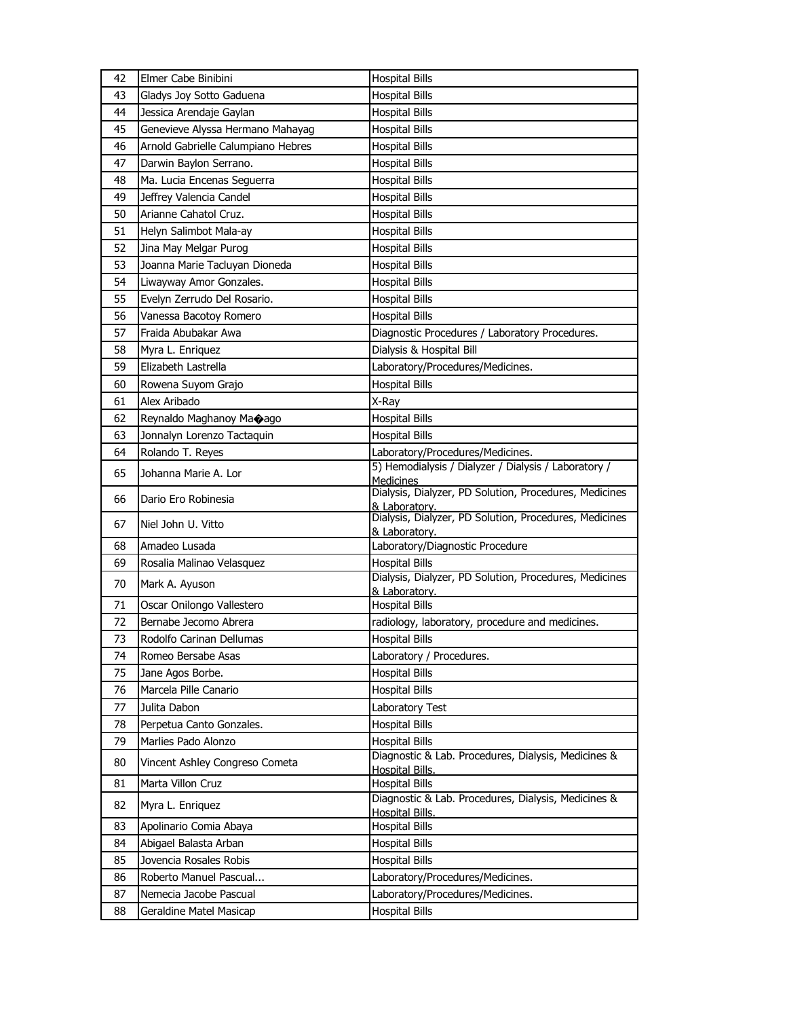| 42 | Elmer Cabe Binibini                | <b>Hospital Bills</b>                                                    |
|----|------------------------------------|--------------------------------------------------------------------------|
| 43 | Gladys Joy Sotto Gaduena           | <b>Hospital Bills</b>                                                    |
| 44 | Jessica Arendaje Gaylan            | <b>Hospital Bills</b>                                                    |
| 45 | Genevieve Alyssa Hermano Mahayag   | <b>Hospital Bills</b>                                                    |
| 46 | Arnold Gabrielle Calumpiano Hebres | <b>Hospital Bills</b>                                                    |
| 47 | Darwin Baylon Serrano.             | <b>Hospital Bills</b>                                                    |
| 48 | Ma. Lucia Encenas Seguerra         | <b>Hospital Bills</b>                                                    |
| 49 | Jeffrey Valencia Candel            | <b>Hospital Bills</b>                                                    |
| 50 | Arianne Cahatol Cruz.              | <b>Hospital Bills</b>                                                    |
| 51 | Helyn Salimbot Mala-ay             | <b>Hospital Bills</b>                                                    |
| 52 | Jina May Melgar Purog              | <b>Hospital Bills</b>                                                    |
| 53 | Joanna Marie Tacluyan Dioneda      | <b>Hospital Bills</b>                                                    |
| 54 | Liwayway Amor Gonzales.            | <b>Hospital Bills</b>                                                    |
| 55 | Evelyn Zerrudo Del Rosario.        | <b>Hospital Bills</b>                                                    |
| 56 | Vanessa Bacotoy Romero             | <b>Hospital Bills</b>                                                    |
| 57 | Fraida Abubakar Awa                | Diagnostic Procedures / Laboratory Procedures.                           |
| 58 | Myra L. Enriquez                   | Dialysis & Hospital Bill                                                 |
| 59 | Elizabeth Lastrella                | Laboratory/Procedures/Medicines.                                         |
| 60 | Rowena Suyom Grajo                 | <b>Hospital Bills</b>                                                    |
| 61 | Alex Aribado                       | X-Ray                                                                    |
| 62 | Reynaldo Maghanoy Ma�ago           | <b>Hospital Bills</b>                                                    |
| 63 | Jonnalyn Lorenzo Tactaquin         | <b>Hospital Bills</b>                                                    |
| 64 | Rolando T. Reyes                   | Laboratory/Procedures/Medicines.                                         |
| 65 | Johanna Marie A. Lor               | 5) Hemodialysis / Dialyzer / Dialysis / Laboratory /<br><b>Medicines</b> |
| 66 | Dario Ero Robinesia                | Dialysis, Dialyzer, PD Solution, Procedures, Medicines<br>& Laboratory.  |
| 67 | Niel John U. Vitto                 | Dialysis, Dialyzer, PD Solution, Procedures, Medicines<br>& Laboratory.  |
| 68 | Amadeo Lusada                      | Laboratory/Diagnostic Procedure                                          |
| 69 | Rosalia Malinao Velasquez          | <b>Hospital Bills</b>                                                    |
| 70 | Mark A. Ayuson                     | Dialysis, Dialyzer, PD Solution, Procedures, Medicines<br>& Laboratory.  |
| 71 | Oscar Onilongo Vallestero          | <b>Hospital Bills</b>                                                    |
| 72 | Bernabe Jecomo Abrera              | radiology, laboratory, procedure and medicines.                          |
| 73 | Rodolfo Carinan Dellumas           | <b>Hospital Bills</b>                                                    |
| 74 | Romeo Bersabe Asas                 | Laboratory / Procedures.                                                 |
| 75 | Jane Agos Borbe.                   | <b>Hospital Bills</b>                                                    |
| 76 | Marcela Pille Canario              | <b>Hospital Bills</b>                                                    |
| 77 | Julita Dabon                       | Laboratory Test                                                          |
| 78 | Perpetua Canto Gonzales.           | <b>Hospital Bills</b>                                                    |
| 79 | Marlies Pado Alonzo                | <b>Hospital Bills</b>                                                    |
| 80 | Vincent Ashley Congreso Cometa     | Diagnostic & Lab. Procedures, Dialysis, Medicines &<br>Hospital Bills.   |
| 81 | Marta Villon Cruz                  | <b>Hospital Bills</b>                                                    |
| 82 | Myra L. Enriquez                   | Diagnostic & Lab. Procedures, Dialysis, Medicines &<br>Hospital Bills.   |
| 83 | Apolinario Comia Abaya             | <b>Hospital Bills</b>                                                    |
| 84 | Abigael Balasta Arban              | <b>Hospital Bills</b>                                                    |
| 85 | Jovencia Rosales Robis             | <b>Hospital Bills</b>                                                    |
| 86 | Roberto Manuel Pascual             | Laboratory/Procedures/Medicines.                                         |
| 87 | Nemecia Jacobe Pascual             | Laboratory/Procedures/Medicines.                                         |
| 88 | Geraldine Matel Masicap            | <b>Hospital Bills</b>                                                    |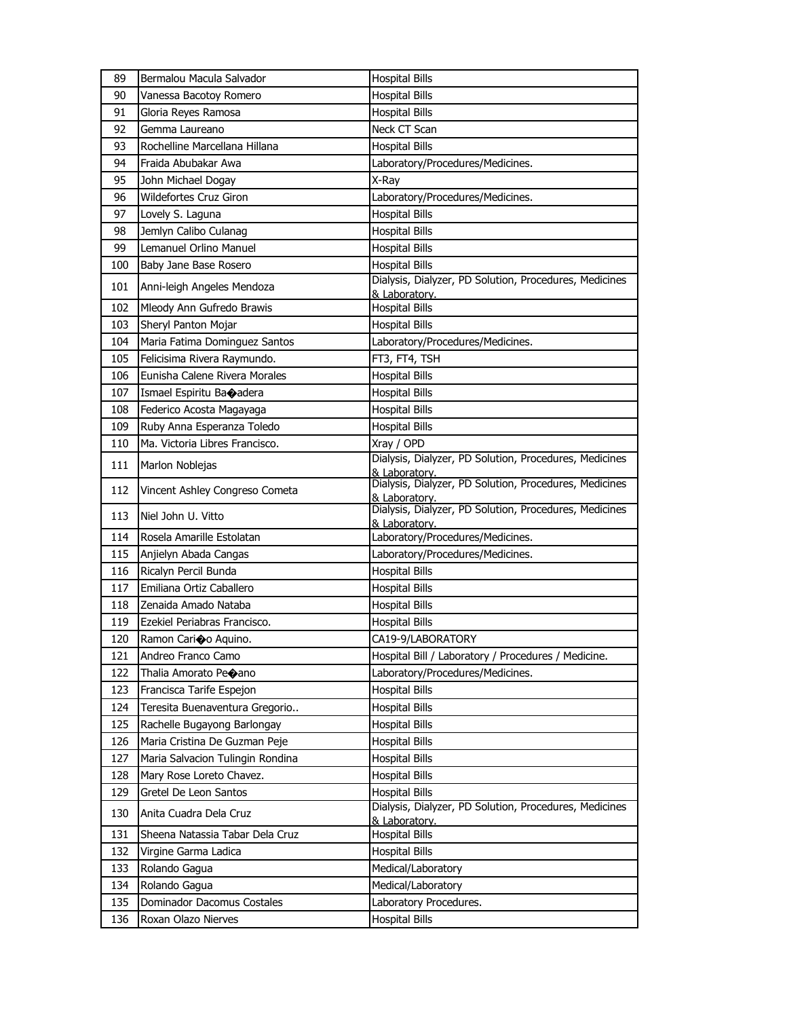| 89  | Bermalou Macula Salvador         | <b>Hospital Bills</b>                                                   |
|-----|----------------------------------|-------------------------------------------------------------------------|
| 90  | Vanessa Bacotoy Romero           | <b>Hospital Bills</b>                                                   |
| 91  | Gloria Reyes Ramosa              | <b>Hospital Bills</b>                                                   |
| 92  | Gemma Laureano                   | Neck CT Scan                                                            |
| 93  | Rochelline Marcellana Hillana    | <b>Hospital Bills</b>                                                   |
| 94  | Fraida Abubakar Awa              | Laboratory/Procedures/Medicines.                                        |
| 95  | John Michael Dogay               | X-Ray                                                                   |
| 96  | <b>Wildefortes Cruz Giron</b>    | Laboratory/Procedures/Medicines.                                        |
| 97  | Lovely S. Laguna                 | <b>Hospital Bills</b>                                                   |
| 98  | Jemlyn Calibo Culanag            | <b>Hospital Bills</b>                                                   |
| 99  | Lemanuel Orlino Manuel           | <b>Hospital Bills</b>                                                   |
| 100 | Baby Jane Base Rosero            | <b>Hospital Bills</b>                                                   |
| 101 | Anni-leigh Angeles Mendoza       | Dialysis, Dialyzer, PD Solution, Procedures, Medicines<br>& Laboratory. |
| 102 | Mleody Ann Gufredo Brawis        | <b>Hospital Bills</b>                                                   |
| 103 | Sheryl Panton Mojar              | <b>Hospital Bills</b>                                                   |
| 104 | Maria Fatima Dominguez Santos    | Laboratory/Procedures/Medicines.                                        |
| 105 | Felicisima Rivera Raymundo.      | FT3, FT4, TSH                                                           |
| 106 | Eunisha Calene Rivera Morales    | <b>Hospital Bills</b>                                                   |
| 107 | Ismael Espiritu Baoadera         | <b>Hospital Bills</b>                                                   |
| 108 | Federico Acosta Magayaga         | <b>Hospital Bills</b>                                                   |
| 109 | Ruby Anna Esperanza Toledo       | <b>Hospital Bills</b>                                                   |
| 110 | Ma. Victoria Libres Francisco.   | Xray / OPD                                                              |
| 111 | Marlon Noblejas                  | Dialysis, Dialyzer, PD Solution, Procedures, Medicines<br>& Laboratory. |
| 112 | Vincent Ashley Congreso Cometa   | Dialysis, Dialyzer, PD Solution, Procedures, Medicines<br>& Laboratory. |
| 113 | Niel John U. Vitto               | Dialysis, Dialyzer, PD Solution, Procedures, Medicines<br>& Laboratory. |
| 114 | Rosela Amarille Estolatan        | Laboratory/Procedures/Medicines.                                        |
| 115 | Anjielyn Abada Cangas            | Laboratory/Procedures/Medicines.                                        |
| 116 | Ricalyn Percil Bunda             | <b>Hospital Bills</b>                                                   |
| 117 | Emiliana Ortiz Caballero         | <b>Hospital Bills</b>                                                   |
| 118 | Zenaida Amado Nataba             | <b>Hospital Bills</b>                                                   |
| 119 | Ezekiel Periabras Francisco.     | <b>Hospital Bills</b>                                                   |
| 120 | Ramon Cario Aquino.              | CA19-9/LABORATORY                                                       |
| 121 | Andreo Franco Camo               | Hospital Bill / Laboratory / Procedures / Medicine.                     |
| 122 | Thalia Amorato Pe�ano            | Laboratory/Procedures/Medicines.                                        |
| 123 | Francisca Tarife Espejon         | <b>Hospital Bills</b>                                                   |
| 124 | Teresita Buenaventura Gregorio   | <b>Hospital Bills</b>                                                   |
| 125 | Rachelle Bugayong Barlongay      | <b>Hospital Bills</b>                                                   |
| 126 | Maria Cristina De Guzman Peje    | <b>Hospital Bills</b>                                                   |
| 127 | Maria Salvacion Tulingin Rondina | <b>Hospital Bills</b>                                                   |
| 128 | Mary Rose Loreto Chavez.         | <b>Hospital Bills</b>                                                   |
| 129 | Gretel De Leon Santos            | <b>Hospital Bills</b>                                                   |
| 130 | Anita Cuadra Dela Cruz           | Dialysis, Dialyzer, PD Solution, Procedures, Medicines<br>& Laboratory. |
| 131 | Sheena Natassia Tabar Dela Cruz  | Hospital Bills                                                          |
| 132 | Virgine Garma Ladica             | <b>Hospital Bills</b>                                                   |
| 133 | Rolando Gagua                    | Medical/Laboratory                                                      |
| 134 | Rolando Gagua                    | Medical/Laboratory                                                      |
| 135 | Dominador Dacomus Costales       | Laboratory Procedures.                                                  |
| 136 | Roxan Olazo Nierves              | <b>Hospital Bills</b>                                                   |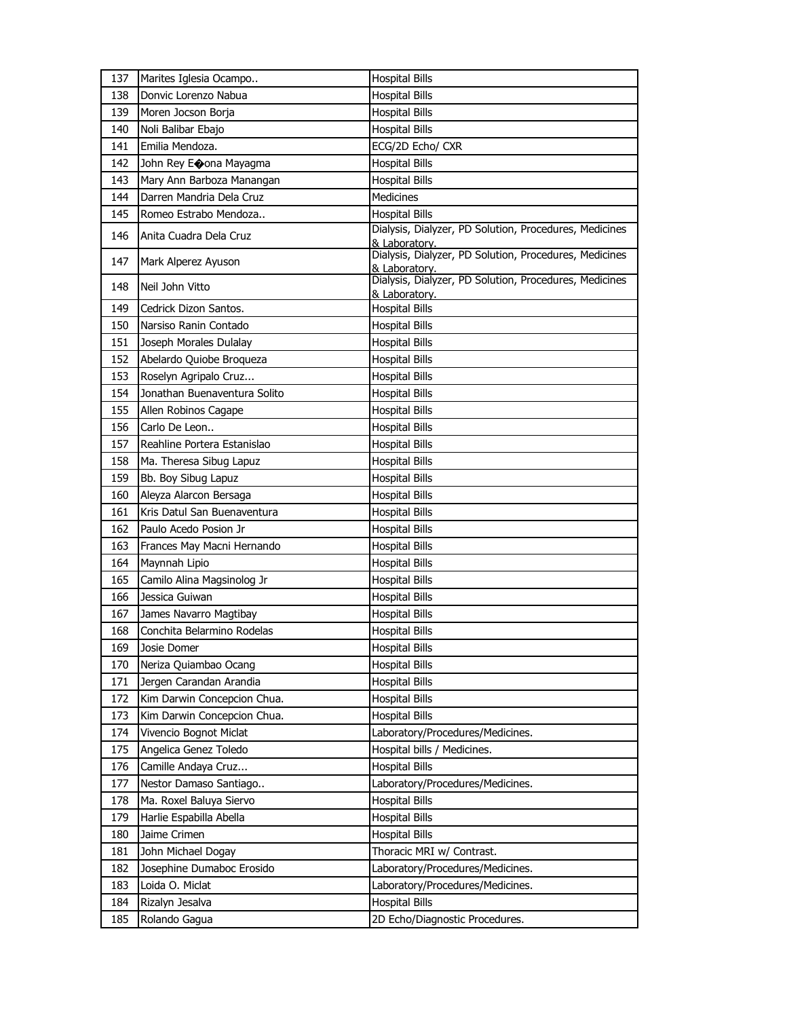| 137 | Marites Iglesia Ocampo       | <b>Hospital Bills</b>                                                   |
|-----|------------------------------|-------------------------------------------------------------------------|
| 138 | Donvic Lorenzo Nabua         | <b>Hospital Bills</b>                                                   |
| 139 | Moren Jocson Borja           | <b>Hospital Bills</b>                                                   |
| 140 | Noli Balibar Ebajo           | <b>Hospital Bills</b>                                                   |
| 141 | Emilia Mendoza.              | ECG/2D Echo/ CXR                                                        |
| 142 | John Rey Eoona Mayagma       | <b>Hospital Bills</b>                                                   |
| 143 | Mary Ann Barboza Manangan    | <b>Hospital Bills</b>                                                   |
| 144 | Darren Mandria Dela Cruz     | Medicines                                                               |
| 145 | Romeo Estrabo Mendoza        | <b>Hospital Bills</b>                                                   |
| 146 | Anita Cuadra Dela Cruz       | Dialysis, Dialyzer, PD Solution, Procedures, Medicines<br>& Laboratory. |
| 147 | Mark Alperez Ayuson          | Dialysis, Dialyzer, PD Solution, Procedures, Medicines<br>& Laboratory. |
| 148 | Neil John Vitto              | Dialysis, Dialyzer, PD Solution, Procedures, Medicines<br>& Laboratory. |
| 149 | Cedrick Dizon Santos.        | <b>Hospital Bills</b>                                                   |
| 150 | Narsiso Ranin Contado        | <b>Hospital Bills</b>                                                   |
| 151 | Joseph Morales Dulalay       | <b>Hospital Bills</b>                                                   |
| 152 | Abelardo Quiobe Broqueza     | <b>Hospital Bills</b>                                                   |
| 153 | Roselyn Agripalo Cruz        | <b>Hospital Bills</b>                                                   |
| 154 | Jonathan Buenaventura Solito | <b>Hospital Bills</b>                                                   |
| 155 | Allen Robinos Cagape         | <b>Hospital Bills</b>                                                   |
| 156 | Carlo De Leon                | <b>Hospital Bills</b>                                                   |
| 157 | Reahline Portera Estanislao  | <b>Hospital Bills</b>                                                   |
| 158 | Ma. Theresa Sibug Lapuz      | <b>Hospital Bills</b>                                                   |
| 159 | Bb. Boy Sibug Lapuz          | <b>Hospital Bills</b>                                                   |
| 160 | Aleyza Alarcon Bersaga       | <b>Hospital Bills</b>                                                   |
| 161 | Kris Datul San Buenaventura  | <b>Hospital Bills</b>                                                   |
| 162 | Paulo Acedo Posion Jr        | <b>Hospital Bills</b>                                                   |
| 163 | Frances May Macni Hernando   | <b>Hospital Bills</b>                                                   |
| 164 | Maynnah Lipio                | <b>Hospital Bills</b>                                                   |
| 165 | Camilo Alina Magsinolog Jr   | <b>Hospital Bills</b>                                                   |
| 166 | Jessica Guiwan               | <b>Hospital Bills</b>                                                   |
| 167 | James Navarro Magtibay       | <b>Hospital Bills</b>                                                   |
| 168 | Conchita Belarmino Rodelas   | <b>Hospital Bills</b>                                                   |
| 169 | Josie Domer                  | <b>Hospital Bills</b>                                                   |
| 170 | Neriza Quiambao Ocang        | Hospital Bills                                                          |
| 171 | Jergen Carandan Arandia      | Hospital Bills                                                          |
| 172 | Kim Darwin Concepcion Chua.  | <b>Hospital Bills</b>                                                   |
| 173 | Kim Darwin Concepcion Chua.  | <b>Hospital Bills</b>                                                   |
| 174 | Vivencio Bognot Miclat       | Laboratory/Procedures/Medicines.                                        |
| 175 | Angelica Genez Toledo        | Hospital bills / Medicines.                                             |
| 176 | Camille Andaya Cruz          | <b>Hospital Bills</b>                                                   |
| 177 | Nestor Damaso Santiago       | Laboratory/Procedures/Medicines.                                        |
| 178 | Ma. Roxel Baluya Siervo      | <b>Hospital Bills</b>                                                   |
| 179 | Harlie Espabilla Abella      | <b>Hospital Bills</b>                                                   |
| 180 | Jaime Crimen                 | <b>Hospital Bills</b>                                                   |
| 181 | John Michael Dogay           | Thoracic MRI w/ Contrast.                                               |
| 182 | Josephine Dumaboc Erosido    | Laboratory/Procedures/Medicines.                                        |
| 183 | Loida O. Miclat              | Laboratory/Procedures/Medicines.                                        |
| 184 | Rizalyn Jesalva              | <b>Hospital Bills</b>                                                   |
| 185 | Rolando Gagua                | 2D Echo/Diagnostic Procedures.                                          |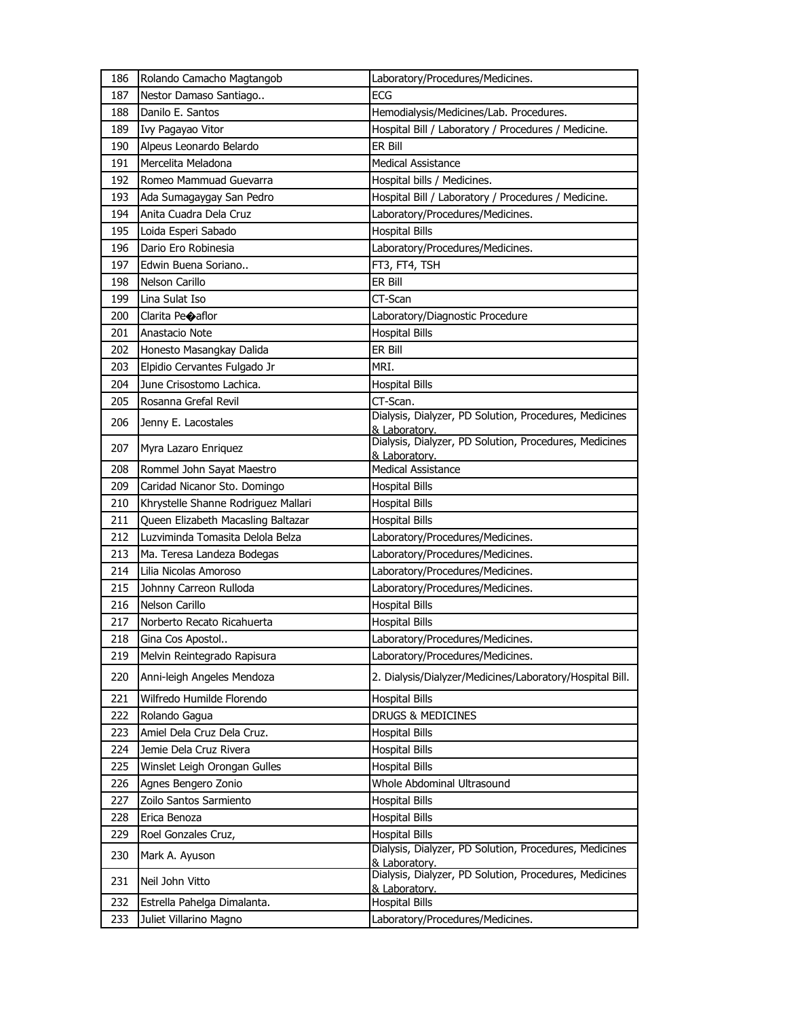| 186 | Rolando Camacho Magtangob           | Laboratory/Procedures/Medicines.                                        |
|-----|-------------------------------------|-------------------------------------------------------------------------|
| 187 | Nestor Damaso Santiago              | ECG                                                                     |
| 188 | Danilo E. Santos                    | Hemodialysis/Medicines/Lab. Procedures.                                 |
| 189 | Ivy Pagayao Vitor                   | Hospital Bill / Laboratory / Procedures / Medicine.                     |
| 190 | Alpeus Leonardo Belardo             | ER Bill                                                                 |
| 191 | Mercelita Meladona                  | <b>Medical Assistance</b>                                               |
| 192 | Romeo Mammuad Guevarra              | Hospital bills / Medicines.                                             |
| 193 | Ada Sumagaygay San Pedro            | Hospital Bill / Laboratory / Procedures / Medicine.                     |
| 194 | Anita Cuadra Dela Cruz              | Laboratory/Procedures/Medicines.                                        |
| 195 | Loida Esperi Sabado                 | <b>Hospital Bills</b>                                                   |
| 196 | Dario Ero Robinesia                 | Laboratory/Procedures/Medicines.                                        |
| 197 | Edwin Buena Soriano                 | FT3, FT4, TSH                                                           |
| 198 | Nelson Carillo                      | ER Bill                                                                 |
| 199 | Lina Sulat Iso                      | CT-Scan                                                                 |
| 200 | Clarita Peoaflor                    | Laboratory/Diagnostic Procedure                                         |
| 201 | Anastacio Note                      | <b>Hospital Bills</b>                                                   |
| 202 | Honesto Masangkay Dalida            | ER Bill                                                                 |
| 203 | Elpidio Cervantes Fulgado Jr        | MRI.                                                                    |
| 204 | June Crisostomo Lachica.            | <b>Hospital Bills</b>                                                   |
| 205 | Rosanna Grefal Revil                | CT-Scan.                                                                |
| 206 | Jenny E. Lacostales                 | Dialysis, Dialyzer, PD Solution, Procedures, Medicines<br>& Laboratory. |
| 207 | Myra Lazaro Enriquez                | Dialysis, Dialyzer, PD Solution, Procedures, Medicines<br>& Laboratory. |
| 208 | Rommel John Sayat Maestro           | <b>Medical Assistance</b>                                               |
| 209 | Caridad Nicanor Sto. Domingo        | <b>Hospital Bills</b>                                                   |
| 210 | Khrystelle Shanne Rodriguez Mallari | Hospital Bills                                                          |
| 211 | Queen Elizabeth Macasling Baltazar  | <b>Hospital Bills</b>                                                   |
| 212 | Luzviminda Tomasita Delola Belza    | Laboratory/Procedures/Medicines.                                        |
| 213 | Ma. Teresa Landeza Bodegas          | Laboratory/Procedures/Medicines.                                        |
| 214 | Lilia Nicolas Amoroso               | Laboratory/Procedures/Medicines.                                        |
| 215 | Johnny Carreon Rulloda              | Laboratory/Procedures/Medicines.                                        |
| 216 | Nelson Carillo                      | <b>Hospital Bills</b>                                                   |
| 217 | Norberto Recato Ricahuerta          | <b>Hospital Bills</b>                                                   |
| 218 | Gina Cos Apostol                    | Laboratory/Procedures/Medicines.                                        |
| 219 | Melvin Reintegrado Rapisura         | Laboratory/Procedures/Medicines.                                        |
| 220 | Anni-leigh Angeles Mendoza          | 2. Dialysis/Dialyzer/Medicines/Laboratory/Hospital Bill.                |
| 221 | Wilfredo Humilde Florendo           | <b>Hospital Bills</b>                                                   |
| 222 | Rolando Gagua                       | DRUGS & MEDICINES                                                       |
| 223 | Amiel Dela Cruz Dela Cruz.          | <b>Hospital Bills</b>                                                   |
| 224 | Jemie Dela Cruz Rivera              | <b>Hospital Bills</b>                                                   |
| 225 | Winslet Leigh Orongan Gulles        | <b>Hospital Bills</b>                                                   |
| 226 | Agnes Bengero Zonio                 | Whole Abdominal Ultrasound                                              |
| 227 | Zoilo Santos Sarmiento              | <b>Hospital Bills</b>                                                   |
| 228 | Erica Benoza                        | <b>Hospital Bills</b>                                                   |
| 229 | Roel Gonzales Cruz,                 | <b>Hospital Bills</b>                                                   |
| 230 | Mark A. Ayuson                      | Dialysis, Dialyzer, PD Solution, Procedures, Medicines<br>& Laboratory. |
| 231 | Neil John Vitto                     | Dialysis, Dialyzer, PD Solution, Procedures, Medicines<br>& Laboratory. |
| 232 | Estrella Pahelga Dimalanta.         | <b>Hospital Bills</b>                                                   |
| 233 | Juliet Villarino Magno              | Laboratory/Procedures/Medicines.                                        |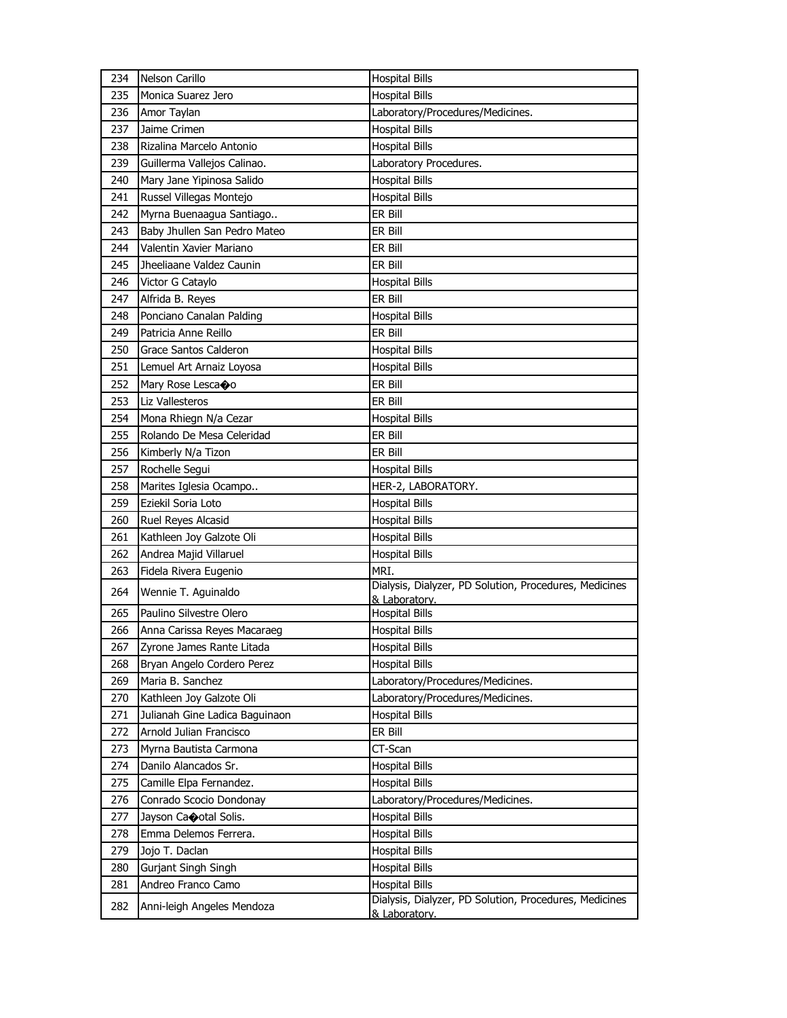| 234 | Nelson Carillo                 | <b>Hospital Bills</b>                                                   |
|-----|--------------------------------|-------------------------------------------------------------------------|
| 235 | Monica Suarez Jero             | <b>Hospital Bills</b>                                                   |
| 236 | Amor Taylan                    | Laboratory/Procedures/Medicines.                                        |
| 237 | Jaime Crimen                   | <b>Hospital Bills</b>                                                   |
| 238 | Rizalina Marcelo Antonio       | <b>Hospital Bills</b>                                                   |
| 239 | Guillerma Vallejos Calinao.    | Laboratory Procedures.                                                  |
| 240 | Mary Jane Yipinosa Salido      | <b>Hospital Bills</b>                                                   |
| 241 | Russel Villegas Montejo        | <b>Hospital Bills</b>                                                   |
| 242 | Myrna Buenaagua Santiago       | ER Bill                                                                 |
| 243 | Baby Jhullen San Pedro Mateo   | ER Bill                                                                 |
| 244 | Valentin Xavier Mariano        | ER Bill                                                                 |
| 245 | Jheeliaane Valdez Caunin       | ER Bill                                                                 |
| 246 | Victor G Cataylo               | <b>Hospital Bills</b>                                                   |
| 247 | Alfrida B. Reyes               | ER Bill                                                                 |
| 248 | Ponciano Canalan Palding       | <b>Hospital Bills</b>                                                   |
| 249 | Patricia Anne Reillo           | ER Bill                                                                 |
| 250 | Grace Santos Calderon          | <b>Hospital Bills</b>                                                   |
| 251 | Lemuel Art Arnaiz Loyosa       | <b>Hospital Bills</b>                                                   |
| 252 | Mary Rose Lescaoo              | ER Bill                                                                 |
| 253 | Liz Vallesteros                | ER Bill                                                                 |
| 254 | Mona Rhiegn N/a Cezar          | <b>Hospital Bills</b>                                                   |
| 255 | Rolando De Mesa Celeridad      | ER Bill                                                                 |
| 256 | Kimberly N/a Tizon             | er Bill                                                                 |
| 257 | Rochelle Segui                 | <b>Hospital Bills</b>                                                   |
| 258 | Marites Iglesia Ocampo         | HER-2, LABORATORY.                                                      |
| 259 | Eziekil Soria Loto             | <b>Hospital Bills</b>                                                   |
| 260 | Ruel Reyes Alcasid             | <b>Hospital Bills</b>                                                   |
| 261 | Kathleen Joy Galzote Oli       | <b>Hospital Bills</b>                                                   |
| 262 | Andrea Majid Villaruel         | <b>Hospital Bills</b>                                                   |
| 263 | Fidela Rivera Eugenio          | MRI.                                                                    |
| 264 | Wennie T. Aguinaldo            | Dialysis, Dialyzer, PD Solution, Procedures, Medicines<br>& Laboratory. |
| 265 | Paulino Silvestre Olero        | <b>Hospital Bills</b>                                                   |
| 266 | Anna Carissa Reyes Macaraeg    | <b>Hospital Bills</b>                                                   |
| 267 | Zyrone James Rante Litada      | <b>Hospital Bills</b>                                                   |
| 268 | Bryan Angelo Cordero Perez     | <b>Hospital Bills</b>                                                   |
| 269 | Maria B. Sanchez               | Laboratory/Procedures/Medicines.                                        |
| 270 | Kathleen Joy Galzote Oli       | Laboratory/Procedures/Medicines.                                        |
| 271 | Julianah Gine Ladica Baguinaon | <b>Hospital Bills</b>                                                   |
| 272 | Arnold Julian Francisco        | ER Bill                                                                 |
| 273 | Myrna Bautista Carmona         | CT-Scan                                                                 |
| 274 | Danilo Alancados Sr.           | <b>Hospital Bills</b>                                                   |
| 275 | Camille Elpa Fernandez.        | <b>Hospital Bills</b>                                                   |
| 276 | Conrado Scocio Dondonay        | Laboratory/Procedures/Medicines.                                        |
| 277 | Jayson Caootal Solis.          | <b>Hospital Bills</b>                                                   |
| 278 | Emma Delemos Ferrera.          | <b>Hospital Bills</b>                                                   |
| 279 | Jojo T. Daclan                 | <b>Hospital Bills</b>                                                   |
| 280 | Gurjant Singh Singh            | <b>Hospital Bills</b>                                                   |
| 281 | Andreo Franco Camo             | <b>Hospital Bills</b>                                                   |
| 282 | Anni-leigh Angeles Mendoza     | Dialysis, Dialyzer, PD Solution, Procedures, Medicines                  |
|     |                                | & Laboratory.                                                           |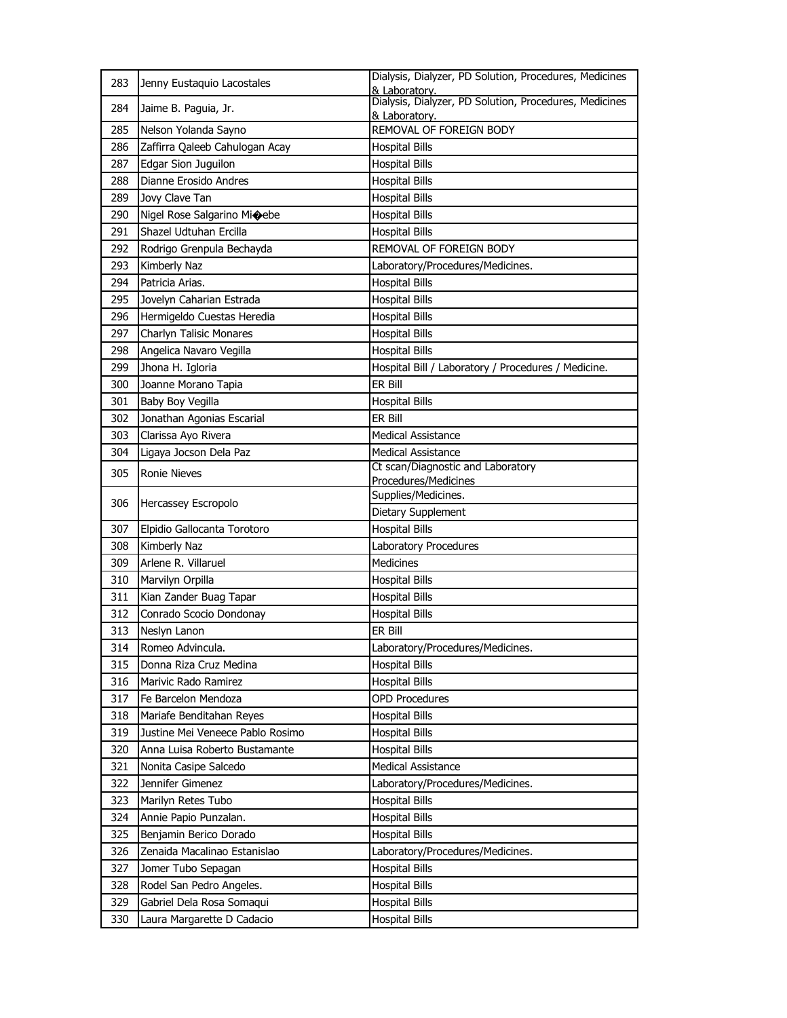| 283 | Jenny Eustaquio Lacostales             | Dialysis, Dialyzer, PD Solution, Procedures, Medicines<br>& Laboratory. |
|-----|----------------------------------------|-------------------------------------------------------------------------|
| 284 | Jaime B. Paguia, Jr.                   | Dialysis, Dialyzer, PD Solution, Procedures, Medicines<br>& Laboratory. |
| 285 | Nelson Yolanda Sayno                   | REMOVAL OF FOREIGN BODY                                                 |
| 286 | Zaffirra Qaleeb Cahulogan Acay         | <b>Hospital Bills</b>                                                   |
| 287 | Edgar Sion Juguilon                    | <b>Hospital Bills</b>                                                   |
| 288 | Dianne Erosido Andres                  | <b>Hospital Bills</b>                                                   |
| 289 | Jovy Clave Tan                         | <b>Hospital Bills</b>                                                   |
| 290 | Nigel Rose Salgarino Mi $\bigcirc$ ebe | <b>Hospital Bills</b>                                                   |
| 291 | Shazel Udtuhan Ercilla                 | <b>Hospital Bills</b>                                                   |
| 292 | Rodrigo Grenpula Bechayda              | REMOVAL OF FOREIGN BODY                                                 |
| 293 | Kimberly Naz                           | Laboratory/Procedures/Medicines.                                        |
| 294 | Patricia Arias.                        | <b>Hospital Bills</b>                                                   |
| 295 | Jovelyn Caharian Estrada               | <b>Hospital Bills</b>                                                   |
| 296 | Hermigeldo Cuestas Heredia             | <b>Hospital Bills</b>                                                   |
| 297 | Charlyn Talisic Monares                | <b>Hospital Bills</b>                                                   |
| 298 | Angelica Navaro Vegilla                | <b>Hospital Bills</b>                                                   |
| 299 | Jhona H. Igloria                       | Hospital Bill / Laboratory / Procedures / Medicine.                     |
| 300 | Joanne Morano Tapia                    | ER Bill                                                                 |
| 301 | Baby Boy Vegilla                       | <b>Hospital Bills</b>                                                   |
| 302 | Jonathan Agonias Escarial              | ER Bill                                                                 |
| 303 | Clarissa Ayo Rivera                    | <b>Medical Assistance</b>                                               |
| 304 | Ligaya Jocson Dela Paz                 | <b>Medical Assistance</b>                                               |
|     |                                        | Ct scan/Diagnostic and Laboratory                                       |
| 305 | <b>Ronie Nieves</b>                    | Procedures/Medicines                                                    |
| 306 | Hercassey Escropolo                    | Supplies/Medicines.                                                     |
|     |                                        | Dietary Supplement                                                      |
| 307 | Elpidio Gallocanta Torotoro            | <b>Hospital Bills</b>                                                   |
| 308 | Kimberly Naz                           | Laboratory Procedures                                                   |
| 309 | Arlene R. Villaruel                    | Medicines                                                               |
| 310 | Marvilyn Orpilla                       | <b>Hospital Bills</b>                                                   |
| 311 | Kian Zander Buag Tapar                 | <b>Hospital Bills</b>                                                   |
| 312 | Conrado Scocio Dondonay                | <b>Hospital Bills</b>                                                   |
| 313 | Neslyn Lanon                           | ER Bill                                                                 |
| 314 | Romeo Advincula.                       | Laboratory/Procedures/Medicines.                                        |
| 315 | Donna Riza Cruz Medina                 | <b>Hospital Bills</b>                                                   |
| 316 | Marivic Rado Ramirez                   | <b>Hospital Bills</b>                                                   |
| 317 | Fe Barcelon Mendoza                    | <b>OPD Procedures</b>                                                   |
| 318 | Mariafe Benditahan Reyes               | <b>Hospital Bills</b>                                                   |
| 319 | Justine Mei Veneece Pablo Rosimo       | <b>Hospital Bills</b>                                                   |
| 320 | Anna Luisa Roberto Bustamante          | <b>Hospital Bills</b>                                                   |
| 321 | Nonita Casipe Salcedo                  | <b>Medical Assistance</b>                                               |
| 322 | Jennifer Gimenez                       | Laboratory/Procedures/Medicines.                                        |
| 323 | Marilyn Retes Tubo                     | <b>Hospital Bills</b>                                                   |
| 324 | Annie Papio Punzalan.                  | <b>Hospital Bills</b>                                                   |
| 325 | Benjamin Berico Dorado                 | <b>Hospital Bills</b>                                                   |
| 326 | Zenaida Macalinao Estanislao           | Laboratory/Procedures/Medicines.                                        |
| 327 | Jomer Tubo Sepagan                     | <b>Hospital Bills</b>                                                   |
| 328 | Rodel San Pedro Angeles.               | <b>Hospital Bills</b>                                                   |
| 329 | Gabriel Dela Rosa Somaqui              | <b>Hospital Bills</b>                                                   |
| 330 | Laura Margarette D Cadacio             | <b>Hospital Bills</b>                                                   |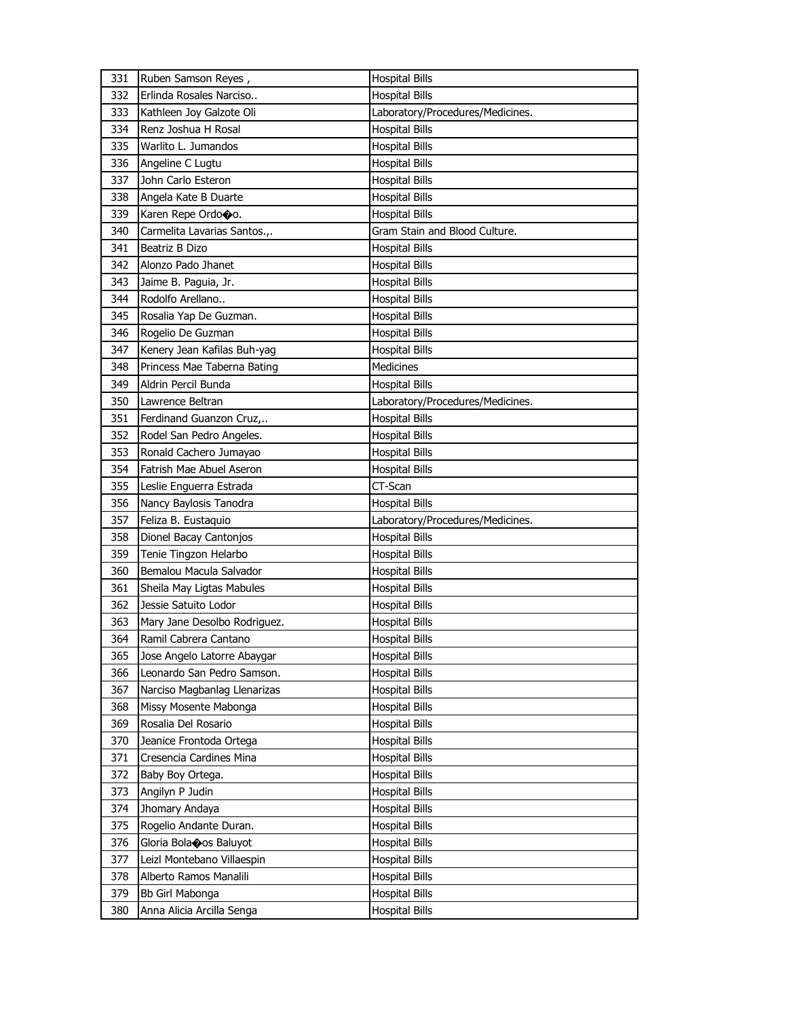| 331        | Ruben Samson Reyes,                          | <b>Hospital Bills</b>            |
|------------|----------------------------------------------|----------------------------------|
| 332        | Erlinda Rosales Narciso                      | <b>Hospital Bills</b>            |
| 333        | Kathleen Joy Galzote Oli                     | Laboratory/Procedures/Medicines. |
| 334        | Renz Joshua H Rosal                          | <b>Hospital Bills</b>            |
| 335        | Warlito L. Jumandos                          | <b>Hospital Bills</b>            |
| 336        | Angeline C Lugtu                             | <b>Hospital Bills</b>            |
| 337        | John Carlo Esteron                           | Hospital Bills                   |
| 338        | Angela Kate B Duarte                         | <b>Hospital Bills</b>            |
| 339        | Karen Repe Ordo�o.                           | <b>Hospital Bills</b>            |
| 340        | Carmelita Lavarias Santos.,.                 | Gram Stain and Blood Culture.    |
| 341        | Beatriz B Dizo                               | <b>Hospital Bills</b>            |
| 342        | Alonzo Pado Jhanet                           | Hospital Bills                   |
| 343        | Jaime B. Paguia, Jr.                         | Hospital Bills                   |
| 344        | Rodolfo Arellano                             | Hospital Bills                   |
| 345        | Rosalia Yap De Guzman.                       | <b>Hospital Bills</b>            |
| 346        | Rogelio De Guzman                            | <b>Hospital Bills</b>            |
| 347        | Kenery Jean Kafilas Buh-yag                  | <b>Hospital Bills</b>            |
| 348        | Princess Mae Taberna Bating                  | Medicines                        |
| 349        | Aldrin Percil Bunda                          | <b>Hospital Bills</b>            |
| 350        | Lawrence Beltran                             | Laboratory/Procedures/Medicines. |
| 351        | Ferdinand Guanzon Cruz,                      | <b>Hospital Bills</b>            |
| 352        | Rodel San Pedro Angeles.                     | <b>Hospital Bills</b>            |
| 353        | Ronald Cachero Jumayao                       | Hospital Bills                   |
| 354        | Fatrish Mae Abuel Aseron                     | <b>Hospital Bills</b>            |
| 355        | Leslie Enguerra Estrada                      | CT-Scan                          |
| 356        | Nancy Baylosis Tanodra                       | <b>Hospital Bills</b>            |
| 357        | Feliza B. Eustaquio                          | Laboratory/Procedures/Medicines. |
| 358        | Dionel Bacay Cantonjos                       | <b>Hospital Bills</b>            |
| 359        | Tenie Tingzon Helarbo                        | Hospital Bills                   |
| 360        | Bemalou Macula Salvador                      | <b>Hospital Bills</b>            |
| 361        | Sheila May Ligtas Mabules                    | <b>Hospital Bills</b>            |
| 362        | Jessie Satuito Lodor                         | Hospital Bills                   |
| 363        | Mary Jane Desolbo Rodriguez.                 | <b>Hospital Bills</b>            |
| 364        | Ramil Cabrera Cantano                        | Hospital Bills                   |
| 365        | Jose Angelo Latorre Abaygar                  | <b>Hospital Bills</b>            |
| 366        | Leonardo San Pedro Samson.                   | <b>Hospital Bills</b>            |
| 367        | Narciso Magbanlag Llenarizas                 | <b>Hospital Bills</b>            |
| 368        | Missy Mosente Mabonga                        | <b>Hospital Bills</b>            |
| 369        | Rosalia Del Rosario                          | <b>Hospital Bills</b>            |
| 370        | Jeanice Frontoda Ortega                      | Hospital Bills                   |
| 371        | Cresencia Cardines Mina                      | Hospital Bills                   |
| 372        | Baby Boy Ortega.                             | <b>Hospital Bills</b>            |
| 373        | Angilyn P Judin                              | <b>Hospital Bills</b>            |
| 374        | Jhomary Andaya                               | <b>Hospital Bills</b>            |
|            |                                              |                                  |
| 375        | Rogelio Andante Duran.                       | <b>Hospital Bills</b>            |
| 376        | Gloria Bolaoos Baluyot                       | Hospital Bills                   |
| 377        | Leizl Montebano Villaespin                   | Hospital Bills                   |
| 378        | Alberto Ramos Manalili                       | <b>Hospital Bills</b>            |
| 379<br>380 | Bb Girl Mabonga<br>Anna Alicia Arcilla Senga | Hospital Bills                   |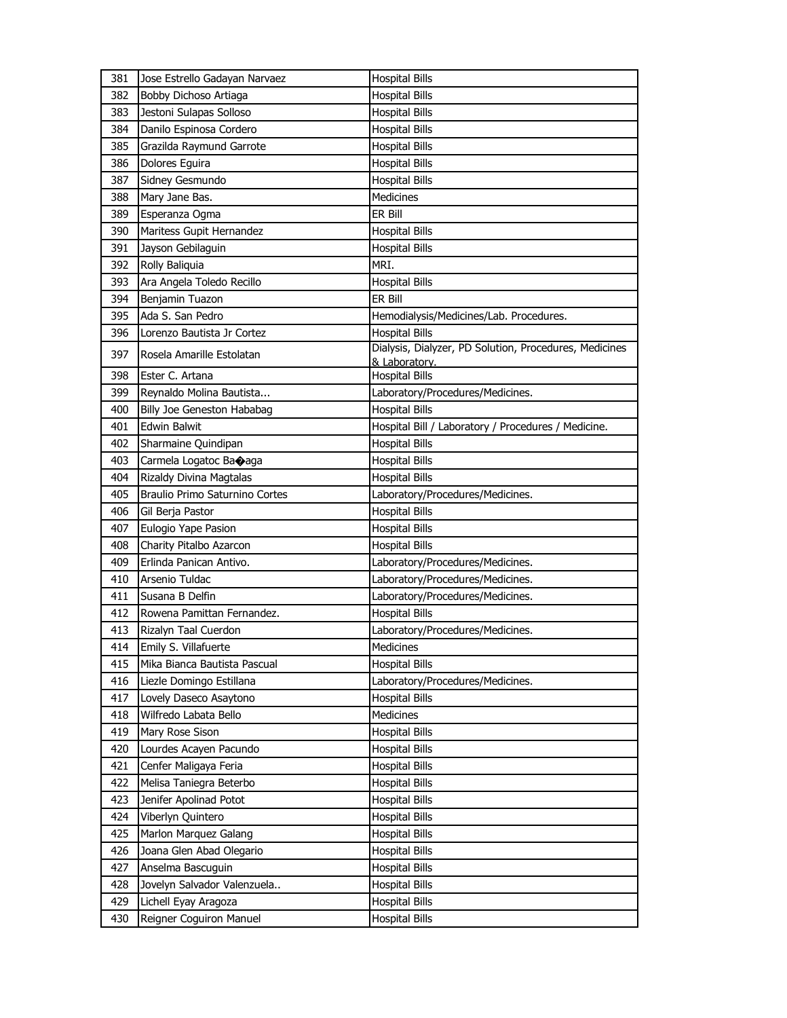| 381 | Jose Estrello Gadayan Narvaez  | <b>Hospital Bills</b>                                  |
|-----|--------------------------------|--------------------------------------------------------|
| 382 | Bobby Dichoso Artiaga          | <b>Hospital Bills</b>                                  |
| 383 | Jestoni Sulapas Solloso        | <b>Hospital Bills</b>                                  |
| 384 | Danilo Espinosa Cordero        | <b>Hospital Bills</b>                                  |
| 385 | Grazilda Raymund Garrote       | <b>Hospital Bills</b>                                  |
| 386 | Dolores Eguira                 | <b>Hospital Bills</b>                                  |
| 387 | Sidney Gesmundo                | <b>Hospital Bills</b>                                  |
| 388 | Mary Jane Bas.                 | Medicines                                              |
| 389 | Esperanza Ogma                 | ER Bill                                                |
| 390 | Maritess Gupit Hernandez       | <b>Hospital Bills</b>                                  |
| 391 | Jayson Gebilaguin              | <b>Hospital Bills</b>                                  |
| 392 | Rolly Baliquia                 | MRI.                                                   |
| 393 | Ara Angela Toledo Recillo      | <b>Hospital Bills</b>                                  |
| 394 | Benjamin Tuazon                | ER Bill                                                |
| 395 | Ada S. San Pedro               | Hemodialysis/Medicines/Lab. Procedures.                |
| 396 | Lorenzo Bautista Jr Cortez     | <b>Hospital Bills</b>                                  |
| 397 | Rosela Amarille Estolatan      | Dialysis, Dialyzer, PD Solution, Procedures, Medicines |
| 398 | Ester C. Artana                | & Laboratory.<br><b>Hospital Bills</b>                 |
| 399 | Reynaldo Molina Bautista       | Laboratory/Procedures/Medicines.                       |
| 400 | Billy Joe Geneston Hababag     | <b>Hospital Bills</b>                                  |
| 401 | <b>Edwin Balwit</b>            | Hospital Bill / Laboratory / Procedures / Medicine.    |
| 402 | Sharmaine Quindipan            | <b>Hospital Bills</b>                                  |
| 403 | Carmela Logatoc Baoaga         | <b>Hospital Bills</b>                                  |
| 404 | Rizaldy Divina Magtalas        | <b>Hospital Bills</b>                                  |
| 405 | Braulio Primo Saturnino Cortes | Laboratory/Procedures/Medicines.                       |
| 406 | Gil Berja Pastor               | <b>Hospital Bills</b>                                  |
| 407 | Eulogio Yape Pasion            | <b>Hospital Bills</b>                                  |
| 408 | Charity Pitalbo Azarcon        | <b>Hospital Bills</b>                                  |
| 409 | Erlinda Panican Antivo.        | Laboratory/Procedures/Medicines.                       |
| 410 | Arsenio Tuldac                 | Laboratory/Procedures/Medicines.                       |
| 411 | Susana B Delfin                | Laboratory/Procedures/Medicines.                       |
| 412 | Rowena Pamittan Fernandez.     | <b>Hospital Bills</b>                                  |
| 413 | Rizalyn Taal Cuerdon           | Laboratory/Procedures/Medicines.                       |
| 414 | Emily S. Villafuerte           | Medicines                                              |
| 415 | Mika Bianca Bautista Pascual   | <b>Hospital Bills</b>                                  |
| 416 | Liezle Domingo Estillana       | Laboratory/Procedures/Medicines.                       |
| 417 | Lovely Daseco Asaytono         | <b>Hospital Bills</b>                                  |
| 418 | Wilfredo Labata Bello          | Medicines                                              |
| 419 | Mary Rose Sison                | <b>Hospital Bills</b>                                  |
| 420 | Lourdes Acayen Pacundo         | <b>Hospital Bills</b>                                  |
| 421 | Cenfer Maligaya Feria          | <b>Hospital Bills</b>                                  |
| 422 | Melisa Taniegra Beterbo        | <b>Hospital Bills</b>                                  |
| 423 | Jenifer Apolinad Potot         | <b>Hospital Bills</b>                                  |
| 424 | Viberlyn Quintero              | <b>Hospital Bills</b>                                  |
| 425 | Marlon Marquez Galang          | <b>Hospital Bills</b>                                  |
| 426 | Joana Glen Abad Olegario       | <b>Hospital Bills</b>                                  |
| 427 | Anselma Bascuguin              | <b>Hospital Bills</b>                                  |
| 428 | Jovelyn Salvador Valenzuela    | <b>Hospital Bills</b>                                  |
| 429 | Lichell Eyay Aragoza           | <b>Hospital Bills</b>                                  |
| 430 | Reigner Coguiron Manuel        | <b>Hospital Bills</b>                                  |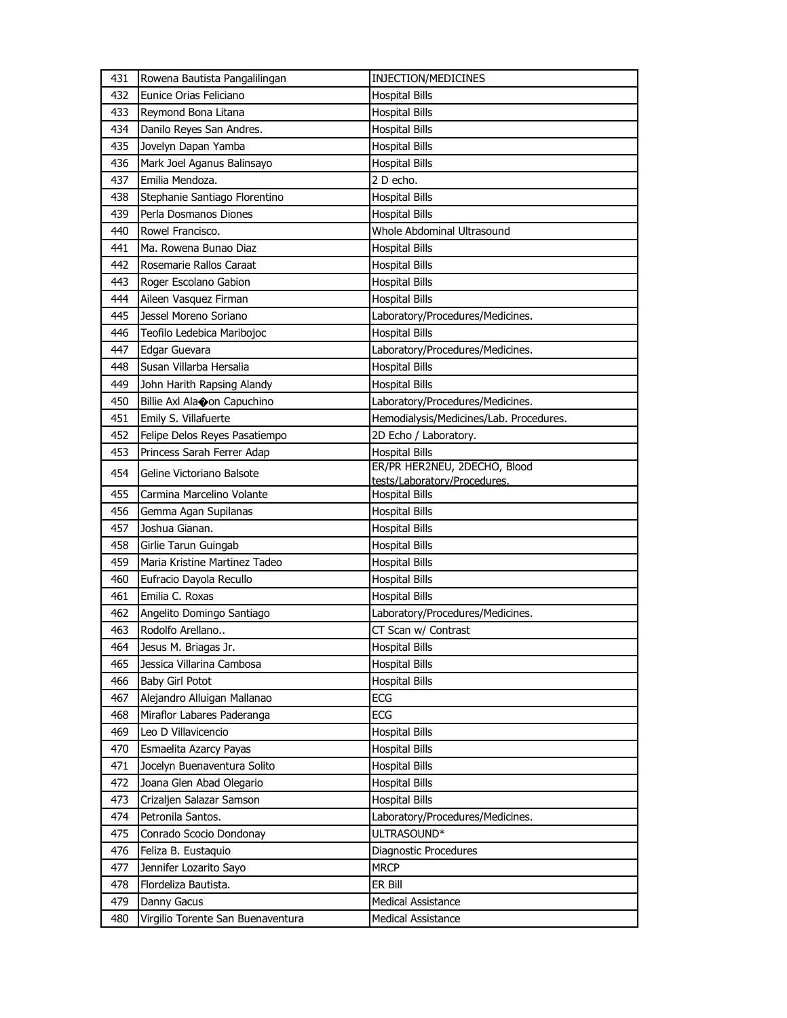| 431 | Rowena Bautista Pangalilingan     | INJECTION/MEDICINES                                          |
|-----|-----------------------------------|--------------------------------------------------------------|
| 432 | Eunice Orias Feliciano            | <b>Hospital Bills</b>                                        |
| 433 | Reymond Bona Litana               | <b>Hospital Bills</b>                                        |
| 434 | Danilo Reyes San Andres.          | <b>Hospital Bills</b>                                        |
| 435 | Jovelyn Dapan Yamba               | <b>Hospital Bills</b>                                        |
| 436 | Mark Joel Aganus Balinsayo        | <b>Hospital Bills</b>                                        |
| 437 | Emilia Mendoza.                   | 2 D echo.                                                    |
| 438 | Stephanie Santiago Florentino     | <b>Hospital Bills</b>                                        |
| 439 | Perla Dosmanos Diones             | <b>Hospital Bills</b>                                        |
| 440 | Rowel Francisco.                  | Whole Abdominal Ultrasound                                   |
| 441 | Ma. Rowena Bunao Diaz             | <b>Hospital Bills</b>                                        |
| 442 | Rosemarie Rallos Caraat           | <b>Hospital Bills</b>                                        |
| 443 | Roger Escolano Gabion             | <b>Hospital Bills</b>                                        |
| 444 | Aileen Vasquez Firman             | <b>Hospital Bills</b>                                        |
| 445 | Jessel Moreno Soriano             | Laboratory/Procedures/Medicines.                             |
| 446 | Teofilo Ledebica Maribojoc        | <b>Hospital Bills</b>                                        |
| 447 | Edgar Guevara                     | Laboratory/Procedures/Medicines.                             |
| 448 | Susan Villarba Hersalia           | <b>Hospital Bills</b>                                        |
| 449 | John Harith Rapsing Alandy        | <b>Hospital Bills</b>                                        |
| 450 | Billie Axl Alaoon Capuchino       | Laboratory/Procedures/Medicines.                             |
| 451 | Emily S. Villafuerte              | Hemodialysis/Medicines/Lab. Procedures.                      |
| 452 | Felipe Delos Reyes Pasatiempo     | 2D Echo / Laboratory.                                        |
| 453 | Princess Sarah Ferrer Adap        | <b>Hospital Bills</b>                                        |
| 454 | Geline Victoriano Balsote         | ER/PR HER2NEU, 2DECHO, Blood<br>tests/Laboratory/Procedures. |
| 455 | Carmina Marcelino Volante         | <b>Hospital Bills</b>                                        |
| 456 | Gemma Agan Supilanas              | <b>Hospital Bills</b>                                        |
| 457 | Joshua Gianan.                    | <b>Hospital Bills</b>                                        |
| 458 | Girlie Tarun Guingab              | <b>Hospital Bills</b>                                        |
| 459 | Maria Kristine Martinez Tadeo     | <b>Hospital Bills</b>                                        |
| 460 | Eufracio Dayola Recullo           | <b>Hospital Bills</b>                                        |
| 461 | Emilia C. Roxas                   | <b>Hospital Bills</b>                                        |
| 462 | Angelito Domingo Santiago         | Laboratory/Procedures/Medicines.                             |
| 463 | Rodolfo Arellano                  | CT Scan w/ Contrast                                          |
| 464 | Jesus M. Briagas Jr.              | <b>Hospital Bills</b>                                        |
| 465 | Jessica Villarina Cambosa         | <b>Hospital Bills</b>                                        |
| 466 | Baby Girl Potot                   | <b>Hospital Bills</b>                                        |
| 467 | Alejandro Alluigan Mallanao       | <b>ECG</b>                                                   |
| 468 | Miraflor Labares Paderanga        | ECG                                                          |
| 469 | Leo D Villavicencio               | <b>Hospital Bills</b>                                        |
| 470 | Esmaelita Azarcy Payas            | <b>Hospital Bills</b>                                        |
| 471 | Jocelyn Buenaventura Solito       | <b>Hospital Bills</b>                                        |
| 472 | Joana Glen Abad Olegario          | <b>Hospital Bills</b>                                        |
| 473 | Crizaljen Salazar Samson          | <b>Hospital Bills</b>                                        |
| 474 | Petronila Santos.                 | Laboratory/Procedures/Medicines.                             |
| 475 | Conrado Scocio Dondonay           | ULTRASOUND*                                                  |
| 476 | Feliza B. Eustaquio               | Diagnostic Procedures                                        |
| 477 | Jennifer Lozarito Sayo            | <b>MRCP</b>                                                  |
| 478 | Flordeliza Bautista.              | ER Bill                                                      |
| 479 | Danny Gacus                       | <b>Medical Assistance</b>                                    |
| 480 | Virgilio Torente San Buenaventura | Medical Assistance                                           |
|     |                                   |                                                              |